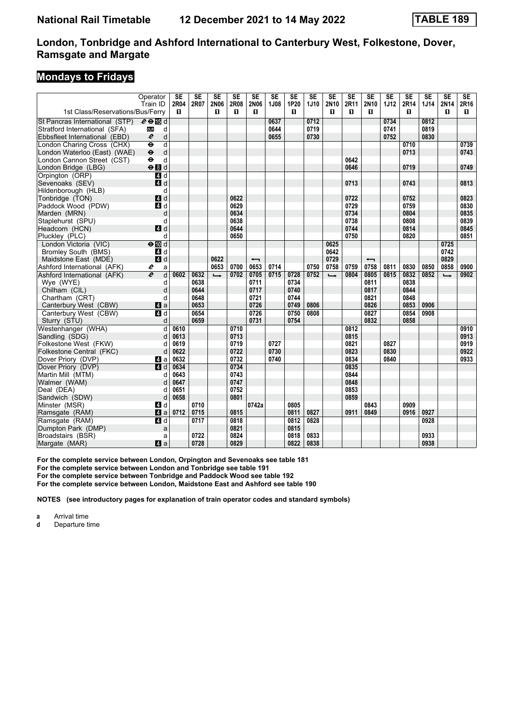### **Mondays to Fridays**

|                                  | Operator<br>Train ID                 | <b>SE</b><br>2R04 | <b>SE</b><br>2R07 | $\overline{\text{SE}}$<br>2N06 | $\overline{\text{SE}}$<br>2R08 | $\overline{\text{SE}}$<br><b>2N06</b> | SE<br>1J08 | $\overline{\text{SE}}$<br>1P20 | $\overline{\text{SE}}$<br>1J10 | $\overline{\text{SE}}$<br>2N10 | $\overline{\text{SE}}$<br>2R11 | $\overline{\text{SE}}$<br>2N10 | $\overline{\text{SE}}$<br><b>1J12</b> | <b>SE</b><br>2R14 | $\overline{\text{SE}}$<br><b>1J14</b> | SE<br>2N14    | $\overline{\text{SE}}$<br>2R16 |
|----------------------------------|--------------------------------------|-------------------|-------------------|--------------------------------|--------------------------------|---------------------------------------|------------|--------------------------------|--------------------------------|--------------------------------|--------------------------------|--------------------------------|---------------------------------------|-------------------|---------------------------------------|---------------|--------------------------------|
| 1st Class/Reservations/Bus/Ferry |                                      | П.                |                   | п                              | п.                             | п                                     |            | п                              |                                | п                              | п                              | п                              |                                       | п                 |                                       | п             | П.                             |
| St Pancras International (STP)   | $e \oplus \mathbb{E}$ d              |                   |                   |                                |                                |                                       | 0637       |                                | 0712                           |                                |                                |                                | 0734                                  |                   | 0812                                  |               |                                |
| Stratford International (SFA)    | d<br><b>DLR</b>                      |                   |                   |                                |                                |                                       | 0644       |                                | 0719                           |                                |                                |                                | 0741                                  |                   | 0819                                  |               |                                |
| Ebbsfleet International (EBD)    | $\boldsymbol{e}$<br>d                |                   |                   |                                |                                |                                       | 0655       |                                | 0730                           |                                |                                |                                | 0752                                  |                   | 0830                                  |               |                                |
| London Charing Cross (CHX)       | $\overline{\mathsf{d}}$<br>$\bullet$ |                   |                   |                                |                                |                                       |            |                                |                                |                                |                                |                                |                                       | 0710              |                                       |               | 0739                           |
| London Waterloo (East) (WAE)     | $\ddot{\boldsymbol{\theta}}$<br>d    |                   |                   |                                |                                |                                       |            |                                |                                |                                |                                |                                |                                       | 0713              |                                       |               | 0743                           |
| London Cannon Street (CST)       | $\ddot{\bullet}$<br>d                |                   |                   |                                |                                |                                       |            |                                |                                |                                | 0642                           |                                |                                       |                   |                                       |               |                                |
| London Bridge (LBG)              | $\Theta$ $d$                         |                   |                   |                                |                                |                                       |            |                                |                                |                                | 0646                           |                                |                                       | 0719              |                                       |               | 0749                           |
| Orpington (ORP)                  | $\overline{a}$ d                     |                   |                   |                                |                                |                                       |            |                                |                                |                                |                                |                                |                                       |                   |                                       |               |                                |
| Sevenoaks (SEV)                  | 4d                                   |                   |                   |                                |                                |                                       |            |                                |                                |                                | 0713                           |                                |                                       | 0743              |                                       |               | 0813                           |
| Hildenborough (HLB)              | d                                    |                   |                   |                                |                                |                                       |            |                                |                                |                                |                                |                                |                                       |                   |                                       |               |                                |
| Tonbridge (TON)                  | 4d                                   |                   |                   |                                | 0622                           |                                       |            |                                |                                |                                | 0722                           |                                |                                       | 0752              |                                       |               | 0823                           |
| Paddock Wood (PDW)               | 4d                                   |                   |                   |                                | 0629                           |                                       |            |                                |                                |                                | 0729                           |                                |                                       | 0759              |                                       |               | 0830                           |
|                                  |                                      |                   |                   |                                | 0634                           |                                       |            |                                |                                |                                | 0734                           |                                |                                       | 0804              |                                       |               | 0835                           |
| Marden (MRN)                     | d<br>d                               |                   |                   |                                | 0638                           |                                       |            |                                |                                |                                | 0738                           |                                |                                       | 0808              |                                       |               | 0839                           |
| Staplehurst (SPU)                |                                      |                   |                   |                                |                                |                                       |            |                                |                                |                                | 0744                           |                                |                                       |                   |                                       |               |                                |
| Headcorn (HCN)                   | 4d                                   |                   |                   |                                | 0644                           |                                       |            |                                |                                |                                |                                |                                |                                       | 0814              |                                       |               | 0845                           |
| Pluckley (PLC)                   | d                                    |                   |                   |                                | 0650                           |                                       |            |                                |                                |                                | 0750                           |                                |                                       | 0820              |                                       |               | 0851                           |
| London Victoria (VIC)            | $\Theta$ $\blacksquare$ d            |                   |                   |                                |                                |                                       |            |                                |                                | 0625                           |                                |                                |                                       |                   |                                       | 0725          |                                |
| Bromley South (BMS)              | 4 d                                  |                   |                   |                                |                                |                                       |            |                                |                                | 0642                           |                                |                                |                                       |                   |                                       | 0742          |                                |
| Maidstone East (MDE)             | 4d                                   |                   |                   | 0622                           |                                | $\overline{\phantom{0}}$              |            |                                |                                | 0729                           |                                | $\overline{\phantom{0}}$       |                                       |                   |                                       | 0829          |                                |
| Ashford International (AFK)      | e<br>a                               |                   |                   | 0653                           | 0700                           | 0653                                  | 0714       |                                | 0750                           | 0758                           | 0759                           | 0758                           | 0811                                  | 0830              | 0850                                  | 0858          | 0900                           |
| Ashford International (AFK)      | $\overline{e}$<br>d                  | 0602              | 0632              | $\rightarrow$                  | 0702                           | 0705                                  | 0715       | 0728                           | 0752                           | $\rightarrow$                  | 0804                           | 0805                           | 0815                                  | 0832              | 0852                                  | $\rightarrow$ | 0902                           |
| Wye (WYE)                        | d                                    |                   | 0638              |                                |                                | 0711                                  |            | 0734                           |                                |                                |                                | 0811                           |                                       | 0838              |                                       |               |                                |
| Chilham (CIL)                    | d                                    |                   | 0644              |                                |                                | 0717                                  |            | 0740                           |                                |                                |                                | 0817                           |                                       | 0844              |                                       |               |                                |
| Chartham (CRT)                   | d                                    |                   | 0648              |                                |                                | 0721                                  |            | 0744                           |                                |                                |                                | 0821                           |                                       | 0848              |                                       |               |                                |
| Canterbury West (CBW)            | 4a                                   |                   | 0653              |                                |                                | 0726                                  |            | 0749                           | 0806                           |                                |                                | 0826                           |                                       | 0853              | 0906                                  |               |                                |
| Canterbury West (CBW)            | $\overline{a}$ d                     |                   | 0654              |                                |                                | 0726                                  |            | 0750                           | 0808                           |                                |                                | 0827                           |                                       | 0854              | 0908                                  |               |                                |
| Sturry (STU)                     | d                                    |                   | 0659              |                                |                                | 0731                                  |            | 0754                           |                                |                                |                                | 0832                           |                                       | 0858              |                                       |               |                                |
| Westenhanger (WHA)               | d                                    | 0610              |                   |                                | 0710                           |                                       |            |                                |                                |                                | 0812                           |                                |                                       |                   |                                       |               | 0910                           |
| Sandling (SDG)                   | d                                    | 0613              |                   |                                | 0713                           |                                       |            |                                |                                |                                | 0815                           |                                |                                       |                   |                                       |               | 0913                           |
| Folkestone West (FKW)            | d                                    | 0619              |                   |                                | 0719                           |                                       | 0727       |                                |                                |                                | 0821                           |                                | 0827                                  |                   |                                       |               | 0919                           |
| Folkestone Central (FKC)         | d                                    | 0622              |                   |                                | 0722                           |                                       | 0730       |                                |                                |                                | 0823                           |                                | 0830                                  |                   |                                       |               | 0922                           |
| Dover Priory (DVP)               | ZI a                                 | 0632              |                   |                                | 0732                           |                                       | 0740       |                                |                                |                                | 0834                           |                                | 0840                                  |                   |                                       |               | 0933                           |
| Dover Priory (DVP)               | 4d                                   | 0634              |                   |                                | 0734                           |                                       |            |                                |                                |                                | 0835                           |                                |                                       |                   |                                       |               |                                |
| Martin Mill (MTM)                | d                                    | 0643              |                   |                                | 0743                           |                                       |            |                                |                                |                                | 0844                           |                                |                                       |                   |                                       |               |                                |
| Walmer (WAM)                     | d                                    | 0647              |                   |                                | 0747                           |                                       |            |                                |                                |                                | 0848                           |                                |                                       |                   |                                       |               |                                |
| Deal (DEA)                       | d                                    | 0651              |                   |                                | 0752                           |                                       |            |                                |                                |                                | 0853                           |                                |                                       |                   |                                       |               |                                |
| Sandwich (SDW)                   | d                                    | 0658              |                   |                                | 0801                           |                                       |            |                                |                                |                                | 0859                           |                                |                                       |                   |                                       |               |                                |
| Minster (MSR)                    | 4 d                                  |                   | 0710              |                                |                                | 0742a                                 |            | 0805                           |                                |                                |                                | 0843                           |                                       | 0909              |                                       |               |                                |
| Ramsgate (RAM)                   | 4a                                   | 0712              | 0715              |                                | 0815                           |                                       |            | 0811                           | 0827                           |                                | 0911                           | 0849                           |                                       | 0916              | 0927                                  |               |                                |
| Ramsgate (RAM)                   | 4d                                   |                   | 0717              |                                | 0818                           |                                       |            | 0812                           | 0828                           |                                |                                |                                |                                       |                   | 0928                                  |               |                                |
| Dumpton Park (DMP)               | a                                    |                   |                   |                                | 0821                           |                                       |            | 0815                           |                                |                                |                                |                                |                                       |                   |                                       |               |                                |
| Broadstairs (BSR)                | a                                    |                   | 0722              |                                | 0824                           |                                       |            | 0818                           | 0833                           |                                |                                |                                |                                       |                   | 0933                                  |               |                                |
| Margate (MAR)                    | Zi a                                 |                   | 0728              |                                | 0829                           |                                       |            | 0822                           | 0838                           |                                |                                |                                |                                       |                   | 0938                                  |               |                                |

For the complete service between London, Orpington and Sevenoaks see table 181

For the complete service between London and Tonbridge see table 191

**For the complete service between Tonbridge and Paddock Wood see table 12**

**For the complete service between London, Maidstone East and Ashford see table 10**

**NOTES (see introductory pages for explanation of train operator codes and standard symbols)**

**a** Arrival time<br>**d** Departure t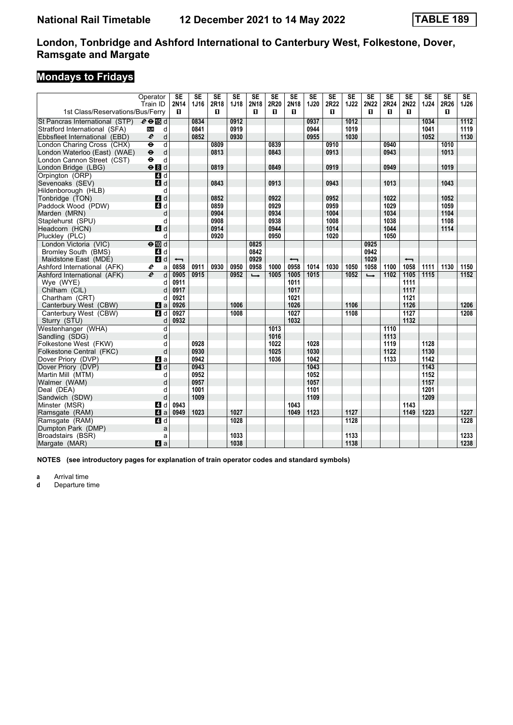# **Mondays to Fridays**

|                                  | Operator                                       | <b>SE</b>                | <b>SE</b> | $\overline{\text{SE}}$ | SE          | $\overline{\text{SE}}$ | <b>SE</b> | $\overline{\text{SE}}$   | $\overline{\text{SE}}$ | $\overline{\text{SE}}$ | $\overline{\text{SE}}$ | $\overline{\text{SE}}$ | $\overline{\text{SE}}$ | $\overline{\text{SE}}$   | SE          | $\overline{\text{SE}}$ | $\overline{\text{SE}}$ |
|----------------------------------|------------------------------------------------|--------------------------|-----------|------------------------|-------------|------------------------|-----------|--------------------------|------------------------|------------------------|------------------------|------------------------|------------------------|--------------------------|-------------|------------------------|------------------------|
| 1st Class/Reservations/Bus/Ferry | Train ID                                       | 2N14<br>п                | 1J16      | 2R18<br>п              | <b>1J18</b> | 2N18<br>O              | 2R20<br>O | 2N18<br>п                | 1J20                   | 2R22<br>п              | <b>1J22</b>            | 2N22<br>п              | 2R24<br>0              | 2N22<br>П                | <b>1J24</b> | 2R26<br>п              | 1J26                   |
|                                  |                                                |                          |           |                        |             |                        |           |                          |                        |                        |                        |                        |                        |                          |             |                        |                        |
| St Pancras International (STP)   | $e \oplus \mathbb{F}$ d                        |                          | 0834      |                        | 0912        |                        |           |                          | 0937                   |                        | 1012                   |                        |                        |                          | 1034        |                        | 1112                   |
| Stratford International (SFA)    | <b>DLR</b><br>d                                |                          | 0841      |                        | 0919        |                        |           |                          | 0944                   |                        | 1019                   |                        |                        |                          | 1041        |                        | 1119                   |
| Ebbsfleet International (EBD)    | $\boldsymbol{\ell}$<br>d                       |                          | 0852      |                        | 0930        |                        |           |                          | 0955                   |                        | 1030                   |                        |                        |                          | 1052        |                        | 1130                   |
| London Charing Cross (CHX)       | $\overline{\mathsf{d}}$<br>$\ddot{\mathbf{e}}$ |                          |           | 0809                   |             |                        | 0839      |                          |                        | 0910                   |                        |                        | 0940                   |                          |             | 1010                   |                        |
| London Waterloo (East) (WAE)     | $\ddot{\bullet}$<br>d                          |                          |           | 0813                   |             |                        | 0843      |                          |                        | 0913                   |                        |                        | 0943                   |                          |             | 1013                   |                        |
| London Cannon Street (CST)       | d<br>$\ddot{\mathbf{e}}$                       |                          |           |                        |             |                        |           |                          |                        |                        |                        |                        |                        |                          |             |                        |                        |
| London Bridge (LBG)              | eBd                                            |                          |           | 0819                   |             |                        | 0849      |                          |                        | 0919                   |                        |                        | 0949                   |                          |             | 1019                   |                        |
| Orpington (ORP)                  | $\overline{a}$ d                               |                          |           |                        |             |                        |           |                          |                        |                        |                        |                        |                        |                          |             |                        |                        |
| Sevenoaks (SEV)                  | $A$ d                                          |                          |           | 0843                   |             |                        | 0913      |                          |                        | 0943                   |                        |                        | 1013                   |                          |             | 1043                   |                        |
| Hildenborough (HLB)              | d                                              |                          |           |                        |             |                        |           |                          |                        |                        |                        |                        |                        |                          |             |                        |                        |
| Tonbridge (TON)                  | $\blacksquare$ d                               |                          |           | 0852                   |             |                        | 0922      |                          |                        | 0952                   |                        |                        | 1022                   |                          |             | 1052                   |                        |
| Paddock Wood (PDW)               | 4 d                                            |                          |           | 0859                   |             |                        | 0929      |                          |                        | 0959                   |                        |                        | 1029                   |                          |             | 1059                   |                        |
| Marden (MRN)                     | d                                              |                          |           | 0904                   |             |                        | 0934      |                          |                        | 1004                   |                        |                        | 1034                   |                          |             | 1104                   |                        |
| Staplehurst (SPU)                | d                                              |                          |           | 0908                   |             |                        | 0938      |                          |                        | 1008                   |                        |                        | 1038                   |                          |             | 1108                   |                        |
| Headcorn (HCN)                   | 4d                                             |                          |           | 0914                   |             |                        | 0944      |                          |                        | 1014                   |                        |                        | 1044                   |                          |             | 1114                   |                        |
| Pluckley (PLC)                   | d                                              |                          |           | 0920                   |             |                        | 0950      |                          |                        | 1020                   |                        |                        | 1050                   |                          |             |                        |                        |
| London Victoria (VIC)            | $\Theta$ $\blacksquare$ d                      |                          |           |                        |             | 0825                   |           |                          |                        |                        |                        | 0925                   |                        |                          |             |                        |                        |
| <b>Bromley South (BMS)</b>       | 4 d                                            |                          |           |                        |             | 0842                   |           |                          |                        |                        |                        | 0942                   |                        |                          |             |                        |                        |
| Maidstone East (MDE)             | 4d                                             | $\overline{\phantom{0}}$ |           |                        |             | 0929                   |           | $\overline{\phantom{0}}$ |                        |                        |                        | 1029                   |                        | $\overline{\phantom{0}}$ |             |                        |                        |
| Ashford International (AFK)      | e<br>a                                         | 0858                     | 0911      | 0930                   | 0950        | 0958                   | 1000      | 0958                     | 1014                   | 1030                   | 1050                   | 1058                   | 1100                   | 1058                     | 1111        | 1130                   | 1150                   |
| Ashford International (AFK)      | $\boldsymbol{e}$<br>d                          | 0905                     | 0915      |                        | 0952        | $\rightarrow$          | 1005      | 1005                     | 1015                   |                        | 1052                   | $\rightarrow$          | 1102                   | 1105                     | 1115        |                        | 1152                   |
| Wye (WYE)                        | d                                              | 0911                     |           |                        |             |                        |           | 1011                     |                        |                        |                        |                        |                        | 1111                     |             |                        |                        |
| Chilham (CIL)                    | d                                              | 0917                     |           |                        |             |                        |           | 1017                     |                        |                        |                        |                        |                        | 1117                     |             |                        |                        |
| Chartham (CRT)                   | d                                              | 0921                     |           |                        |             |                        |           | 1021                     |                        |                        |                        |                        |                        | 1121                     |             |                        |                        |
| Canterbury West (CBW)            | ZI a                                           | 0926                     |           |                        | 1006        |                        |           | 1026                     |                        |                        | 1106                   |                        |                        | 1126                     |             |                        | 1206                   |
| Canterbury West (CBW)            | ZI d                                           | 0927                     |           |                        | 1008        |                        |           | 1027                     |                        |                        | 1108                   |                        |                        | 1127                     |             |                        | 1208                   |
| Sturry (STU)                     | d                                              | 0932                     |           |                        |             |                        |           | 1032                     |                        |                        |                        |                        |                        | 1132                     |             |                        |                        |
| Westenhanger (WHA)               | d                                              |                          |           |                        |             |                        | 1013      |                          |                        |                        |                        |                        | 1110                   |                          |             |                        |                        |
| Sandling (SDG)                   | d                                              |                          |           |                        |             |                        | 1016      |                          |                        |                        |                        |                        | 1113                   |                          |             |                        |                        |
| Folkestone West (FKW)            | d                                              |                          | 0928      |                        |             |                        | 1022      |                          | 1028                   |                        |                        |                        | 1119                   |                          | 1128        |                        |                        |
| Folkestone Central (FKC)         | d                                              |                          | 0930      |                        |             |                        | 1025      |                          | 1030                   |                        |                        |                        | 1122                   |                          | 1130        |                        |                        |
| Dover Priory (DVP)               | ZI a                                           |                          | 0942      |                        |             |                        | 1036      |                          | 1042                   |                        |                        |                        | 1133                   |                          | 1142        |                        |                        |
| Dover Priory (DVP)               | $\overline{4}$ d                               |                          | 0943      |                        |             |                        |           |                          | 1043                   |                        |                        |                        |                        |                          | 1143        |                        |                        |
| Martin Mill (MTM)                | d                                              |                          | 0952      |                        |             |                        |           |                          | 1052                   |                        |                        |                        |                        |                          | 1152        |                        |                        |
| Walmer (WAM)                     | d                                              |                          | 0957      |                        |             |                        |           |                          | 1057                   |                        |                        |                        |                        |                          | 1157        |                        |                        |
| Deal (DEA)                       | d                                              |                          | 1001      |                        |             |                        |           |                          | 1101                   |                        |                        |                        |                        |                          | 1201        |                        |                        |
| Sandwich (SDW)                   | d                                              |                          | 1009      |                        |             |                        |           |                          | 1109                   |                        |                        |                        |                        |                          | 1209        |                        |                        |
| Minster (MSR)                    | 41 d                                           | 0943                     |           |                        |             |                        |           | 1043                     |                        |                        |                        |                        |                        | 1143                     |             |                        |                        |
| Ramsgate (RAM)                   | $\blacksquare$ a                               | 0949                     | 1023      |                        | 1027        |                        |           | 1049                     | 1123                   |                        | 1127                   |                        |                        | 1149                     | 1223        |                        | 1227                   |
| Ramsgate (RAM)                   | 4d                                             |                          |           |                        | 1028        |                        |           |                          |                        |                        | 1128                   |                        |                        |                          |             |                        | 1228                   |
| Dumpton Park (DMP)               | a                                              |                          |           |                        |             |                        |           |                          |                        |                        |                        |                        |                        |                          |             |                        |                        |
| Broadstairs (BSR)                | a                                              |                          |           |                        | 1033        |                        |           |                          |                        |                        | 1133                   |                        |                        |                          |             |                        | 1233                   |
| Margate (MAR)                    | a                                              |                          |           |                        | 1038        |                        |           |                          |                        |                        | 1138                   |                        |                        |                          |             |                        | 1238                   |
|                                  |                                                |                          |           |                        |             |                        |           |                          |                        |                        |                        |                        |                        |                          |             |                        |                        |

**NOTES (see introductory pages for explanation of train operator codes and standard symbols)**

**a** Arrival time<br>**d** Departure ti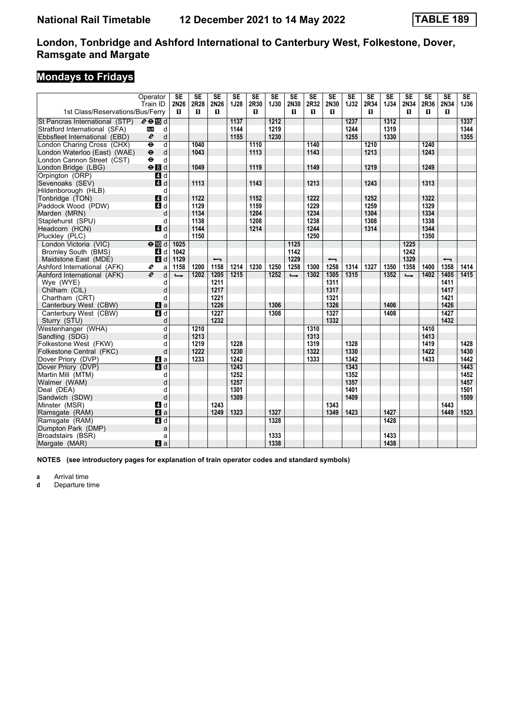# **Mondays to Fridays**

|                                  | Operator                                           | <b>SE</b>     | <b>SE</b> | $\overline{\text{SE}}$   | $\overline{\text{SE}}$ | $\overline{\text{SE}}$ | SE          | $\overline{\text{SE}}$ | $\overline{\text{SE}}$ | $\overline{\text{SE}}$   | $\overline{\text{SE}}$ | $\overline{\text{SE}}$ | $\overline{\text{SE}}$ | $\overline{\text{SE}}$ | $\overline{\text{SE}}$ | SE                       | SE   |
|----------------------------------|----------------------------------------------------|---------------|-----------|--------------------------|------------------------|------------------------|-------------|------------------------|------------------------|--------------------------|------------------------|------------------------|------------------------|------------------------|------------------------|--------------------------|------|
|                                  | Train ID                                           | 2N26          | 2R28      | 2N26                     | 1J28                   | 2R30                   | <b>1J30</b> | 2N30                   | 2R32                   | 2N30                     | <b>1J32</b>            | 2R34                   | <b>1J34</b>            | 2N34                   | 2R36                   | 2N34                     | 1J36 |
| 1st Class/Reservations/Bus/Ferry |                                                    | п             | п         | п                        |                        | п                      |             | п                      | П.                     | П.                       |                        | п                      |                        | п                      | п                      | п                        |      |
| St Pancras International (STP)   | $e \oplus \mathbb{E}$ d                            |               |           |                          | 1137                   |                        | 1212        |                        |                        |                          | 1237                   |                        | 1312                   |                        |                        |                          | 1337 |
| Stratford International (SFA)    | d<br><b>DLR</b>                                    |               |           |                          | 1144                   |                        | 1219        |                        |                        |                          | 1244                   |                        | 1319                   |                        |                        |                          | 1344 |
| Ebbsfleet International (EBD)    | $\boldsymbol{\ell}$<br>d                           |               |           |                          | 1155                   |                        | 1230        |                        |                        |                          | 1255                   |                        | 1330                   |                        |                        |                          | 1355 |
| London Charing Cross (CHX)       | $\overline{\mathsf{d}}$<br>$\overline{\mathbf{e}}$ |               | 1040      |                          |                        | 1110                   |             |                        | 1140                   |                          |                        | 1210                   |                        |                        | 1240                   |                          |      |
| London Waterloo (East) (WAE)     | $\ddot{\boldsymbol{\theta}}$<br>d                  |               | 1043      |                          |                        | 1113                   |             |                        | 1143                   |                          |                        | 1213                   |                        |                        | 1243                   |                          |      |
| London Cannon Street (CST)       | $\bullet$<br>d                                     |               |           |                          |                        |                        |             |                        |                        |                          |                        |                        |                        |                        |                        |                          |      |
| London Bridge (LBG)              | eBd                                                |               | 1049      |                          |                        | 1119                   |             |                        | 1149                   |                          |                        | 1219                   |                        |                        | 1249                   |                          |      |
| Orpington (ORP)                  | $\overline{a}$ d                                   |               |           |                          |                        |                        |             |                        |                        |                          |                        |                        |                        |                        |                        |                          |      |
| Sevenoaks (SEV)                  | $A$ <sub>d</sub>                                   |               | 1113      |                          |                        | 1143                   |             |                        | 1213                   |                          |                        | 1243                   |                        |                        | 1313                   |                          |      |
| Hildenborough (HLB)              | d                                                  |               |           |                          |                        |                        |             |                        |                        |                          |                        |                        |                        |                        |                        |                          |      |
| Tonbridge (TON)                  | 4d                                                 |               | 1122      |                          |                        | 1152                   |             |                        | 1222                   |                          |                        | 1252                   |                        |                        | 1322                   |                          |      |
| Paddock Wood (PDW)               | 4d                                                 |               | 1129      |                          |                        | 1159                   |             |                        | 1229                   |                          |                        | 1259                   |                        |                        | 1329                   |                          |      |
| Marden (MRN)                     | d                                                  |               | 1134      |                          |                        | 1204                   |             |                        | 1234                   |                          |                        | 1304                   |                        |                        | 1334                   |                          |      |
| Staplehurst (SPU)                | d                                                  |               | 1138      |                          |                        | 1208                   |             |                        | 1238                   |                          |                        | 1308                   |                        |                        | 1338                   |                          |      |
| Headcorn (HCN)                   | 4d                                                 |               | 1144      |                          |                        | 1214                   |             |                        | 1244                   |                          |                        | 1314                   |                        |                        | 1344                   |                          |      |
| Pluckley (PLC)                   | d                                                  |               | 1150      |                          |                        |                        |             |                        | 1250                   |                          |                        |                        |                        |                        | 1350                   |                          |      |
| London Victoria (VIC)            | $\Theta$ III d                                     | 1025          |           |                          |                        |                        |             | 1125                   |                        |                          |                        |                        |                        | 1225                   |                        |                          |      |
| <b>Bromley South (BMS)</b>       | 4 d                                                | 1042          |           |                          |                        |                        |             | 1142                   |                        |                          |                        |                        |                        | 1242                   |                        |                          |      |
| Maidstone East (MDE)             | 4d                                                 | 1129          |           | $\overline{\phantom{0}}$ |                        |                        |             | 1229                   |                        | $\overline{\phantom{0}}$ |                        |                        |                        | 1329                   |                        | $\overline{\phantom{0}}$ |      |
| Ashford International (AFK)      | e<br>a                                             | 1158          | 1200      | 1158                     | 1214                   | 1230                   | 1250        | 1258                   | 1300                   | 1258                     | 1314                   | 1327                   | 1350                   | 1358                   | 1400                   | 1358                     | 1414 |
| Ashford International (AFK)      | $\overline{e}$<br>d                                | $\rightarrow$ | 1202      | 1205                     | 1215                   |                        | 1252        | $\rightarrow$          | 1302                   | 1305                     | 1315                   |                        | 1352                   | $\rightarrow$          | 1402                   | 1405                     | 1415 |
| Wye (WYE)                        | d                                                  |               |           | 1211                     |                        |                        |             |                        |                        | 1311                     |                        |                        |                        |                        |                        | 1411                     |      |
| Chilham (CIL)                    | d                                                  |               |           | 1217                     |                        |                        |             |                        |                        | 1317                     |                        |                        |                        |                        |                        | 1417                     |      |
| Chartham (CRT)                   | d                                                  |               |           | 1221                     |                        |                        |             |                        |                        | 1321                     |                        |                        |                        |                        |                        | 1421                     |      |
| Canterbury West (CBW)            | $\mathbf{A}$ a                                     |               |           | 1226                     |                        |                        | 1306        |                        |                        | 1326                     |                        |                        | 1406                   |                        |                        | 1426                     |      |
| Canterbury West (CBW)            | $\overline{4}$ d                                   |               |           | 1227                     |                        |                        | 1308        |                        |                        | 1327                     |                        |                        | 1408                   |                        |                        | 1427                     |      |
| Sturry (STU)                     | d                                                  |               |           | 1232                     |                        |                        |             |                        |                        | 1332                     |                        |                        |                        |                        |                        | 1432                     |      |
| Westenhanger (WHA)               | d                                                  |               | 1210      |                          |                        |                        |             |                        | 1310                   |                          |                        |                        |                        |                        | 1410                   |                          |      |
| Sandling (SDG)                   | d                                                  |               | 1213      |                          |                        |                        |             |                        | 1313                   |                          |                        |                        |                        |                        | 1413                   |                          |      |
| Folkestone West (FKW)            | d                                                  |               | 1219      |                          | 1228                   |                        |             |                        | 1319                   |                          | 1328                   |                        |                        |                        | 1419                   |                          | 1428 |
| Folkestone Central (FKC)         | d                                                  |               | 1222      |                          | 1230                   |                        |             |                        | 1322                   |                          | 1330                   |                        |                        |                        | 1422                   |                          | 1430 |
| Dover Priory (DVP)               | ZI a                                               |               | 1233      |                          | 1242                   |                        |             |                        | 1333                   |                          | 1342                   |                        |                        |                        | 1433                   |                          | 1442 |
| Dover Priory (DVP)               | $\blacksquare$ d                                   |               |           |                          | 1243                   |                        |             |                        |                        |                          | 1343                   |                        |                        |                        |                        |                          | 1443 |
| Martin Mill (MTM)                | d                                                  |               |           |                          | 1252                   |                        |             |                        |                        |                          | 1352                   |                        |                        |                        |                        |                          | 1452 |
| Walmer (WAM)                     | d                                                  |               |           |                          | 1257                   |                        |             |                        |                        |                          | 1357                   |                        |                        |                        |                        |                          | 1457 |
| Deal (DEA)                       | q                                                  |               |           |                          | 1301                   |                        |             |                        |                        |                          | 1401                   |                        |                        |                        |                        |                          | 1501 |
| Sandwich (SDW)                   | d                                                  |               |           |                          | 1309                   |                        |             |                        |                        |                          | 1409                   |                        |                        |                        |                        |                          | 1509 |
| Minster (MSR)                    | 4d                                                 |               |           | 1243                     |                        |                        |             |                        |                        | 1343                     |                        |                        |                        |                        |                        | 1443                     |      |
| Ramsgate (RAM)                   | $\mathbf{A}$ a                                     |               |           | 1249                     | 1323                   |                        | 1327        |                        |                        | 1349                     | 1423                   |                        | 1427                   |                        |                        | 1449                     | 1523 |
| Ramsgate (RAM)                   | 41 d                                               |               |           |                          |                        |                        | 1328        |                        |                        |                          |                        |                        | 1428                   |                        |                        |                          |      |
| Dumpton Park (DMP)               | a                                                  |               |           |                          |                        |                        |             |                        |                        |                          |                        |                        |                        |                        |                        |                          |      |
| Broadstairs (BSR)                | a                                                  |               |           |                          |                        |                        | 1333        |                        |                        |                          |                        |                        | 1433                   |                        |                        |                          |      |
| Margate (MAR)                    | a                                                  |               |           |                          |                        |                        | 1338        |                        |                        |                          |                        |                        | 1438                   |                        |                        |                          |      |

**NOTES (see introductory pages for explanation of train operator codes and standard symbols)**

**a** Arrival time<br>**d** Departure ti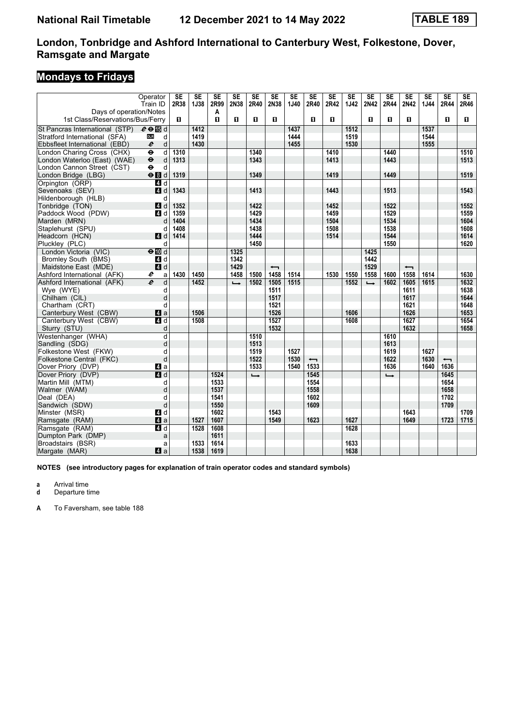# **Mondays to Fridays**

|                                                       | Operator<br>Train ID                           | <b>SE</b><br>2R38 | $\overline{\text{SE}}$<br><b>1J38</b> | $\overline{\text{SE}}$<br>2R99 | $\overline{\text{SE}}$<br>2N38 | $\overline{\text{SE}}$<br>2R40 | $\overline{\text{SE}}$<br>2N38 | $\overline{\text{SE}}$<br>1J40 | $\overline{\text{SE}}$<br>2R40 | $\overline{\text{SE}}$<br>2R42 | $\overline{\text{SE}}$<br>1J42 | $\overline{\text{SE}}$<br>2N42 | $\overline{\text{SE}}$<br>2R44 | $\overline{\text{SE}}$<br>2N42 | $\overline{\text{SE}}$<br>1J44 | $\overline{\text{SE}}$<br>2R44 | $\overline{\text{SE}}$<br>2R46 |
|-------------------------------------------------------|------------------------------------------------|-------------------|---------------------------------------|--------------------------------|--------------------------------|--------------------------------|--------------------------------|--------------------------------|--------------------------------|--------------------------------|--------------------------------|--------------------------------|--------------------------------|--------------------------------|--------------------------------|--------------------------------|--------------------------------|
| Days of operation/Notes                               |                                                |                   |                                       | A                              |                                |                                |                                |                                |                                |                                |                                |                                |                                |                                |                                |                                |                                |
| 1st Class/Reservations/Bus/Ferry                      |                                                | П.                |                                       | $\mathbf{u}$                   | П                              | п                              | $\mathbf{u}$                   |                                | П.                             | O.                             |                                | $\mathbf{u}$                   | п                              | п                              |                                | п                              | 0.                             |
| St Pancras International (STP) $e \oplus \boxtimes d$ |                                                |                   | 1412                                  |                                |                                |                                |                                | 1437                           |                                |                                | 1512                           |                                |                                |                                | 1537                           |                                |                                |
| Stratford International (SFA)                         | <b>DLR</b><br>d                                |                   | 1419                                  |                                |                                |                                |                                | 1444                           |                                |                                | 1519                           |                                |                                |                                | 1544                           |                                |                                |
| Ebbsfleet International (EBD)                         | d<br>e                                         |                   | 1430                                  |                                |                                |                                |                                | 1455                           |                                |                                | 1530                           |                                |                                |                                | 1555                           |                                |                                |
| London Charing Cross (CHX)                            | $\overline{\mathbf{e}}$<br>d                   | 1310              |                                       |                                |                                | 1340                           |                                |                                |                                | 1410                           |                                |                                | 1440                           |                                |                                |                                | 1510                           |
| London Waterloo (East) (WAE)                          | d<br>$\ddot{\boldsymbol{\Theta}}$<br>$\bullet$ | 1313              |                                       |                                |                                | 1343                           |                                |                                |                                | 1413                           |                                |                                | 1443                           |                                |                                |                                | 1513                           |
| London Cannon Street (CST)<br>London Bridge (LBG)     | d<br>$\Theta$ $d$                              | 1319              |                                       |                                |                                | 1349                           |                                |                                |                                | 1419                           |                                |                                | 1449                           |                                |                                |                                | 1519                           |
| Orpington (ORP)                                       | 4d                                             |                   |                                       |                                |                                |                                |                                |                                |                                |                                |                                |                                |                                |                                |                                |                                |                                |
| Sevenoaks (SEV)                                       | 4 d                                            | 1343              |                                       |                                |                                | 1413                           |                                |                                |                                | 1443                           |                                |                                | 1513                           |                                |                                |                                | 1543                           |
| Hildenborough (HLB)                                   | d                                              |                   |                                       |                                |                                |                                |                                |                                |                                |                                |                                |                                |                                |                                |                                |                                |                                |
| Tonbridge (TON)                                       | 4d                                             | 1352              |                                       |                                |                                | 1422                           |                                |                                |                                | 1452                           |                                |                                | 1522                           |                                |                                |                                | 1552                           |
| Paddock Wood (PDW)                                    | 4 d                                            | 1359              |                                       |                                |                                | 1429                           |                                |                                |                                | 1459                           |                                |                                | 1529                           |                                |                                |                                | 1559                           |
| Marden (MRN)                                          | d                                              | 1404              |                                       |                                |                                | 1434                           |                                |                                |                                | 1504                           |                                |                                | 1534                           |                                |                                |                                | 1604                           |
| Staplehurst (SPU)                                     | d                                              | 1408              |                                       |                                |                                | 1438                           |                                |                                |                                | 1508                           |                                |                                | 1538                           |                                |                                |                                | 1608                           |
| Headcorn (HCN)                                        | 4 d                                            | 1414              |                                       |                                |                                | 1444                           |                                |                                |                                | 1514                           |                                |                                | 1544                           |                                |                                |                                | 1614                           |
| Pluckley (PLC)                                        | d                                              |                   |                                       |                                |                                | 1450                           |                                |                                |                                |                                |                                |                                | 1550                           |                                |                                |                                | 1620                           |
| London Victoria (VIC)<br><b>Bromley South (BMS)</b>   | $\Theta$ $\blacksquare$ d<br>4d                |                   |                                       |                                | 1325<br>1342                   |                                |                                |                                |                                |                                |                                | 1425<br>1442                   |                                |                                |                                |                                |                                |
| Maidstone East (MDE)                                  | 4 d                                            |                   |                                       |                                | 1429                           |                                | $\overline{\phantom{0}}$       |                                |                                |                                |                                | 1529                           |                                | $\overline{\phantom{0}}$       |                                |                                |                                |
| Ashford International (AFK)                           | e<br>a                                         | 1430              | 1450                                  |                                | 1458                           | 1500                           | 1458                           | 1514                           |                                | 1530                           | 1550                           | 1558                           | 1600                           | 1558                           | 1614                           |                                | 1630                           |
| Ashford International (AFK)                           | $\boldsymbol{e}$<br>d                          |                   | 1452                                  |                                | $\rightarrow$                  | 1502                           | 1505                           | 1515                           |                                |                                | 1552                           | $\rightarrow$                  | 1602                           | 1605                           | 1615                           |                                | 1632                           |
| Wye (WYE)                                             | d                                              |                   |                                       |                                |                                |                                | 1511                           |                                |                                |                                |                                |                                |                                | 1611                           |                                |                                | 1638                           |
| Chilham (CIL)                                         | d                                              |                   |                                       |                                |                                |                                | 1517                           |                                |                                |                                |                                |                                |                                | 1617                           |                                |                                | 1644                           |
| Chartham (CRT)                                        | d                                              |                   |                                       |                                |                                |                                | 1521                           |                                |                                |                                |                                |                                |                                | 1621                           |                                |                                | 1648                           |
| Canterbury West (CBW)                                 | Z1 a                                           |                   | 1506                                  |                                |                                |                                | 1526                           |                                |                                |                                | 1606                           |                                |                                | 1626                           |                                |                                | 1653                           |
| Canterbury West (CBW)                                 | $\overline{a}$ d                               |                   | 1508                                  |                                |                                |                                | $\frac{1527}{2}$               |                                |                                |                                | 1608                           |                                |                                | 1627                           |                                |                                | 1654                           |
| Sturry (STU)                                          | d                                              |                   |                                       |                                |                                |                                | 1532                           |                                |                                |                                |                                |                                |                                | 1632                           |                                |                                | 1658                           |
| Westenhanger (WHA)<br>Sandling (SDG)                  | d<br>d                                         |                   |                                       |                                |                                | 1510<br>1513                   |                                |                                |                                |                                |                                |                                | 1610<br>1613                   |                                |                                |                                |                                |
| Folkestone West (FKW)                                 | d                                              |                   |                                       |                                |                                | 1519                           |                                | 1527                           |                                |                                |                                |                                | 1619                           |                                | 1627                           |                                |                                |
| Folkestone Central (FKC)                              | d                                              |                   |                                       |                                |                                | 1522                           |                                | 1530                           | $\overline{\phantom{0}}$       |                                |                                |                                | 1622                           |                                | 1630                           | $\overline{\phantom{0}}$       |                                |
| Dover Priory (DVP)                                    | ZI a                                           |                   |                                       |                                |                                | 1533                           |                                | 1540                           | 1533                           |                                |                                |                                | 1636                           |                                | 1640                           | 1636                           |                                |
| Dover Priory (DVP)                                    | 4d                                             |                   |                                       | 1524                           |                                | $\rightarrow$                  |                                |                                | 1545                           |                                |                                |                                | $\rightarrow$                  |                                |                                | 1645                           |                                |
| Martin Mill (MTM)                                     | d                                              |                   |                                       | 1533                           |                                |                                |                                |                                | 1554                           |                                |                                |                                |                                |                                |                                | 1654                           |                                |
| Walmer (WAM)                                          | d                                              |                   |                                       | 1537                           |                                |                                |                                |                                | 1558                           |                                |                                |                                |                                |                                |                                | 1658                           |                                |
| Deal (DEA)                                            | d                                              |                   |                                       | 1541                           |                                |                                |                                |                                | 1602                           |                                |                                |                                |                                |                                |                                | 1702                           |                                |
| Sandwich (SDW)                                        | d                                              |                   |                                       | 1550                           |                                |                                |                                |                                | 1609                           |                                |                                |                                |                                |                                |                                | 1709                           |                                |
| Minster (MSR)                                         | 4d                                             |                   |                                       | 1602                           |                                |                                | 1543                           |                                |                                |                                | 1627                           |                                |                                | 1643                           |                                |                                | 1709                           |
| Ramsgate (RAM)<br>Ramsgate (RAM)                      | ZI a<br>$\overline{a}$ d                       |                   | 1527<br>1528                          | 1607<br>1608                   |                                |                                | 1549                           |                                | 1623                           |                                | 1628                           |                                |                                | 1649                           |                                | 1723                           | 1715                           |
| Dumpton Park (DMP)                                    | a                                              |                   |                                       | 1611                           |                                |                                |                                |                                |                                |                                |                                |                                |                                |                                |                                |                                |                                |
| Broadstairs (BSR)                                     | a                                              |                   | 1533                                  | 1614                           |                                |                                |                                |                                |                                |                                | 1633                           |                                |                                |                                |                                |                                |                                |
| Margate (MAR)                                         | $\blacksquare$ a                               |                   | 1538                                  | 1619                           |                                |                                |                                |                                |                                |                                | 1638                           |                                |                                |                                |                                |                                |                                |

**NOTES (see introductory pages for explanation of train operator codes and standard symbols)**

**a** Arrival time

**d** Departure time

**A** To Faversham, see table 188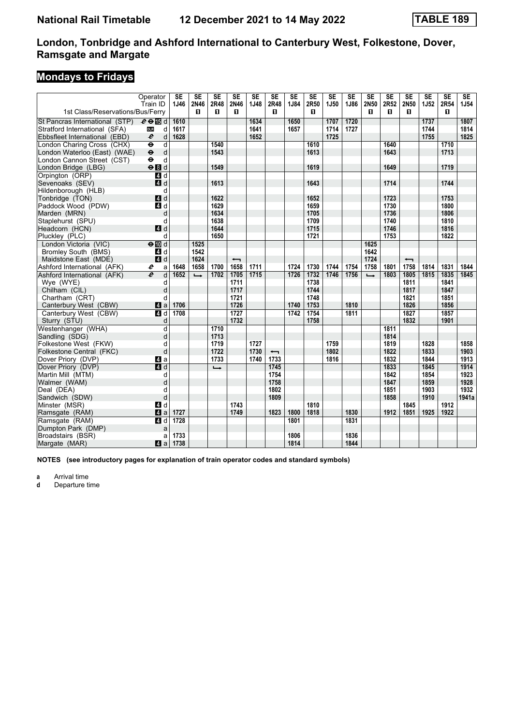# **Mondays to Fridays**

| 1J46<br>2N46<br>2R48<br>2N46<br><b>1J48</b><br>2R48<br>1J84<br>2R50<br>1J50<br>1J86<br>2N50<br>2R52<br>2N50<br><b>1J52</b><br>2R54<br>1J54<br>Train ID<br>1st Class/Reservations/Bus/Ferry<br>п<br>п<br>п<br>п<br>п<br>п<br>0<br>0<br>п<br>1634<br>1650<br>1707<br>1720<br>1737<br>1807<br>St Pancras International (STP)<br>$e \oplus \mathbb{E}$ d<br>1610<br>1617<br>1641<br>1657<br>1714<br>1727<br>1744<br>1814<br>Stratford International (SFA)<br><b>DLR</b><br>d<br>1725<br>1825<br>$\boldsymbol{\ell}$<br>1628<br>1652<br>1755<br>Ebbsfleet International (EBD)<br>d<br>London Charing Cross (CHX)<br>$\overline{\mathbf{e}}$<br>d<br>1540<br>1610<br>1640<br>1710<br>$\ddot{\boldsymbol{\Theta}}$<br>d<br>London Waterloo (East) (WAE)<br>1543<br>1613<br>1643<br>1713<br>d<br>London Cannon Street (CST)<br>$\ddot{\phantom{1}}$<br>$\Theta$ $d$<br>1549<br>1619<br>1649<br>1719<br>London Bridge (LBG)<br>$\overline{a}$ d<br>Orpington (ORP)<br>$A$ d<br>1613<br>1643<br>1714<br>1744<br>Sevenoaks (SEV)<br>Hildenborough (HLB)<br>d<br>4d<br>1622<br>1652<br>1723<br>1753<br>Tonbridge (TON)<br>Paddock Wood (PDW)<br>4d<br>1629<br>1659<br>1730<br>1800<br>1634<br>Marden (MRN)<br>1705<br>1736<br>1806<br>d<br>1638<br>1709<br>Staplehurst (SPU)<br>d<br>1740<br>1810<br>4d<br>1644<br>1715<br>1746<br>1816<br>Headcorn (HCN)<br>1650<br>1721<br>1753<br>Pluckley (PLC)<br>d<br>1822<br>London Victoria (VIC)<br>$\Theta$ $\blacksquare$ d<br>1525<br>1625<br>4 d<br><b>Bromley South (BMS)</b><br>1542<br>1642<br>4d<br>1624<br>1724<br>Maidstone East (MDE)<br>$\overline{\phantom{0}}$<br>$\overline{\phantom{0}}$<br>1700<br>1711<br>1730<br>1744<br>1754<br>1801<br>1831<br>1844<br>Ashford International (AFK)<br>e<br>1648<br>1658<br>1658<br>1724<br>1758<br>1758<br>1814<br>a<br>$\overline{e}$<br>1702<br>1705<br>1715<br>1732<br>1756<br>1805<br>1835<br>1845<br>Ashford International (AFK)<br>d<br>1652<br>1726<br>1746<br>1803<br>1815<br>$\rightarrow$<br>$\rightarrow$<br>Wye (WYE)<br>1711<br>1738<br>1811<br>1841<br>d<br>1717<br>Chilham (CIL)<br>d<br>1744<br>1817<br>1847<br>Chartham (CRT)<br>1721<br>1748<br>1821<br>1851<br>d<br>1726<br>1753<br>1706<br>1740<br>1810<br>1826<br>1856<br>Canterbury West (CBW)<br>ZI a<br>1727<br>1827<br>1708<br>1754<br>1857<br>Canterbury West (CBW)<br>1742<br>1811<br>4 d<br>1732<br>1758<br>1832<br>1901<br>Sturry (STU)<br>d |
|-------------------------------------------------------------------------------------------------------------------------------------------------------------------------------------------------------------------------------------------------------------------------------------------------------------------------------------------------------------------------------------------------------------------------------------------------------------------------------------------------------------------------------------------------------------------------------------------------------------------------------------------------------------------------------------------------------------------------------------------------------------------------------------------------------------------------------------------------------------------------------------------------------------------------------------------------------------------------------------------------------------------------------------------------------------------------------------------------------------------------------------------------------------------------------------------------------------------------------------------------------------------------------------------------------------------------------------------------------------------------------------------------------------------------------------------------------------------------------------------------------------------------------------------------------------------------------------------------------------------------------------------------------------------------------------------------------------------------------------------------------------------------------------------------------------------------------------------------------------------------------------------------------------------------------------------------------------------------------------------------------------------------------------------------------------------------------------------------------------------------------------------------------------------------------------------------------------------------------------------------------------------------------------------------------------------------------------------------------------------------------------------------------------|
|                                                                                                                                                                                                                                                                                                                                                                                                                                                                                                                                                                                                                                                                                                                                                                                                                                                                                                                                                                                                                                                                                                                                                                                                                                                                                                                                                                                                                                                                                                                                                                                                                                                                                                                                                                                                                                                                                                                                                                                                                                                                                                                                                                                                                                                                                                                                                                                                             |
|                                                                                                                                                                                                                                                                                                                                                                                                                                                                                                                                                                                                                                                                                                                                                                                                                                                                                                                                                                                                                                                                                                                                                                                                                                                                                                                                                                                                                                                                                                                                                                                                                                                                                                                                                                                                                                                                                                                                                                                                                                                                                                                                                                                                                                                                                                                                                                                                             |
|                                                                                                                                                                                                                                                                                                                                                                                                                                                                                                                                                                                                                                                                                                                                                                                                                                                                                                                                                                                                                                                                                                                                                                                                                                                                                                                                                                                                                                                                                                                                                                                                                                                                                                                                                                                                                                                                                                                                                                                                                                                                                                                                                                                                                                                                                                                                                                                                             |
|                                                                                                                                                                                                                                                                                                                                                                                                                                                                                                                                                                                                                                                                                                                                                                                                                                                                                                                                                                                                                                                                                                                                                                                                                                                                                                                                                                                                                                                                                                                                                                                                                                                                                                                                                                                                                                                                                                                                                                                                                                                                                                                                                                                                                                                                                                                                                                                                             |
|                                                                                                                                                                                                                                                                                                                                                                                                                                                                                                                                                                                                                                                                                                                                                                                                                                                                                                                                                                                                                                                                                                                                                                                                                                                                                                                                                                                                                                                                                                                                                                                                                                                                                                                                                                                                                                                                                                                                                                                                                                                                                                                                                                                                                                                                                                                                                                                                             |
|                                                                                                                                                                                                                                                                                                                                                                                                                                                                                                                                                                                                                                                                                                                                                                                                                                                                                                                                                                                                                                                                                                                                                                                                                                                                                                                                                                                                                                                                                                                                                                                                                                                                                                                                                                                                                                                                                                                                                                                                                                                                                                                                                                                                                                                                                                                                                                                                             |
|                                                                                                                                                                                                                                                                                                                                                                                                                                                                                                                                                                                                                                                                                                                                                                                                                                                                                                                                                                                                                                                                                                                                                                                                                                                                                                                                                                                                                                                                                                                                                                                                                                                                                                                                                                                                                                                                                                                                                                                                                                                                                                                                                                                                                                                                                                                                                                                                             |
|                                                                                                                                                                                                                                                                                                                                                                                                                                                                                                                                                                                                                                                                                                                                                                                                                                                                                                                                                                                                                                                                                                                                                                                                                                                                                                                                                                                                                                                                                                                                                                                                                                                                                                                                                                                                                                                                                                                                                                                                                                                                                                                                                                                                                                                                                                                                                                                                             |
|                                                                                                                                                                                                                                                                                                                                                                                                                                                                                                                                                                                                                                                                                                                                                                                                                                                                                                                                                                                                                                                                                                                                                                                                                                                                                                                                                                                                                                                                                                                                                                                                                                                                                                                                                                                                                                                                                                                                                                                                                                                                                                                                                                                                                                                                                                                                                                                                             |
|                                                                                                                                                                                                                                                                                                                                                                                                                                                                                                                                                                                                                                                                                                                                                                                                                                                                                                                                                                                                                                                                                                                                                                                                                                                                                                                                                                                                                                                                                                                                                                                                                                                                                                                                                                                                                                                                                                                                                                                                                                                                                                                                                                                                                                                                                                                                                                                                             |
|                                                                                                                                                                                                                                                                                                                                                                                                                                                                                                                                                                                                                                                                                                                                                                                                                                                                                                                                                                                                                                                                                                                                                                                                                                                                                                                                                                                                                                                                                                                                                                                                                                                                                                                                                                                                                                                                                                                                                                                                                                                                                                                                                                                                                                                                                                                                                                                                             |
|                                                                                                                                                                                                                                                                                                                                                                                                                                                                                                                                                                                                                                                                                                                                                                                                                                                                                                                                                                                                                                                                                                                                                                                                                                                                                                                                                                                                                                                                                                                                                                                                                                                                                                                                                                                                                                                                                                                                                                                                                                                                                                                                                                                                                                                                                                                                                                                                             |
|                                                                                                                                                                                                                                                                                                                                                                                                                                                                                                                                                                                                                                                                                                                                                                                                                                                                                                                                                                                                                                                                                                                                                                                                                                                                                                                                                                                                                                                                                                                                                                                                                                                                                                                                                                                                                                                                                                                                                                                                                                                                                                                                                                                                                                                                                                                                                                                                             |
|                                                                                                                                                                                                                                                                                                                                                                                                                                                                                                                                                                                                                                                                                                                                                                                                                                                                                                                                                                                                                                                                                                                                                                                                                                                                                                                                                                                                                                                                                                                                                                                                                                                                                                                                                                                                                                                                                                                                                                                                                                                                                                                                                                                                                                                                                                                                                                                                             |
|                                                                                                                                                                                                                                                                                                                                                                                                                                                                                                                                                                                                                                                                                                                                                                                                                                                                                                                                                                                                                                                                                                                                                                                                                                                                                                                                                                                                                                                                                                                                                                                                                                                                                                                                                                                                                                                                                                                                                                                                                                                                                                                                                                                                                                                                                                                                                                                                             |
|                                                                                                                                                                                                                                                                                                                                                                                                                                                                                                                                                                                                                                                                                                                                                                                                                                                                                                                                                                                                                                                                                                                                                                                                                                                                                                                                                                                                                                                                                                                                                                                                                                                                                                                                                                                                                                                                                                                                                                                                                                                                                                                                                                                                                                                                                                                                                                                                             |
|                                                                                                                                                                                                                                                                                                                                                                                                                                                                                                                                                                                                                                                                                                                                                                                                                                                                                                                                                                                                                                                                                                                                                                                                                                                                                                                                                                                                                                                                                                                                                                                                                                                                                                                                                                                                                                                                                                                                                                                                                                                                                                                                                                                                                                                                                                                                                                                                             |
|                                                                                                                                                                                                                                                                                                                                                                                                                                                                                                                                                                                                                                                                                                                                                                                                                                                                                                                                                                                                                                                                                                                                                                                                                                                                                                                                                                                                                                                                                                                                                                                                                                                                                                                                                                                                                                                                                                                                                                                                                                                                                                                                                                                                                                                                                                                                                                                                             |
|                                                                                                                                                                                                                                                                                                                                                                                                                                                                                                                                                                                                                                                                                                                                                                                                                                                                                                                                                                                                                                                                                                                                                                                                                                                                                                                                                                                                                                                                                                                                                                                                                                                                                                                                                                                                                                                                                                                                                                                                                                                                                                                                                                                                                                                                                                                                                                                                             |
|                                                                                                                                                                                                                                                                                                                                                                                                                                                                                                                                                                                                                                                                                                                                                                                                                                                                                                                                                                                                                                                                                                                                                                                                                                                                                                                                                                                                                                                                                                                                                                                                                                                                                                                                                                                                                                                                                                                                                                                                                                                                                                                                                                                                                                                                                                                                                                                                             |
|                                                                                                                                                                                                                                                                                                                                                                                                                                                                                                                                                                                                                                                                                                                                                                                                                                                                                                                                                                                                                                                                                                                                                                                                                                                                                                                                                                                                                                                                                                                                                                                                                                                                                                                                                                                                                                                                                                                                                                                                                                                                                                                                                                                                                                                                                                                                                                                                             |
|                                                                                                                                                                                                                                                                                                                                                                                                                                                                                                                                                                                                                                                                                                                                                                                                                                                                                                                                                                                                                                                                                                                                                                                                                                                                                                                                                                                                                                                                                                                                                                                                                                                                                                                                                                                                                                                                                                                                                                                                                                                                                                                                                                                                                                                                                                                                                                                                             |
|                                                                                                                                                                                                                                                                                                                                                                                                                                                                                                                                                                                                                                                                                                                                                                                                                                                                                                                                                                                                                                                                                                                                                                                                                                                                                                                                                                                                                                                                                                                                                                                                                                                                                                                                                                                                                                                                                                                                                                                                                                                                                                                                                                                                                                                                                                                                                                                                             |
|                                                                                                                                                                                                                                                                                                                                                                                                                                                                                                                                                                                                                                                                                                                                                                                                                                                                                                                                                                                                                                                                                                                                                                                                                                                                                                                                                                                                                                                                                                                                                                                                                                                                                                                                                                                                                                                                                                                                                                                                                                                                                                                                                                                                                                                                                                                                                                                                             |
|                                                                                                                                                                                                                                                                                                                                                                                                                                                                                                                                                                                                                                                                                                                                                                                                                                                                                                                                                                                                                                                                                                                                                                                                                                                                                                                                                                                                                                                                                                                                                                                                                                                                                                                                                                                                                                                                                                                                                                                                                                                                                                                                                                                                                                                                                                                                                                                                             |
|                                                                                                                                                                                                                                                                                                                                                                                                                                                                                                                                                                                                                                                                                                                                                                                                                                                                                                                                                                                                                                                                                                                                                                                                                                                                                                                                                                                                                                                                                                                                                                                                                                                                                                                                                                                                                                                                                                                                                                                                                                                                                                                                                                                                                                                                                                                                                                                                             |
|                                                                                                                                                                                                                                                                                                                                                                                                                                                                                                                                                                                                                                                                                                                                                                                                                                                                                                                                                                                                                                                                                                                                                                                                                                                                                                                                                                                                                                                                                                                                                                                                                                                                                                                                                                                                                                                                                                                                                                                                                                                                                                                                                                                                                                                                                                                                                                                                             |
|                                                                                                                                                                                                                                                                                                                                                                                                                                                                                                                                                                                                                                                                                                                                                                                                                                                                                                                                                                                                                                                                                                                                                                                                                                                                                                                                                                                                                                                                                                                                                                                                                                                                                                                                                                                                                                                                                                                                                                                                                                                                                                                                                                                                                                                                                                                                                                                                             |
|                                                                                                                                                                                                                                                                                                                                                                                                                                                                                                                                                                                                                                                                                                                                                                                                                                                                                                                                                                                                                                                                                                                                                                                                                                                                                                                                                                                                                                                                                                                                                                                                                                                                                                                                                                                                                                                                                                                                                                                                                                                                                                                                                                                                                                                                                                                                                                                                             |
| 1710<br>1811<br>Westenhanger (WHA)<br>d                                                                                                                                                                                                                                                                                                                                                                                                                                                                                                                                                                                                                                                                                                                                                                                                                                                                                                                                                                                                                                                                                                                                                                                                                                                                                                                                                                                                                                                                                                                                                                                                                                                                                                                                                                                                                                                                                                                                                                                                                                                                                                                                                                                                                                                                                                                                                                     |
| d<br>1713<br>1814<br>Sandling (SDG)                                                                                                                                                                                                                                                                                                                                                                                                                                                                                                                                                                                                                                                                                                                                                                                                                                                                                                                                                                                                                                                                                                                                                                                                                                                                                                                                                                                                                                                                                                                                                                                                                                                                                                                                                                                                                                                                                                                                                                                                                                                                                                                                                                                                                                                                                                                                                                         |
| 1727<br>Folkestone West (FKW)<br>d<br>1719<br>1759<br>1819<br>1828<br>1858                                                                                                                                                                                                                                                                                                                                                                                                                                                                                                                                                                                                                                                                                                                                                                                                                                                                                                                                                                                                                                                                                                                                                                                                                                                                                                                                                                                                                                                                                                                                                                                                                                                                                                                                                                                                                                                                                                                                                                                                                                                                                                                                                                                                                                                                                                                                  |
| d<br>Folkestone Central (FKC)<br>1722<br>1730<br>1802<br>1822<br>1833<br>1903<br>$\overline{\phantom{0}}$                                                                                                                                                                                                                                                                                                                                                                                                                                                                                                                                                                                                                                                                                                                                                                                                                                                                                                                                                                                                                                                                                                                                                                                                                                                                                                                                                                                                                                                                                                                                                                                                                                                                                                                                                                                                                                                                                                                                                                                                                                                                                                                                                                                                                                                                                                   |
| 1832<br>1913<br>Dover Priory (DVP)<br>ZI a<br>1733<br>1740<br>1733<br>1816<br>1844                                                                                                                                                                                                                                                                                                                                                                                                                                                                                                                                                                                                                                                                                                                                                                                                                                                                                                                                                                                                                                                                                                                                                                                                                                                                                                                                                                                                                                                                                                                                                                                                                                                                                                                                                                                                                                                                                                                                                                                                                                                                                                                                                                                                                                                                                                                          |
| 1833<br>1845<br>1914<br>Dover Priory (DVP)<br>4d<br>1745<br>$\rightarrow$                                                                                                                                                                                                                                                                                                                                                                                                                                                                                                                                                                                                                                                                                                                                                                                                                                                                                                                                                                                                                                                                                                                                                                                                                                                                                                                                                                                                                                                                                                                                                                                                                                                                                                                                                                                                                                                                                                                                                                                                                                                                                                                                                                                                                                                                                                                                   |
| Martin Mill (MTM)<br>1842<br>1923<br>d<br>1754<br>1854                                                                                                                                                                                                                                                                                                                                                                                                                                                                                                                                                                                                                                                                                                                                                                                                                                                                                                                                                                                                                                                                                                                                                                                                                                                                                                                                                                                                                                                                                                                                                                                                                                                                                                                                                                                                                                                                                                                                                                                                                                                                                                                                                                                                                                                                                                                                                      |
| 1758<br>d<br>1847<br>1859<br>1928<br>Walmer (WAM)                                                                                                                                                                                                                                                                                                                                                                                                                                                                                                                                                                                                                                                                                                                                                                                                                                                                                                                                                                                                                                                                                                                                                                                                                                                                                                                                                                                                                                                                                                                                                                                                                                                                                                                                                                                                                                                                                                                                                                                                                                                                                                                                                                                                                                                                                                                                                           |
| 1932<br>1802<br>1851<br>1903<br>Deal (DEA)<br>d                                                                                                                                                                                                                                                                                                                                                                                                                                                                                                                                                                                                                                                                                                                                                                                                                                                                                                                                                                                                                                                                                                                                                                                                                                                                                                                                                                                                                                                                                                                                                                                                                                                                                                                                                                                                                                                                                                                                                                                                                                                                                                                                                                                                                                                                                                                                                             |
| d<br>1809<br>1941a<br>Sandwich (SDW)<br>1858<br>1910                                                                                                                                                                                                                                                                                                                                                                                                                                                                                                                                                                                                                                                                                                                                                                                                                                                                                                                                                                                                                                                                                                                                                                                                                                                                                                                                                                                                                                                                                                                                                                                                                                                                                                                                                                                                                                                                                                                                                                                                                                                                                                                                                                                                                                                                                                                                                        |
| 4d<br>1845<br>1912<br>Minster (MSR)<br>1743<br>1810                                                                                                                                                                                                                                                                                                                                                                                                                                                                                                                                                                                                                                                                                                                                                                                                                                                                                                                                                                                                                                                                                                                                                                                                                                                                                                                                                                                                                                                                                                                                                                                                                                                                                                                                                                                                                                                                                                                                                                                                                                                                                                                                                                                                                                                                                                                                                         |
| 1727<br>1823<br>1818<br>1830<br>1912<br>1925<br>4a<br>1749<br>1800<br>1851<br>1922<br>Ramsgate (RAM)                                                                                                                                                                                                                                                                                                                                                                                                                                                                                                                                                                                                                                                                                                                                                                                                                                                                                                                                                                                                                                                                                                                                                                                                                                                                                                                                                                                                                                                                                                                                                                                                                                                                                                                                                                                                                                                                                                                                                                                                                                                                                                                                                                                                                                                                                                        |
| 4d<br>1728<br>1831<br>Ramsgate (RAM)<br>1801                                                                                                                                                                                                                                                                                                                                                                                                                                                                                                                                                                                                                                                                                                                                                                                                                                                                                                                                                                                                                                                                                                                                                                                                                                                                                                                                                                                                                                                                                                                                                                                                                                                                                                                                                                                                                                                                                                                                                                                                                                                                                                                                                                                                                                                                                                                                                                |
| Dumpton Park (DMP)<br>a                                                                                                                                                                                                                                                                                                                                                                                                                                                                                                                                                                                                                                                                                                                                                                                                                                                                                                                                                                                                                                                                                                                                                                                                                                                                                                                                                                                                                                                                                                                                                                                                                                                                                                                                                                                                                                                                                                                                                                                                                                                                                                                                                                                                                                                                                                                                                                                     |
| 1733<br>Broadstairs (BSR)<br>1806<br>1836<br>a                                                                                                                                                                                                                                                                                                                                                                                                                                                                                                                                                                                                                                                                                                                                                                                                                                                                                                                                                                                                                                                                                                                                                                                                                                                                                                                                                                                                                                                                                                                                                                                                                                                                                                                                                                                                                                                                                                                                                                                                                                                                                                                                                                                                                                                                                                                                                              |
| ZI a<br>1738<br>1814<br>1844<br>Margate (MAR)                                                                                                                                                                                                                                                                                                                                                                                                                                                                                                                                                                                                                                                                                                                                                                                                                                                                                                                                                                                                                                                                                                                                                                                                                                                                                                                                                                                                                                                                                                                                                                                                                                                                                                                                                                                                                                                                                                                                                                                                                                                                                                                                                                                                                                                                                                                                                               |

**NOTES (see introductory pages for explanation of train operator codes and standard symbols)**

**a** Arrival time<br>**d** Departure ti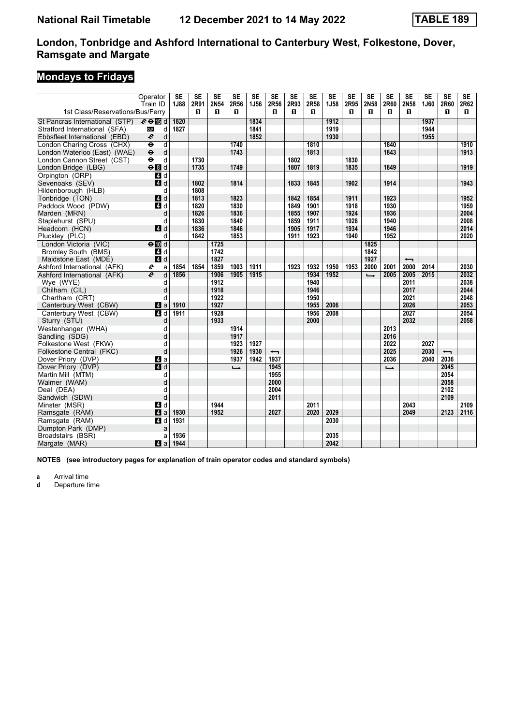# **Mondays to Fridays**

|                                  | Operator                                           | <b>SE</b> | $\overline{\text{SE}}$ | $\overline{\text{SE}}$ | $\overline{\text{SE}}$ | $\overline{\text{SE}}$ | $\overline{\text{SE}}$   | $\overline{\text{SE}}$ | $\overline{\text{SE}}$ | $\overline{\text{SE}}$ | $\overline{\text{SE}}$ | $\overline{\text{SE}}$ | $\overline{\text{SE}}$ | $\overline{\text{SE}}$   | $\overline{\text{SE}}$ | SE                       | SE   |
|----------------------------------|----------------------------------------------------|-----------|------------------------|------------------------|------------------------|------------------------|--------------------------|------------------------|------------------------|------------------------|------------------------|------------------------|------------------------|--------------------------|------------------------|--------------------------|------|
|                                  | Train ID                                           | 1J88      | 2R91                   | 2N54                   | 2R56                   | <b>1J56</b>            | 2R56                     | 2R93                   | 2R58                   | <b>1J58</b>            | 2R95                   | 2N58                   | 2R60                   | 2N58                     | 1J60                   | 2R60                     | 2R62 |
| 1st Class/Reservations/Bus/Ferry |                                                    |           | п                      | п                      | 0                      |                        | п                        | п.                     | 0                      |                        | п                      | п                      | п                      | п                        |                        | п                        | П.   |
| St Pancras International (STP)   | $e \oplus \mathbb{E}$ d                            | 1820      |                        |                        |                        | 1834                   |                          |                        |                        | 1912                   |                        |                        |                        |                          | 1937                   |                          |      |
| Stratford International (SFA)    | <b>DLR</b><br>d                                    | 1827      |                        |                        |                        | 1841                   |                          |                        |                        | 1919                   |                        |                        |                        |                          | 1944                   |                          |      |
| Ebbsfleet International (EBD)    | $\boldsymbol{\ell}$<br>d                           |           |                        |                        |                        | 1852                   |                          |                        |                        | 1930                   |                        |                        |                        |                          | 1955                   |                          |      |
| London Charing Cross (CHX)       | $\overline{\mathsf{d}}$<br>$\overline{\mathbf{e}}$ |           |                        |                        | 1740                   |                        |                          |                        | 1810                   |                        |                        |                        | 1840                   |                          |                        |                          | 1910 |
| London Waterloo (East) (WAE)     | $\ddot{\boldsymbol{\theta}}$<br>d                  |           |                        |                        | 1743                   |                        |                          |                        | 1813                   |                        |                        |                        | 1843                   |                          |                        |                          | 1913 |
| London Cannon Street (CST)       | $\ddot{\bullet}$<br>d                              |           | 1730                   |                        |                        |                        |                          | 1802                   |                        |                        | 1830                   |                        |                        |                          |                        |                          |      |
| London Bridge (LBG)              | $\Theta$ $d$                                       |           | 1735                   |                        | 1749                   |                        |                          | 1807                   | 1819                   |                        | 1835                   |                        | 1849                   |                          |                        |                          | 1919 |
| Orpington (ORP)                  | $\overline{a}$ d                                   |           |                        |                        |                        |                        |                          |                        |                        |                        |                        |                        |                        |                          |                        |                          |      |
| Sevenoaks (SEV)                  | $A$ d                                              |           | 1802                   |                        | 1814                   |                        |                          | 1833                   | 1845                   |                        | 1902                   |                        | 1914                   |                          |                        |                          | 1943 |
| Hildenborough (HLB)              | d                                                  |           | 1808                   |                        |                        |                        |                          |                        |                        |                        |                        |                        |                        |                          |                        |                          |      |
| Tonbridge (TON)                  | 4d                                                 |           | 1813                   |                        | 1823                   |                        |                          | 1842                   | 1854                   |                        | 1911                   |                        | 1923                   |                          |                        |                          | 1952 |
| Paddock Wood (PDW)               | 4d                                                 |           | 1820                   |                        | 1830                   |                        |                          | 1849                   | 1901                   |                        | 1918                   |                        | 1930                   |                          |                        |                          | 1959 |
| Marden (MRN)                     | d                                                  |           | 1826                   |                        | 1836                   |                        |                          | 1855                   | 1907                   |                        | 1924                   |                        | 1936                   |                          |                        |                          | 2004 |
| Staplehurst (SPU)                | d                                                  |           | 1830                   |                        | 1840                   |                        |                          | 1859                   | 1911                   |                        | 1928                   |                        | 1940                   |                          |                        |                          | 2008 |
| Headcorn (HCN)                   | 4d                                                 |           | 1836                   |                        | 1846                   |                        |                          | 1905                   | 1917                   |                        | 1934                   |                        | 1946                   |                          |                        |                          | 2014 |
| Pluckley (PLC)                   | d                                                  |           | 1842                   |                        | 1853                   |                        |                          | 1911                   | 1923                   |                        | 1940                   |                        | 1952                   |                          |                        |                          | 2020 |
| London Victoria (VIC)            | $\Theta$ $\overline{m}$ d                          |           |                        | 1725                   |                        |                        |                          |                        |                        |                        |                        | 1825                   |                        |                          |                        |                          |      |
| <b>Bromley South (BMS)</b>       | 4 d                                                |           |                        | 1742                   |                        |                        |                          |                        |                        |                        |                        | 1842                   |                        |                          |                        |                          |      |
| Maidstone East (MDE)             | 4d                                                 |           |                        | 1827                   |                        |                        |                          |                        |                        |                        |                        | 1927                   |                        | $\overline{\phantom{0}}$ |                        |                          |      |
| Ashford International (AFK)      | e<br>a                                             | 1854      | 1854                   | 1859                   | 1903                   | 1911                   |                          | 1923                   | 1932                   | 1950                   | 1953                   | 2000                   | 2001                   | 2000                     | 2014                   |                          | 2030 |
| Ashford International (AFK)      | $\overline{e}$<br>d                                | 1856      |                        | 1906                   | 1905                   | 1915                   |                          |                        | 1934                   | 1952                   |                        | $\rightarrow$          | 2005                   | 2005                     | 2015                   |                          | 2032 |
| Wye (WYE)                        | d                                                  |           |                        | 1912                   |                        |                        |                          |                        | 1940                   |                        |                        |                        |                        | 2011                     |                        |                          | 2038 |
| Chilham (CIL)                    | d                                                  |           |                        | 1918                   |                        |                        |                          |                        | 1946                   |                        |                        |                        |                        | 2017                     |                        |                          | 2044 |
| Chartham (CRT)                   | d                                                  |           |                        | 1922                   |                        |                        |                          |                        | 1950                   |                        |                        |                        |                        | 2021                     |                        |                          | 2048 |
| Canterbury West (CBW)            | 4 a                                                | 1910      |                        | 1927                   |                        |                        |                          |                        | 1955                   | 2006                   |                        |                        |                        | 2026                     |                        |                          | 2053 |
| Canterbury West (CBW)            | 4 d                                                | 1911      |                        | 1928                   |                        |                        |                          |                        | 1956                   | 2008                   |                        |                        |                        | 2027                     |                        |                          | 2054 |
| Sturry (STU)                     | d                                                  |           |                        | 1933                   |                        |                        |                          |                        | 2000                   |                        |                        |                        |                        | 2032                     |                        |                          | 2058 |
| Westenhanger (WHA)               | d                                                  |           |                        |                        | 1914                   |                        |                          |                        |                        |                        |                        |                        | 2013                   |                          |                        |                          |      |
| Sandling (SDG)                   | d                                                  |           |                        |                        | 1917                   |                        |                          |                        |                        |                        |                        |                        | 2016                   |                          |                        |                          |      |
| Folkestone West (FKW)            | d                                                  |           |                        |                        | 1923                   | 1927                   |                          |                        |                        |                        |                        |                        | 2022                   |                          | 2027                   |                          |      |
| Folkestone Central (FKC)         | d                                                  |           |                        |                        | 1926                   | 1930                   | $\overline{\phantom{0}}$ |                        |                        |                        |                        |                        | 2025                   |                          | 2030                   | $\overline{\phantom{0}}$ |      |
| Dover Priory (DVP)               | ZI a                                               |           |                        |                        | 1937                   | 1942                   | 1937                     |                        |                        |                        |                        |                        | 2036                   |                          | 2040                   | 2036                     |      |
| Dover Priory (DVP)               | 4d                                                 |           |                        |                        | $\rightarrow$          |                        | 1945                     |                        |                        |                        |                        |                        | $\rightarrow$          |                          |                        | 2045                     |      |
| Martin Mill (MTM)                | d                                                  |           |                        |                        |                        |                        | 1955                     |                        |                        |                        |                        |                        |                        |                          |                        | 2054                     |      |
| Walmer (WAM)                     | d                                                  |           |                        |                        |                        |                        | 2000                     |                        |                        |                        |                        |                        |                        |                          |                        | 2058                     |      |
| Deal (DEA)                       | d                                                  |           |                        |                        |                        |                        | 2004                     |                        |                        |                        |                        |                        |                        |                          |                        | 2102                     |      |
| Sandwich (SDW)                   | d                                                  |           |                        |                        |                        |                        | 2011                     |                        |                        |                        |                        |                        |                        |                          |                        | 2109                     |      |
| Minster (MSR)                    | 4d                                                 |           |                        | 1944                   |                        |                        |                          |                        | 2011                   |                        |                        |                        |                        | 2043                     |                        |                          | 2109 |
| Ramsgate (RAM)                   | 4a                                                 | 1930      |                        | 1952                   |                        |                        | 2027                     |                        | 2020                   | 2029                   |                        |                        |                        | 2049                     |                        | 2123                     | 2116 |
| Ramsgate (RAM)                   | 4d                                                 | 1931      |                        |                        |                        |                        |                          |                        |                        | 2030                   |                        |                        |                        |                          |                        |                          |      |
| Dumpton Park (DMP)               | a                                                  |           |                        |                        |                        |                        |                          |                        |                        |                        |                        |                        |                        |                          |                        |                          |      |
| Broadstairs (BSR)                | a                                                  | 1936      |                        |                        |                        |                        |                          |                        |                        | 2035                   |                        |                        |                        |                          |                        |                          |      |
| Margate (MAR)                    | ZI a                                               | 1944      |                        |                        |                        |                        |                          |                        |                        | 2042                   |                        |                        |                        |                          |                        |                          |      |
|                                  |                                                    |           |                        |                        |                        |                        |                          |                        |                        |                        |                        |                        |                        |                          |                        |                          |      |

**NOTES (see introductory pages for explanation of train operator codes and standard symbols)**

**a** Arrival time<br>**d** Departure ti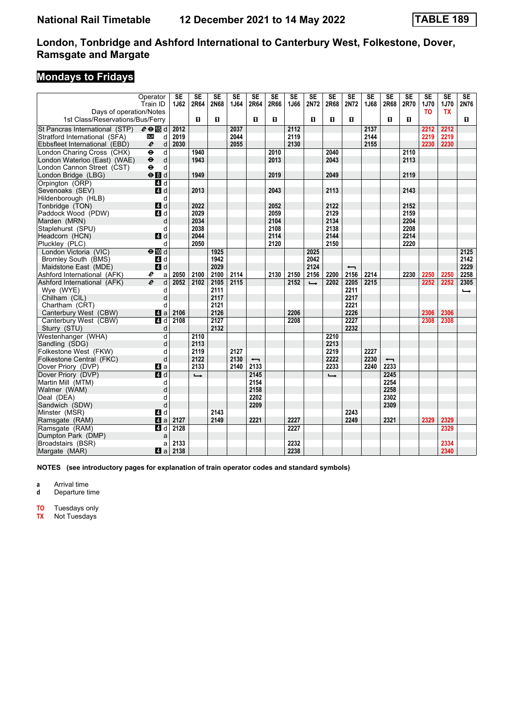# **Mondays to Fridays**

|                                                            | Operator<br>Train ID                                | <b>SE</b><br>1J62 | $\overline{\text{SE}}$<br>2R64 | $\overline{\text{SE}}$<br>2N68 | $\overline{\text{SE}}$<br>1J64 | $\overline{\text{SE}}$<br>2R64 | <b>SE</b><br>2R66 | $\overline{\text{SE}}$<br>1J66 | <b>SE</b><br>2N72 | $\overline{\text{SE}}$<br>2R68 | $\overline{\text{SE}}$<br>2N72 | $\overline{\text{SE}}$<br>1J68 | SE<br>2R68               | $\overline{\text{SE}}$<br>2R70 | <b>SE</b><br>1J70 | $\overline{\text{SE}}$<br>1J70 | $\overline{\text{SE}}$<br>2N76 |
|------------------------------------------------------------|-----------------------------------------------------|-------------------|--------------------------------|--------------------------------|--------------------------------|--------------------------------|-------------------|--------------------------------|-------------------|--------------------------------|--------------------------------|--------------------------------|--------------------------|--------------------------------|-------------------|--------------------------------|--------------------------------|
| Days of operation/Notes                                    |                                                     |                   |                                |                                |                                |                                |                   |                                |                   |                                |                                |                                |                          |                                | TO                | <b>TX</b>                      |                                |
| 1st Class/Reservations/Bus/Ferry                           |                                                     |                   | п                              | п                              |                                | п                              | 0                 |                                | П.                | п                              | п                              |                                | п                        | п                              |                   |                                | П.                             |
| St Pancras International (STP) $e \oplus \mathbb{F}$ d     |                                                     | 2012              |                                |                                | 2037                           |                                |                   | 2112                           |                   |                                |                                | 2137                           |                          |                                | 2212              | 2212                           |                                |
| Stratford International (SFA)                              | d<br><b>DLR</b>                                     | 2019              |                                |                                | 2044                           |                                |                   | 2119                           |                   |                                |                                | 2144                           |                          |                                | 2219              | 2219                           |                                |
| Ebbsfleet International (EBD)                              | $\boldsymbol{\ell}$<br>d                            | 2030              |                                |                                | 2055                           |                                |                   | 2130                           |                   |                                |                                | 2155                           |                          |                                | 2230              | 2230                           |                                |
| London Charing Cross (CHX)                                 | $\ddot{\mathbf{e}}$<br>$\mathsf{d}$                 |                   | 1940                           |                                |                                |                                | 2010              |                                |                   | 2040                           |                                |                                |                          | 2110                           |                   |                                |                                |
| London Waterloo (East) (WAE)<br>London Cannon Street (CST) | $\ddot{\boldsymbol{\Theta}}$<br>d<br>$\bullet$<br>d |                   | 1943                           |                                |                                |                                | 2013              |                                |                   | 2043                           |                                |                                |                          | 2113                           |                   |                                |                                |
| London Bridge (LBG)                                        | $\Theta$ $d$                                        |                   | 1949                           |                                |                                |                                | 2019              |                                |                   | 2049                           |                                |                                |                          | 2119                           |                   |                                |                                |
| Orpington (ORP)                                            | 4 d                                                 |                   |                                |                                |                                |                                |                   |                                |                   |                                |                                |                                |                          |                                |                   |                                |                                |
| Sevenoaks (SEV)                                            | 4d                                                  |                   | 2013                           |                                |                                |                                | 2043              |                                |                   | 2113                           |                                |                                |                          | 2143                           |                   |                                |                                |
| Hildenborough (HLB)                                        | d                                                   |                   |                                |                                |                                |                                |                   |                                |                   |                                |                                |                                |                          |                                |                   |                                |                                |
| Tonbridge (TON)                                            | 4 d                                                 |                   | 2022                           |                                |                                |                                | 2052              |                                |                   | 2122                           |                                |                                |                          | 2152                           |                   |                                |                                |
| Paddock Wood (PDW)                                         | 4d                                                  |                   | 2029                           |                                |                                |                                | 2059              |                                |                   | 2129                           |                                |                                |                          | 2159                           |                   |                                |                                |
| Marden (MRN)                                               | d                                                   |                   | 2034                           |                                |                                |                                | 2104              |                                |                   | 2134                           |                                |                                |                          | 2204                           |                   |                                |                                |
| Staplehurst (SPU)                                          | d                                                   |                   | 2038                           |                                |                                |                                | 2108              |                                |                   | 2138                           |                                |                                |                          | 2208                           |                   |                                |                                |
| Headcorn (HCN)                                             | 4 d                                                 |                   | 2044                           |                                |                                |                                | 2114              |                                |                   | 2144                           |                                |                                |                          | 2214                           |                   |                                |                                |
| Pluckley (PLC)                                             | d                                                   |                   | 2050                           |                                |                                |                                | 2120              |                                |                   | 2150                           |                                |                                |                          | 2220                           |                   |                                |                                |
| London Victoria (VIC)<br>Bromley South (BMS)               | $\Theta$ III d<br>4 d                               |                   |                                | 1925<br>1942                   |                                |                                |                   |                                | 2025<br>2042      |                                |                                |                                |                          |                                |                   |                                | 2125<br>2142                   |
| Maidstone East (MDE)                                       | 4d                                                  |                   |                                | 2029                           |                                |                                |                   |                                | 2124              |                                | $\overline{\phantom{0}}$       |                                |                          |                                |                   |                                | 2229                           |
| Ashford International (AFK)                                | e<br>a                                              | 2050              | 2100                           | 2100                           | 2114                           |                                | 2130              | 2150                           | 2156              | 2200                           | 2156                           | 2214                           |                          | 2230                           | 2250              | 2250                           | 2258                           |
| Ashford International (AFK)                                | $\boldsymbol{e}$<br>d                               | 2052              | 2102                           | 2105                           | 2115                           |                                |                   | 2152                           | $\rightarrow$     | 2202                           | 2205                           | 2215                           |                          |                                | 2252              | 2252                           | 2305                           |
| Wye (WYE)                                                  | d                                                   |                   |                                | 2111                           |                                |                                |                   |                                |                   |                                | 2211                           |                                |                          |                                |                   |                                | $\rightarrow$                  |
| Chilham (CIL)                                              | d                                                   |                   |                                | 2117                           |                                |                                |                   |                                |                   |                                | 2217                           |                                |                          |                                |                   |                                |                                |
| Chartham (CRT)                                             | d                                                   |                   |                                | 2121                           |                                |                                |                   |                                |                   |                                | 2221                           |                                |                          |                                |                   |                                |                                |
| Canterbury West (CBW)                                      | ZI a                                                | 2106              |                                | 2126                           |                                |                                |                   | 2206                           |                   |                                | 2226                           |                                |                          |                                | 2306              | 2306                           |                                |
| Canterbury West (CBW)                                      | 4 d                                                 | 2108              |                                | 2127                           |                                |                                |                   | 2208                           |                   |                                | 2227                           |                                |                          |                                | 2308              | 2308                           |                                |
| Sturry (STU)                                               | d                                                   |                   |                                | 2132                           |                                |                                |                   |                                |                   |                                | 2232                           |                                |                          |                                |                   |                                |                                |
| Westenhanger (WHA)                                         | d                                                   |                   | 2110                           |                                |                                |                                |                   |                                |                   | 2210                           |                                |                                |                          |                                |                   |                                |                                |
| Sandling (SDG)<br>Folkestone West (FKW)                    | d                                                   |                   | 2113                           |                                | 2127                           |                                |                   |                                |                   | 2213                           |                                | 2227                           |                          |                                |                   |                                |                                |
| Folkestone Central (FKC)                                   | d<br>d                                              |                   | 2119<br>2122                   |                                | 2130                           | $\overline{\phantom{0}}$       |                   |                                |                   | 2219<br>2222                   |                                | 2230                           | $\overline{\phantom{0}}$ |                                |                   |                                |                                |
| Dover Priory (DVP)                                         | 4 a                                                 |                   | 2133                           |                                | 2140                           | 2133                           |                   |                                |                   | 2233                           |                                | 2240                           | 2233                     |                                |                   |                                |                                |
| Dover Priory (DVP)                                         | 4d                                                  |                   | $\rightarrow$                  |                                |                                | 2145                           |                   |                                |                   | $\rightarrow$                  |                                |                                | 2245                     |                                |                   |                                |                                |
| Martin Mill (MTM)                                          | d                                                   |                   |                                |                                |                                | 2154                           |                   |                                |                   |                                |                                |                                | 2254                     |                                |                   |                                |                                |
| Walmer (WAM)                                               | d                                                   |                   |                                |                                |                                | 2158                           |                   |                                |                   |                                |                                |                                | 2258                     |                                |                   |                                |                                |
| Deal (DEA)                                                 | d                                                   |                   |                                |                                |                                | 2202                           |                   |                                |                   |                                |                                |                                | 2302                     |                                |                   |                                |                                |
| Sandwich (SDW)                                             | d                                                   |                   |                                |                                |                                | 2209                           |                   |                                |                   |                                |                                |                                | 2309                     |                                |                   |                                |                                |
| Minster (MSR)                                              | 4 d                                                 |                   |                                | 2143                           |                                |                                |                   |                                |                   |                                | 2243                           |                                |                          |                                |                   |                                |                                |
| Ramsgate (RAM)                                             | $\mathbf{a}$                                        | 2127              |                                | 2149                           |                                | 2221                           |                   | 2227                           |                   |                                | 2249                           |                                | 2321                     |                                | 2329              | 2329                           |                                |
| Ramsgate (RAM)                                             | 4 d                                                 | 2128              |                                |                                |                                |                                |                   | 2227                           |                   |                                |                                |                                |                          |                                |                   | 2329                           |                                |
| Dumpton Park (DMP)                                         | a                                                   |                   |                                |                                |                                |                                |                   |                                |                   |                                |                                |                                |                          |                                |                   |                                |                                |
| Broadstairs (BSR)                                          | a                                                   | 2133<br>2138      |                                |                                |                                |                                |                   | 2232<br>2238                   |                   |                                |                                |                                |                          |                                |                   | 2334<br>2340                   |                                |
| Margate (MAR)                                              | ZI a                                                |                   |                                |                                |                                |                                |                   |                                |                   |                                |                                |                                |                          |                                |                   |                                |                                |

**NOTES (see introductory pages for explanation of train operator codes and standard symbols)**

**a** Arrival time

**d** Departure time

**TO** Tuesdays only

**TX** Not Tuesdays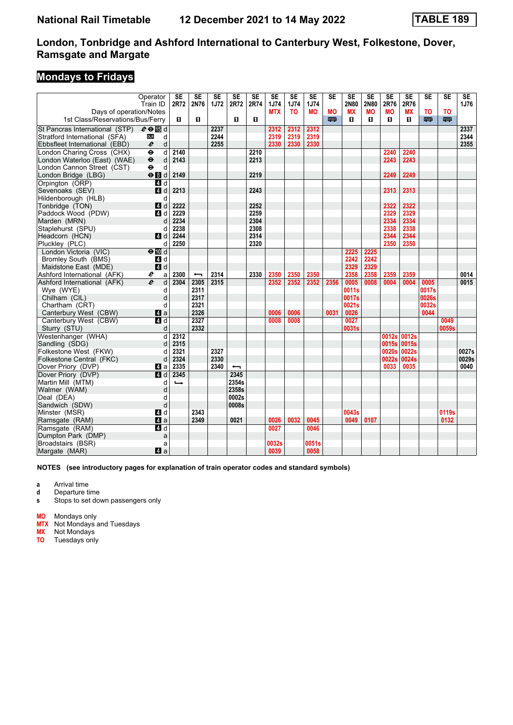# **Mondays to Fridays**

|                                                                                   | Operator                          | <b>SE</b>     | $\overline{\text{SE}}$   | $\overline{\text{SE}}$ | $\overline{\text{SE}}$   | $\overline{\text{SE}}$ | $\overline{\text{SE}}$ | $\overline{\text{SE}}$ | $\overline{\text{SE}}$ | $\overline{\text{SE}}$ | $\overline{\text{SE}}$ | $\overline{\text{SE}}$ | $\overline{\text{SE}}$ | $\overline{\text{SE}}$ | $\overline{\text{SE}}$ | $\overline{\text{SE}}$ | $\overline{\text{SE}}$ |
|-----------------------------------------------------------------------------------|-----------------------------------|---------------|--------------------------|------------------------|--------------------------|------------------------|------------------------|------------------------|------------------------|------------------------|------------------------|------------------------|------------------------|------------------------|------------------------|------------------------|------------------------|
| Days of operation/Notes                                                           | Train ID                          | 2R72          | 2N76                     | 1J72                   | 2R72                     | 2R74                   | 1J74<br><b>MTX</b>     | 1J74<br>T <sub>0</sub> | 1J74<br><b>MO</b>      | <b>MO</b>              | 2N80<br><b>MX</b>      | 2N80<br><b>MO</b>      | 2R76<br><b>MO</b>      | 2R76<br><b>MX</b>      | ΤO                     | T <sub>0</sub>         | 1J76                   |
| 1st Class/Reservations/Bus/Ferry                                                  |                                   | П.            | $\mathbf{u}$             |                        | П.                       | п                      |                        |                        |                        | 罒                      | п                      | п                      | п                      | п                      | 四                      | 罒                      |                        |
|                                                                                   |                                   |               |                          | 2237                   |                          |                        | 2312                   | 2312                   | 2312                   |                        |                        |                        |                        |                        |                        |                        | 2337                   |
| St Pancras International (STP) $e \oplus \Box$ d<br>Stratford International (SFA) | d<br><b>DLR</b>                   |               |                          | 2244                   |                          |                        | 2319                   | 2319                   | 2319                   |                        |                        |                        |                        |                        |                        |                        | 2344                   |
| Ebbsfleet International (EBD)                                                     | $\mathsf{d}$<br>e                 |               |                          | 2255                   |                          |                        | 2330                   | 2330                   | 2330                   |                        |                        |                        |                        |                        |                        |                        | 2355                   |
| London Charing Cross (CHX)                                                        | $\bullet$<br>d                    | 2140          |                          |                        |                          | 2210                   |                        |                        |                        |                        |                        |                        | 2240                   | 2240                   |                        |                        |                        |
| London Waterloo (East) (WAE)                                                      | d<br>$\ddot{\boldsymbol{\Theta}}$ | 2143          |                          |                        |                          | 2213                   |                        |                        |                        |                        |                        |                        | 2243                   | 2243                   |                        |                        |                        |
| London Cannon Street (CST)                                                        | $\ddot{\mathbf{e}}$<br>d          |               |                          |                        |                          |                        |                        |                        |                        |                        |                        |                        |                        |                        |                        |                        |                        |
| London Bridge (LBG)                                                               | $\Theta$ $\blacksquare$ d         | 2149          |                          |                        |                          | 2219                   |                        |                        |                        |                        |                        |                        | 2249                   | 2249                   |                        |                        |                        |
| Orpington (ORP)                                                                   | 4d                                |               |                          |                        |                          |                        |                        |                        |                        |                        |                        |                        |                        |                        |                        |                        |                        |
| Sevenoaks (SEV)                                                                   | $\blacksquare$<br>d               | 2213          |                          |                        |                          | 2243                   |                        |                        |                        |                        |                        |                        | 2313                   | 2313                   |                        |                        |                        |
| Hildenborough (HLB)                                                               | d                                 |               |                          |                        |                          |                        |                        |                        |                        |                        |                        |                        |                        |                        |                        |                        |                        |
| Tonbridge (TON)                                                                   | 4 d                               | 2222          |                          |                        |                          | 2252                   |                        |                        |                        |                        |                        |                        | 2322                   | 2322                   |                        |                        |                        |
| Paddock Wood (PDW)<br>Marden (MRN)                                                | 4 d<br>d                          | 2229<br>2234  |                          |                        |                          | 2259<br>2304           |                        |                        |                        |                        |                        |                        | 2329<br>2334           | 2329<br>2334           |                        |                        |                        |
| Staplehurst (SPU)                                                                 | d                                 | 2238          |                          |                        |                          | 2308                   |                        |                        |                        |                        |                        |                        | 2338                   | 2338                   |                        |                        |                        |
| Headcorn (HCN)                                                                    | 4 d                               | 2244          |                          |                        |                          | 2314                   |                        |                        |                        |                        |                        |                        | 2344                   | 2344                   |                        |                        |                        |
| Pluckley (PLC)                                                                    | d                                 | 2250          |                          |                        |                          | 2320                   |                        |                        |                        |                        |                        |                        | 2350                   | 2350                   |                        |                        |                        |
| London Victoria (VIC)                                                             | $\Theta$ III d                    |               |                          |                        |                          |                        |                        |                        |                        |                        | 2225                   | 2225                   |                        |                        |                        |                        |                        |
| Bromley South (BMS)                                                               | 4 d                               |               |                          |                        |                          |                        |                        |                        |                        |                        | 2242                   | 2242                   |                        |                        |                        |                        |                        |
| Maidstone East (MDE)                                                              | 4d                                |               |                          |                        |                          |                        |                        |                        |                        |                        | 2329                   | 2329                   |                        |                        |                        |                        |                        |
| Ashford International (AFK)                                                       | e<br>a                            | 2300          | $\overline{\phantom{0}}$ | 2314                   |                          | 2330                   | 2350                   | 2350                   | 2350                   |                        | 2358                   | 2358                   | 2359                   | 2359                   |                        |                        | 0014                   |
| Ashford International (AFK)                                                       | d<br>e                            | 2304          | 2305                     | 2315                   |                          |                        | 2352                   | 2352                   | 2352                   | 2356                   | 0005                   | 0008                   | 0004                   | 0004                   | 0005                   |                        | 0015                   |
| Wye (WYE)                                                                         | d                                 |               | 2311                     |                        |                          |                        |                        |                        |                        |                        | 0011s                  |                        |                        |                        | 0017s                  |                        |                        |
| Chilham (CIL)                                                                     | d                                 |               | 2317                     |                        |                          |                        |                        |                        |                        |                        | 0017s                  |                        |                        |                        | 0026s                  |                        |                        |
| Chartham (CRT)                                                                    | d<br>$\blacksquare$ a             |               | 2321<br>2326             |                        |                          |                        |                        | 0006                   |                        |                        | 0021s<br>0026          |                        |                        |                        | 0032s<br>0044          |                        |                        |
| Canterbury West (CBW)<br>Canterbury West (CBW)                                    | 4 d                               |               | 2327                     |                        |                          |                        | 0006<br>0008           | 0008                   |                        | 0031                   | 0027                   |                        |                        |                        |                        | 0049                   |                        |
| Sturry (STU)                                                                      | d                                 |               | 2332                     |                        |                          |                        |                        |                        |                        |                        | 0031s                  |                        |                        |                        |                        | 0059s                  |                        |
| Westenhanger (WHA)                                                                | d                                 | 2312          |                          |                        |                          |                        |                        |                        |                        |                        |                        |                        | 0012s                  | 0012s                  |                        |                        |                        |
| Sandling (SDG)                                                                    | d                                 | 2315          |                          |                        |                          |                        |                        |                        |                        |                        |                        |                        | 0015s                  | 0015s                  |                        |                        |                        |
| Folkestone West (FKW)                                                             | d                                 | 2321          |                          | 2327                   |                          |                        |                        |                        |                        |                        |                        |                        | 0020s                  | 0022s                  |                        |                        | 0027s                  |
| Folkestone Central (FKC)                                                          | d                                 | 2324          |                          | 2330                   |                          |                        |                        |                        |                        |                        |                        |                        | 0022s                  | 0024s                  |                        |                        | 0029s                  |
| Dover Priory (DVP)                                                                | 41 a                              | 2335          |                          | 2340                   | $\overline{\phantom{0}}$ |                        |                        |                        |                        |                        |                        |                        | 0033                   | 0035                   |                        |                        | 0040                   |
| Dover Priory (DVP)                                                                | 4d                                | 2345          |                          |                        | 2345                     |                        |                        |                        |                        |                        |                        |                        |                        |                        |                        |                        |                        |
| Martin Mill (MTM)                                                                 | d                                 | $\rightarrow$ |                          |                        | 2354s                    |                        |                        |                        |                        |                        |                        |                        |                        |                        |                        |                        |                        |
| Walmer (WAM)                                                                      | d                                 |               |                          |                        | 2358s                    |                        |                        |                        |                        |                        |                        |                        |                        |                        |                        |                        |                        |
| Deal (DEA)                                                                        | d<br>d                            |               |                          |                        | 0002s                    |                        |                        |                        |                        |                        |                        |                        |                        |                        |                        |                        |                        |
| Sandwich (SDW)<br>Minster (MSR)                                                   | 4 d                               |               | 2343                     |                        | 0008s                    |                        |                        |                        |                        |                        | 0043s                  |                        |                        |                        |                        | 0119s                  |                        |
| Ramsgate (RAM)                                                                    | $\mathbf{a}$                      |               | 2349                     |                        | 0021                     |                        | 0026                   | 0032                   | 0045                   |                        | 0049                   | 0107                   |                        |                        |                        | 0132                   |                        |
| Ramsgate (RAM)                                                                    | $\overline{a}$ d                  |               |                          |                        |                          |                        | 0027                   |                        | 0046                   |                        |                        |                        |                        |                        |                        |                        |                        |
| Dumpton Park (DMP)                                                                | a                                 |               |                          |                        |                          |                        |                        |                        |                        |                        |                        |                        |                        |                        |                        |                        |                        |
| Broadstairs (BSR)                                                                 | a                                 |               |                          |                        |                          |                        | 0032s                  |                        | 0051s                  |                        |                        |                        |                        |                        |                        |                        |                        |
| Margate (MAR)                                                                     | ZI a                              |               |                          |                        |                          |                        | 0039                   |                        | 0058                   |                        |                        |                        |                        |                        |                        |                        |                        |

**NOTES (see introductory pages for explanation of train operator codes and standard symbols)**

**a** Arrival time

**d** Departure time

**s** Stops to set down passengers only

**MO** Mondays only

**MTX** Not Mondays and Tuesdays

**MX** Not Mondays

**TO** Tuesdays only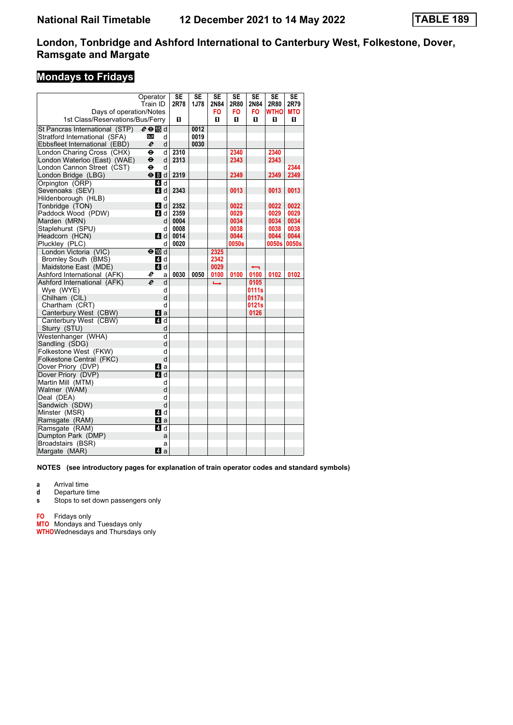# **Mondays to Fridays**

|                                  | Operator                          | <b>SE</b> | SE   | SE            | SE    | SE                       | <b>SE</b>   | <b>SE</b>  |
|----------------------------------|-----------------------------------|-----------|------|---------------|-------|--------------------------|-------------|------------|
|                                  | Train ID                          | 2R78      | 1J78 | 2N84          | 2R80  | 2N84                     | 2R80        | 2R79       |
| Days of operation/Notes          |                                   |           |      | FO            | FO    | FO.                      | <b>WTHO</b> | <b>MTO</b> |
| 1st Class/Reservations/Bus/Ferry |                                   | п         |      | п             | п     | п                        | п           | п          |
| St Pancras International (STP)   | $e \oplus \mathbb{F}$ d           |           | 0012 |               |       |                          |             |            |
| Stratford International (SFA)    | <b>DLR</b><br>d                   |           | 0019 |               |       |                          |             |            |
| Ebbsfleet International (EBD)    | e<br>d                            |           | 0030 |               |       |                          |             |            |
| London Charing Cross (CHX)       | θ<br>d                            | 2310      |      |               | 2340  |                          | 2340        |            |
| London Waterloo (East) (WAE)     | $\ddot{\boldsymbol{\Theta}}$<br>d | 2313      |      |               | 2343  |                          | 2343        |            |
| London Cannon Street (CST)       | ٠<br>d                            |           |      |               |       |                          |             | 2344       |
| London Bridge (LBG)              | $\Theta$ $\blacksquare$ d         | 2319      |      |               | 2349  |                          | 2349        | 2349       |
| Orpington (ORP)                  | 4 d                               |           |      |               |       |                          |             |            |
| Sevenoaks (SEV)                  | 4 d                               | 2343      |      |               | 0013  |                          | 0013        | 0013       |
| Hildenborough (HLB)              | d                                 |           |      |               |       |                          |             |            |
| Tonbridge (TON)                  | <b>4</b> d                        | 2352      |      |               | 0022  |                          | 0022        | 0022       |
| Paddock Wood (PDW)               | 4 d                               | 2359      |      |               | 0029  |                          | 0029        | 0029       |
| Marden (MRN)                     | d                                 | 0004      |      |               | 0034  |                          | 0034        | 0034       |
| Staplehurst (SPU)                | d                                 | 0008      |      |               | 0038  |                          | 0038        | 0038       |
| Headcorn (HCN)                   | ZI d                              | 0014      |      |               | 0044  |                          | 0044        | 0044       |
| Pluckley (PLC)                   | d                                 | 0020      |      |               | 0050s |                          | 0050s       | 0050s      |
| London Victoria (VIC)            | $\Theta$ $\overline{w}$ d         |           |      | 2325          |       |                          |             |            |
| Bromley South (BMS)              | 4 d                               |           |      | 2342          |       |                          |             |            |
| Maidstone East (MDE)             | 4 d                               |           |      | 0029          |       | $\overline{\phantom{0}}$ |             |            |
| Ashford International (AFK)      | e<br>a                            | 0030      | 0050 | 0100          | 0100  | 0100                     | 0102        | 0102       |
| Ashford International (AFK)      | e<br>d                            |           |      | $\rightarrow$ |       | 0105<br>0111s            |             |            |
| Wye (WYE)<br>Chilham (CIL)       | d<br>d                            |           |      |               |       | 0117s                    |             |            |
| Chartham (CRT)                   | d                                 |           |      |               |       | 0121s                    |             |            |
| Canterbury West (CBW)            | ZI a                              |           |      |               |       | 0126                     |             |            |
| Canterbury West (CBW)            | 41 d                              |           |      |               |       |                          |             |            |
| Sturry (STU)                     | d                                 |           |      |               |       |                          |             |            |
| Westenhanger (WHA)               | d                                 |           |      |               |       |                          |             |            |
| Sandling (SDG)                   | d                                 |           |      |               |       |                          |             |            |
| Folkestone West (FKW)            | d                                 |           |      |               |       |                          |             |            |
| Folkestone Central (FKC)         | d                                 |           |      |               |       |                          |             |            |
| Dover Priory (DVP)               | Z1 a                              |           |      |               |       |                          |             |            |
| Dover Priory (DVP)               | 4d                                |           |      |               |       |                          |             |            |
| Martin Mill (MTM)                | d                                 |           |      |               |       |                          |             |            |
| Walmer (WAM)                     | d                                 |           |      |               |       |                          |             |            |
| Deal (DEA)                       | d                                 |           |      |               |       |                          |             |            |
| Sandwich (SDW)                   | d                                 |           |      |               |       |                          |             |            |
| Minster (MSR)                    | 4 d                               |           |      |               |       |                          |             |            |
| Ramsgate (RAM)                   | ZI a                              |           |      |               |       |                          |             |            |
| Ramsgate (RAM)                   | 4 d                               |           |      |               |       |                          |             |            |
| Dumpton Park (DMP)               | a                                 |           |      |               |       |                          |             |            |
| Broadstairs (BSR)                | a                                 |           |      |               |       |                          |             |            |
| Margate (MAR)                    | Z1 a                              |           |      |               |       |                          |             |            |

#### **NOTES (see introductory pages for explanation of train operator codes and standard symbols)**

**a** Arrival time

**d** Departure time

**s** Stops to set down passengers only

**FO** Fridays only

**MTO** Mondays and Tuesdays only

**WTHO**Wednesdays and Thursdays only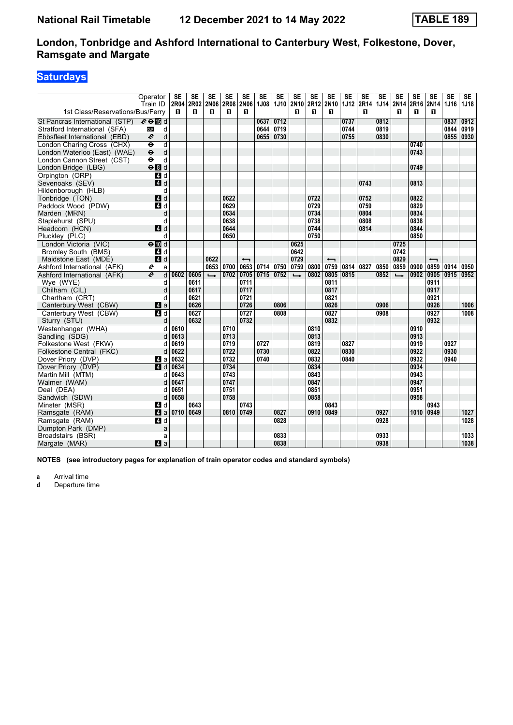# **Saturdays**

|                                  | Operator                                       | <b>SE</b> | <b>SE</b> | <b>SE</b>     | <b>SE</b> | SE                       | <b>SE</b> | SE                 | <b>SE</b>     | <b>SE</b>   | <b>SE</b>                | SE   | <b>SE</b> | <b>SE</b> | <b>SE</b>     | <b>SE</b> | <b>SE</b>                | <b>SE</b>   | <b>SE</b> |
|----------------------------------|------------------------------------------------|-----------|-----------|---------------|-----------|--------------------------|-----------|--------------------|---------------|-------------|--------------------------|------|-----------|-----------|---------------|-----------|--------------------------|-------------|-----------|
|                                  | Train ID                                       | 2R04      | 2R02      |               | 2N06 2R08 | 2N06                     | 1J08      | <b>1J10</b>        | <b>2N10</b>   | <b>2R12</b> | <b>2N10</b>              |      | 1J12 2R14 | 1J14      | <b>2N14</b>   | 2R16      | 2N <sub>14</sub>         | <b>1J16</b> | 1J18      |
| 1st Class/Reservations/Bus/Ferry |                                                | п         | п         | п             | О         | п                        |           |                    | п             | O           | п                        |      | п         |           | п             | п         | п                        |             |           |
| St Pancras International (STP)   | $e \oplus \mathbb{E}$ d                        |           |           |               |           |                          | 0637      | $\overline{0712}$  |               |             |                          | 0737 |           | 0812      |               |           |                          | 0837        | 0912      |
| Stratford International (SFA)    | d<br><b>DLR</b>                                |           |           |               |           |                          | 0644      | 0719               |               |             |                          | 0744 |           | 0819      |               |           |                          | 0844        | 0919      |
| Ebbsfleet International (EBD)    | $\boldsymbol{\ell}$<br>d                       |           |           |               |           |                          | 0655 0730 |                    |               |             |                          | 0755 |           | 0830      |               |           |                          | 0855        | 0930      |
| London Charing Cross (CHX)       | $\overline{\mathsf{d}}$<br>$\ddot{\mathbf{e}}$ |           |           |               |           |                          |           |                    |               |             |                          |      |           |           |               | 0740      |                          |             |           |
| London Waterloo (East) (WAE)     | $\ddot{\mathbf{e}}$<br>$\mathsf{d}$            |           |           |               |           |                          |           |                    |               |             |                          |      |           |           |               | 0743      |                          |             |           |
| London Cannon Street (CST)       | d<br>$\ddot{\mathbf{e}}$                       |           |           |               |           |                          |           |                    |               |             |                          |      |           |           |               |           |                          |             |           |
| London Bridge (LBG)              | eBd                                            |           |           |               |           |                          |           |                    |               |             |                          |      |           |           |               | 0749      |                          |             |           |
| Orpington (ORP)                  | 4 d                                            |           |           |               |           |                          |           |                    |               |             |                          |      |           |           |               |           |                          |             |           |
| Sevenoaks (SEV)                  | $\blacksquare$ d                               |           |           |               |           |                          |           |                    |               |             |                          |      | 0743      |           |               | 0813      |                          |             |           |
| Hildenborough (HLB)              | d                                              |           |           |               |           |                          |           |                    |               |             |                          |      |           |           |               |           |                          |             |           |
| Tonbridge (TON)                  | 4d                                             |           |           |               | 0622      |                          |           |                    |               | 0722        |                          |      | 0752      |           |               | 0822      |                          |             |           |
| Paddock Wood (PDW)               | 4d                                             |           |           |               | 0629      |                          |           |                    |               | 0729        |                          |      | 0759      |           |               | 0829      |                          |             |           |
| Marden (MRN)                     | d                                              |           |           |               | 0634      |                          |           |                    |               | 0734        |                          |      | 0804      |           |               | 0834      |                          |             |           |
| Staplehurst (SPU)                | d                                              |           |           |               | 0638      |                          |           |                    |               | 0738        |                          |      | 0808      |           |               | 0838      |                          |             |           |
| Headcorn (HCN)                   | 4d                                             |           |           |               | 0644      |                          |           |                    |               | 0744        |                          |      | 0814      |           |               | 0844      |                          |             |           |
| Pluckley (PLC)                   | d                                              |           |           |               | 0650      |                          |           |                    |               | 0750        |                          |      |           |           |               | 0850      |                          |             |           |
| London Victoria (VIC)            | $\Theta$ $\blacksquare$ d                      |           |           |               |           |                          |           |                    | 0625          |             |                          |      |           |           | 0725          |           |                          |             |           |
| Bromley South (BMS)              | 4 d                                            |           |           |               |           |                          |           |                    | 0642          |             |                          |      |           |           | 0742          |           |                          |             |           |
| Maidstone East (MDE)             | 4d                                             |           |           | 0622          |           | $\overline{\phantom{0}}$ |           |                    | 0729          |             | $\overline{\phantom{0}}$ |      |           |           | 0829          |           | $\overline{\phantom{0}}$ |             |           |
| Ashford International (AFK)      | e<br>a                                         |           |           | 0653 0700     |           | 0653                     |           | 0714   0750   0759 |               | 0800        | 0759                     | 0814 | 0827      | 0850      | 0859          | 0900      | 0859                     | 0914        | 0950      |
| Ashford International (AFK)      | $\overline{e}$<br>d                            | 0602      | 0605      | $\rightarrow$ | 0702      | 0705                     |           | 0715 0752          | $\rightarrow$ | 0802        | 0805                     | 0815 |           | 0852      | $\rightarrow$ | 0902      | 0905                     | 0915        | 0952      |
| Wye (WYE)                        | d                                              |           | 0611      |               |           | 0711                     |           |                    |               |             | 0811                     |      |           |           |               |           | 0911                     |             |           |
| Chilham (CIL)                    | d                                              |           | 0617      |               |           | 0717                     |           |                    |               |             | 0817                     |      |           |           |               |           | 0917                     |             |           |
| Chartham (CRT)                   | d                                              |           | 0621      |               |           | 0721                     |           |                    |               |             | 0821                     |      |           |           |               |           | 0921                     |             |           |
| Canterbury West (CBW)            | 4a                                             |           | 0626      |               |           | 0726                     |           | 0806               |               |             | 0826                     |      |           | 0906      |               |           | 0926                     |             | 1006      |
| Canterbury West (CBW)            | 4d                                             |           | 0627      |               |           | 0727                     |           | 0808               |               |             | 0827                     |      |           | 0908      |               |           | 0927                     |             | 1008      |
| Sturry (STU)                     | d                                              |           | 0632      |               |           | 0732                     |           |                    |               |             | 0832                     |      |           |           |               |           | 0932                     |             |           |
| Westenhanger (WHA)               | d                                              | 0610      |           |               | 0710      |                          |           |                    |               | 0810        |                          |      |           |           |               | 0910      |                          |             |           |
| Sandling (SDG)                   | d                                              | 0613      |           |               | 0713      |                          |           |                    |               | 0813        |                          |      |           |           |               | 0913      |                          |             |           |
| Folkestone West (FKW)            | d                                              | 0619      |           |               | 0719      |                          | 0727      |                    |               | 0819        |                          | 0827 |           |           |               | 0919      |                          | 0927        |           |
| Folkestone Central (FKC)         | d                                              | 0622      |           |               | 0722      |                          | 0730      |                    |               | 0822        |                          | 0830 |           |           |               | 0922      |                          | 0930        |           |
| Dover Priory (DVP)               | 41 a                                           | 0632      |           |               | 0732      |                          | 0740      |                    |               | 0832        |                          | 0840 |           |           |               | 0932      |                          | 0940        |           |
| Dover Priory (DVP)               | $\blacksquare$ d                               | 0634      |           |               | 0734      |                          |           |                    |               | 0834        |                          |      |           |           |               | 0934      |                          |             |           |
| Martin Mill (MTM)                | d                                              | 0643      |           |               | 0743      |                          |           |                    |               | 0843        |                          |      |           |           |               | 0943      |                          |             |           |
| Walmer (WAM)                     | d                                              | 0647      |           |               | 0747      |                          |           |                    |               | 0847        |                          |      |           |           |               | 0947      |                          |             |           |
| Deal (DEA)                       | d                                              | 0651      |           |               | 0751      |                          |           |                    |               | 0851        |                          |      |           |           |               | 0951      |                          |             |           |
| Sandwich (SDW)                   | d                                              | 0658      |           |               | 0758      |                          |           |                    |               | 0858        |                          |      |           |           |               | 0958      |                          |             |           |
| Minster (MSR)                    | 4 d                                            |           | 0643      |               |           | 0743                     |           |                    |               |             | 0843                     |      |           |           |               |           | 0943                     |             |           |
| Ramsgate (RAM)                   | 4a                                             | 0710      | 0649      |               | 0810      | 0749                     |           | 0827               |               | 0910        | 0849                     |      |           | 0927      |               | 1010      | 0949                     |             | 1027      |
| Ramsgate (RAM)                   | 4d                                             |           |           |               |           |                          |           | 0828               |               |             |                          |      |           | 0928      |               |           |                          |             | 1028      |
| Dumpton Park (DMP)               | a                                              |           |           |               |           |                          |           |                    |               |             |                          |      |           |           |               |           |                          |             |           |
| Broadstairs (BSR)                | a                                              |           |           |               |           |                          |           | 0833               |               |             |                          |      |           | 0933      |               |           |                          |             | 1033      |
| Margate (MAR)                    | a                                              |           |           |               |           |                          |           | 0838               |               |             |                          |      |           | 0938      |               |           |                          |             | 1038      |
|                                  |                                                |           |           |               |           |                          |           |                    |               |             |                          |      |           |           |               |           |                          |             |           |

**NOTES (see introductory pages for explanation of train operator codes and standard symbols)**

**a** Arrival time<br>**d** Departure ti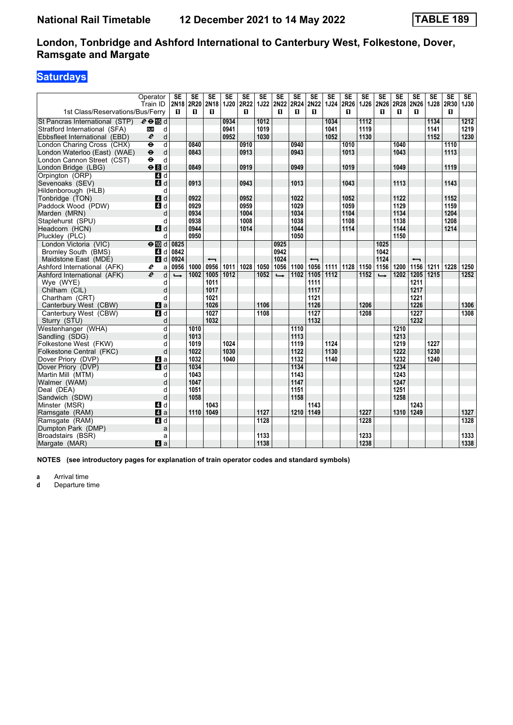# **Saturdays**

|                                  | Operator                                       | <b>SE</b>             | <b>SE</b> | <b>SE</b>                | <b>SE</b>   | <b>SE</b> | <b>SE</b>         | <b>SE</b>        | SE        | <b>SE</b>                | <b>SE</b> | <b>SE</b> | SE   | <b>SE</b>     | <b>SE</b> | <b>SE</b>                | SE   | SE        | SE          |
|----------------------------------|------------------------------------------------|-----------------------|-----------|--------------------------|-------------|-----------|-------------------|------------------|-----------|--------------------------|-----------|-----------|------|---------------|-----------|--------------------------|------|-----------|-------------|
| 1st Class/Reservations/Bus/Ferry | Train ID                                       | 2N <sub>18</sub><br>п | 2R20<br>п | 2N <sub>18</sub><br>п    | <b>1J20</b> | 2R22<br>п | <b>1J22</b>       | <b>2N22</b><br>п | 2R24<br>п | <b>2N22</b><br>п         | 1J24 2R26 | п         | 1J26 | 2N26<br>п     | 2R28<br>п | 2N26<br>п                | 1J28 | 2R30<br>п | <b>1J30</b> |
|                                  |                                                |                       |           |                          |             |           |                   |                  |           |                          |           |           |      |               |           |                          |      |           |             |
| St Pancras International (STP)   | $e \oplus \mathbb{E}$ d                        |                       |           |                          | 0934        |           | $\overline{1012}$ |                  |           |                          | 1034      |           | 1112 |               |           |                          | 1134 |           | 1212        |
| Stratford International (SFA)    | <b>DLR</b><br>d                                |                       |           |                          | 0941        |           | 1019              |                  |           |                          | 1041      |           | 1119 |               |           |                          | 1141 |           | 1219        |
| Ebbsfleet International (EBD)    | $\boldsymbol{\ell}$<br>d                       |                       |           |                          | 0952        |           | 1030              |                  |           |                          | 1052      |           | 1130 |               |           |                          | 1152 |           | 1230        |
| London Charing Cross (CHX)       | $\overline{\mathsf{d}}$<br>$\ddot{\mathbf{e}}$ |                       | 0840      |                          |             | 0910      |                   |                  | 0940      |                          |           | 1010      |      |               | 1040      |                          |      | 1110      |             |
| London Waterloo (East) (WAE)     | $\ddot{\boldsymbol{\Theta}}$<br>d              |                       | 0843      |                          |             | 0913      |                   |                  | 0943      |                          |           | 1013      |      |               | 1043      |                          |      | 1113      |             |
| London Cannon Street (CST)       | $\ddot{\mathbf{e}}$<br>d                       |                       |           |                          |             |           |                   |                  |           |                          |           |           |      |               |           |                          |      |           |             |
| London Bridge (LBG)              | eBd                                            |                       | 0849      |                          |             | 0919      |                   |                  | 0949      |                          |           | 1019      |      |               | 1049      |                          |      | 1119      |             |
| Orpington (ORP)                  | $\overline{a}$ d                               |                       |           |                          |             |           |                   |                  |           |                          |           |           |      |               |           |                          |      |           |             |
| Sevenoaks (SEV)                  | 4d                                             |                       | 0913      |                          |             | 0943      |                   |                  | 1013      |                          |           | 1043      |      |               | 1113      |                          |      | 1143      |             |
| Hildenborough (HLB)              | d                                              |                       |           |                          |             |           |                   |                  |           |                          |           |           |      |               |           |                          |      |           |             |
| Tonbridge (TON)                  | 4d                                             |                       | 0922      |                          |             | 0952      |                   |                  | 1022      |                          |           | 1052      |      |               | 1122      |                          |      | 1152      |             |
| Paddock Wood (PDW)               | 4 d                                            |                       | 0929      |                          |             | 0959      |                   |                  | 1029      |                          |           | 1059      |      |               | 1129      |                          |      | 1159      |             |
| Marden (MRN)                     | d                                              |                       | 0934      |                          |             | 1004      |                   |                  | 1034      |                          |           | 1104      |      |               | 1134      |                          |      | 1204      |             |
| Staplehurst (SPU)                | d                                              |                       | 0938      |                          |             | 1008      |                   |                  | 1038      |                          |           | 1108      |      |               | 1138      |                          |      | 1208      |             |
| Headcorn (HCN)                   | 4d                                             |                       | 0944      |                          |             | 1014      |                   |                  | 1044      |                          |           | 1114      |      |               | 1144      |                          |      | 1214      |             |
| Pluckley (PLC)                   | d                                              |                       | 0950      |                          |             |           |                   |                  | 1050      |                          |           |           |      |               | 1150      |                          |      |           |             |
| London Victoria (VIC)            | $\Theta$ III d                                 | 0825                  |           |                          |             |           |                   | 0925             |           |                          |           |           |      | 1025          |           |                          |      |           |             |
| <b>Bromley South (BMS)</b>       | 4 d                                            | 0842                  |           |                          |             |           |                   | 0942             |           |                          |           |           |      | 1042          |           |                          |      |           |             |
| Maidstone East (MDE)             | $\blacksquare$ d                               | 0924                  |           | $\overline{\phantom{0}}$ |             |           |                   | 1024             |           | $\overline{\phantom{0}}$ |           |           |      | 1124          |           | $\overline{\phantom{0}}$ |      |           |             |
| Ashford International (AFK)      | e<br>a                                         | 0956                  | 1000      | 0956                     | 1011        | 1028      | 1050              | 1056             | 1100      | 1056                     | 1111      | 1128 1150 |      | 1156          | 1200      | 1156                     | 1211 | 1228      | 1250        |
| Ashford International (AFK)      | $\boldsymbol{e}$<br>d                          | $\rightarrow$         | 1002      | 1005                     | 1012        |           | 1052              | $\rightarrow$    | 1102      | 1105                     | 1112      |           | 1152 | $\rightarrow$ | 1202      | 1205                     | 1215 |           | 1252        |
| Wye (WYE)                        | d                                              |                       |           | 1011                     |             |           |                   |                  |           | 1111                     |           |           |      |               |           | 1211                     |      |           |             |
| Chilham (CIL)                    | d                                              |                       |           | 1017                     |             |           |                   |                  |           | 1117                     |           |           |      |               |           | 1217                     |      |           |             |
| Chartham (CRT)                   | d                                              |                       |           | 1021                     |             |           |                   |                  |           | 1121                     |           |           |      |               |           | 1221                     |      |           |             |
| Canterbury West (CBW)            | 4a                                             |                       |           | 1026                     |             |           | 1106              |                  |           | 1126                     |           |           | 1206 |               |           | 1226                     |      |           | 1306        |
| Canterbury West (CBW)            | $\overline{a}$ d                               |                       |           | 1027                     |             |           | 1108              |                  |           | 1127                     |           |           | 1208 |               |           | 1227                     |      |           | 1308        |
| Sturry (STU)                     | d                                              |                       |           | 1032                     |             |           |                   |                  |           | 1132                     |           |           |      |               |           | 1232                     |      |           |             |
| Westenhanger (WHA)               | d                                              |                       | 1010      |                          |             |           |                   |                  | 1110      |                          |           |           |      |               | 1210      |                          |      |           |             |
| Sandling (SDG)                   | d                                              |                       | 1013      |                          |             |           |                   |                  | 1113      |                          |           |           |      |               | 1213      |                          |      |           |             |
| Folkestone West (FKW)            | d                                              |                       | 1019      |                          | 1024        |           |                   |                  | 1119      |                          | 1124      |           |      |               | 1219      |                          | 1227 |           |             |
| Folkestone Central (FKC)         | d                                              |                       | 1022      |                          | 1030        |           |                   |                  | 1122      |                          | 1130      |           |      |               | 1222      |                          | 1230 |           |             |
| Dover Priory (DVP)               | Z1 a                                           |                       | 1032      |                          | 1040        |           |                   |                  | 1132      |                          | 1140      |           |      |               | 1232      |                          | 1240 |           |             |
| Dover Priory (DVP)               | $\overline{4}$ d                               |                       | 1034      |                          |             |           |                   |                  | 1134      |                          |           |           |      |               | 1234      |                          |      |           |             |
| Martin Mill (MTM)                | d                                              |                       | 1043      |                          |             |           |                   |                  | 1143      |                          |           |           |      |               | 1243      |                          |      |           |             |
| Walmer (WAM)                     | d                                              |                       | 1047      |                          |             |           |                   |                  | 1147      |                          |           |           |      |               | 1247      |                          |      |           |             |
| Deal (DEA)                       | d                                              |                       | 1051      |                          |             |           |                   |                  | 1151      |                          |           |           |      |               | 1251      |                          |      |           |             |
| Sandwich (SDW)                   | d                                              |                       | 1058      |                          |             |           |                   |                  | 1158      |                          |           |           |      |               | 1258      |                          |      |           |             |
| Minster (MSR)                    | 4 d                                            |                       |           | 1043                     |             |           |                   |                  |           | 1143                     |           |           |      |               |           | 1243                     |      |           |             |
| Ramsgate (RAM)                   | 4a                                             |                       | 1110      | 1049                     |             |           | 1127              |                  | 1210      | 1149                     |           |           | 1227 |               | 1310      | 1249                     |      |           | 1327        |
| Ramsgate (RAM)                   | 4d                                             |                       |           |                          |             |           | 1128              |                  |           |                          |           |           | 1228 |               |           |                          |      |           | 1328        |
| Dumpton Park (DMP)               | a                                              |                       |           |                          |             |           |                   |                  |           |                          |           |           |      |               |           |                          |      |           |             |
| Broadstairs (BSR)                | a                                              |                       |           |                          |             |           | 1133              |                  |           |                          |           |           | 1233 |               |           |                          |      |           | 1333        |
| Margate (MAR)                    | a                                              |                       |           |                          |             |           | 1138              |                  |           |                          |           |           | 1238 |               |           |                          |      |           | 1338        |

**NOTES (see introductory pages for explanation of train operator codes and standard symbols)**

**a** Arrival time<br>**d** Departure ti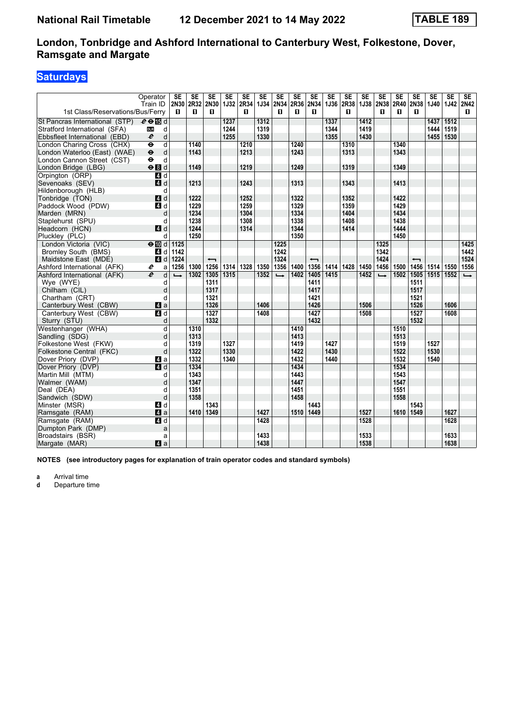# **Saturdays**

|                                  | Operator                                       | <b>SE</b>     | <b>SE</b> | SE                       | <b>SE</b>   | <b>SE</b> | <b>SE</b>   | <b>SE</b>     | <b>SE</b> | <b>SE</b>                | <b>SE</b> | <b>SE</b> | SE          | <b>SE</b>     | <b>SE</b> | <b>SE</b>                | SE          | SE          | SE                |
|----------------------------------|------------------------------------------------|---------------|-----------|--------------------------|-------------|-----------|-------------|---------------|-----------|--------------------------|-----------|-----------|-------------|---------------|-----------|--------------------------|-------------|-------------|-------------------|
| 1st Class/Reservations/Bus/Ferry | Train ID                                       | 2N30<br>п     | 2R32<br>п | 2N30<br>п                | <b>1J32</b> | 2R34<br>п | <b>1J34</b> | 2N34<br>п     | 2R36<br>п | <b>2N34</b><br>п         | 1J36 2R38 | п         | <b>1J38</b> | 2N38<br>п     | 2R40<br>п | 2N38<br>п                | <b>1J40</b> | <b>1J42</b> | <b>2N42</b><br>П. |
|                                  |                                                |               |           |                          |             |           |             |               |           |                          |           |           |             |               |           |                          |             |             |                   |
| St Pancras International (STP)   | $e \oplus \mathbb{E}$ d                        |               |           |                          | 1237        |           | 1312        |               |           |                          | 1337      |           | 1412        |               |           |                          | 1437        | 1512        |                   |
| Stratford International (SFA)    | <b>DLR</b><br>d                                |               |           |                          | 1244        |           | 1319        |               |           |                          | 1344      |           | 1419        |               |           |                          | 1444        | 1519        |                   |
| Ebbsfleet International (EBD)    | $\boldsymbol{\ell}$<br>d                       |               |           |                          | 1255        |           | 1330        |               |           |                          | 1355      |           | 1430        |               |           |                          | 1455        | 1530        |                   |
| London Charing Cross (CHX)       | $\overline{\mathsf{d}}$<br>$\ddot{\mathbf{e}}$ |               | 1140      |                          |             | 1210      |             |               | 1240      |                          |           | 1310      |             |               | 1340      |                          |             |             |                   |
| London Waterloo (East) (WAE)     | $\ddot{\boldsymbol{\Theta}}$<br>d              |               | 1143      |                          |             | 1213      |             |               | 1243      |                          |           | 1313      |             |               | 1343      |                          |             |             |                   |
| London Cannon Street (CST)       | $\ddot{\mathbf{e}}$<br>d                       |               |           |                          |             |           |             |               |           |                          |           |           |             |               |           |                          |             |             |                   |
| London Bridge (LBG)              | $\Theta$ $d$                                   |               | 1149      |                          |             | 1219      |             |               | 1249      |                          |           | 1319      |             |               | 1349      |                          |             |             |                   |
| Orpington (ORP)                  | $\overline{4d}$                                |               |           |                          |             |           |             |               |           |                          |           |           |             |               |           |                          |             |             |                   |
| Sevenoaks (SEV)                  | 4d                                             |               | 1213      |                          |             | 1243      |             |               | 1313      |                          |           | 1343      |             |               | 1413      |                          |             |             |                   |
| Hildenborough (HLB)              | d                                              |               |           |                          |             |           |             |               |           |                          |           |           |             |               |           |                          |             |             |                   |
| Tonbridge (TON)                  | 4d                                             |               | 1222      |                          |             | 1252      |             |               | 1322      |                          |           | 1352      |             |               | 1422      |                          |             |             |                   |
| Paddock Wood (PDW)               | 4 d                                            |               | 1229      |                          |             | 1259      |             |               | 1329      |                          |           | 1359      |             |               | 1429      |                          |             |             |                   |
| Marden (MRN)                     | d                                              |               | 1234      |                          |             | 1304      |             |               | 1334      |                          |           | 1404      |             |               | 1434      |                          |             |             |                   |
| Staplehurst (SPU)                | d                                              |               | 1238      |                          |             | 1308      |             |               | 1338      |                          |           | 1408      |             |               | 1438      |                          |             |             |                   |
| Headcorn (HCN)                   | 4d                                             |               | 1244      |                          |             | 1314      |             |               | 1344      |                          |           | 1414      |             |               | 1444      |                          |             |             |                   |
| Pluckley (PLC)                   | d                                              |               | 1250      |                          |             |           |             |               | 1350      |                          |           |           |             |               | 1450      |                          |             |             |                   |
| London Victoria (VIC)            | $\Theta$ III d                                 | 1125          |           |                          |             |           |             | 1225          |           |                          |           |           |             | 1325          |           |                          |             |             | 1425              |
| <b>Bromley South (BMS)</b>       | 4 d                                            | 1142          |           |                          |             |           |             | 1242          |           |                          |           |           |             | 1342          |           |                          |             |             | 1442              |
| Maidstone East (MDE)             | $\blacksquare$ d                               | 1224          |           | $\overline{\phantom{0}}$ |             |           |             | 1324          |           | $\overline{\phantom{0}}$ |           |           |             | 1424          |           | $\overline{\phantom{0}}$ |             |             | 1524              |
| Ashford International (AFK)      | e<br>a                                         | 1256          | 1300      | 1256                     | 1314        | 1328      | 1350        | 1356          | 1400      | 1356                     | 1414      | 1428 1450 |             | 1456          | 1500      | 1456                     | 1514   1550 |             | 1556              |
| Ashford International (AFK)      | e<br>d                                         | $\rightarrow$ | 1302      | 1305                     | 1315        |           | 1352        | $\rightarrow$ | 1402      | 1405                     | 1415      |           | 1452        | $\rightarrow$ | 1502      | 1505                     | 1515 1552   |             | $\rightarrow$     |
| Wye (WYE)                        | d                                              |               |           | 1311                     |             |           |             |               |           | 1411                     |           |           |             |               |           | 1511                     |             |             |                   |
| Chilham (CIL)                    | d                                              |               |           | 1317                     |             |           |             |               |           | 1417                     |           |           |             |               |           | 1517                     |             |             |                   |
| Chartham (CRT)                   | d                                              |               |           | 1321                     |             |           |             |               |           | 1421                     |           |           |             |               |           | 1521                     |             |             |                   |
| Canterbury West (CBW)            | 4a                                             |               |           | 1326                     |             |           | 1406        |               |           | 1426                     |           |           | 1506        |               |           | 1526                     |             | 1606        |                   |
| Canterbury West (CBW)            | $\overline{a}$ d                               |               |           | 1327                     |             |           | 1408        |               |           | 1427                     |           |           | 1508        |               |           | 1527                     |             | 1608        |                   |
| Sturry (STU)                     | d                                              |               |           | 1332                     |             |           |             |               |           | 1432                     |           |           |             |               |           | 1532                     |             |             |                   |
| Westenhanger (WHA)               | d                                              |               | 1310      |                          |             |           |             |               | 1410      |                          |           |           |             |               | 1510      |                          |             |             |                   |
| Sandling (SDG)                   | d                                              |               | 1313      |                          |             |           |             |               | 1413      |                          |           |           |             |               | 1513      |                          |             |             |                   |
| Folkestone West (FKW)            | d                                              |               | 1319      |                          | 1327        |           |             |               | 1419      |                          | 1427      |           |             |               | 1519      |                          | 1527        |             |                   |
| Folkestone Central (FKC)         | d                                              |               | 1322      |                          | 1330        |           |             |               | 1422      |                          | 1430      |           |             |               | 1522      |                          | 1530        |             |                   |
| Dover Priory (DVP)               | Z1 a                                           |               | 1332      |                          | 1340        |           |             |               | 1432      |                          | 1440      |           |             |               | 1532      |                          | 1540        |             |                   |
| Dover Priory (DVP)               | $\overline{4}$ d                               |               | 1334      |                          |             |           |             |               | 1434      |                          |           |           |             |               | 1534      |                          |             |             |                   |
| Martin Mill (MTM)                | d                                              |               | 1343      |                          |             |           |             |               | 1443      |                          |           |           |             |               | 1543      |                          |             |             |                   |
| Walmer (WAM)                     | d                                              |               | 1347      |                          |             |           |             |               | 1447      |                          |           |           |             |               | 1547      |                          |             |             |                   |
| Deal (DEA)                       | d                                              |               | 1351      |                          |             |           |             |               | 1451      |                          |           |           |             |               | 1551      |                          |             |             |                   |
| Sandwich (SDW)                   | d                                              |               | 1358      |                          |             |           |             |               | 1458      |                          |           |           |             |               | 1558      |                          |             |             |                   |
| Minster (MSR)                    | 4 d                                            |               |           | 1343                     |             |           |             |               |           | 1443                     |           |           |             |               |           | 1543                     |             |             |                   |
| Ramsgate (RAM)                   | 4a                                             |               | 1410 1349 |                          |             |           | 1427        |               | 1510      | 1449                     |           |           | 1527        |               | 1610      | 1549                     |             | 1627        |                   |
| Ramsgate (RAM)                   | $\overline{4}$ d                               |               |           |                          |             |           | 1428        |               |           |                          |           |           | 1528        |               |           |                          |             | 1628        |                   |
| Dumpton Park (DMP)               | a                                              |               |           |                          |             |           |             |               |           |                          |           |           |             |               |           |                          |             |             |                   |
| Broadstairs (BSR)                | a                                              |               |           |                          |             |           | 1433        |               |           |                          |           |           | 1533        |               |           |                          |             | 1633        |                   |
| Margate (MAR)                    | a                                              |               |           |                          |             |           | 1438        |               |           |                          |           |           | 1538        |               |           |                          |             | 1638        |                   |

**NOTES (see introductory pages for explanation of train operator codes and standard symbols)**

**a** Arrival time<br>**d** Departure ti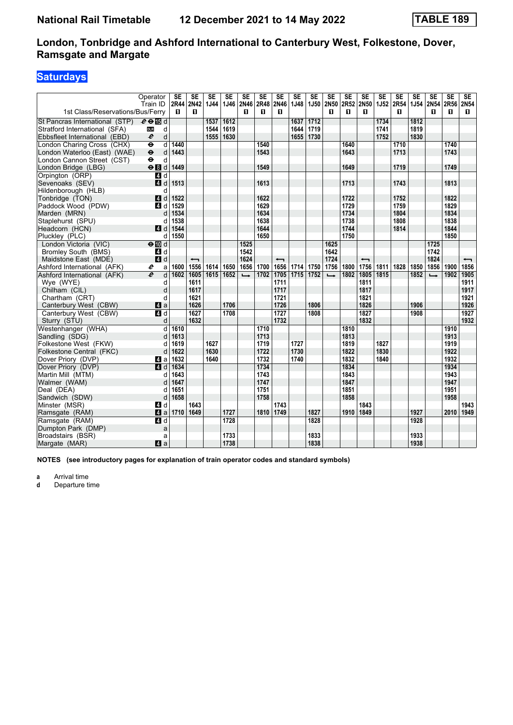# **Saturdays**

|                                  | Operator                  | <b>SE</b> | <b>SE</b>                | <b>SE</b> | <b>SE</b> | <b>SE</b>     | <b>SE</b> | SE                       | <b>SE</b> | SE          | <b>SE</b>     | SE   | <b>SE</b>                | <b>SE</b>   | <b>SE</b> | <b>SE</b> | <b>SE</b>     | <b>SE</b> | <b>SE</b>                |
|----------------------------------|---------------------------|-----------|--------------------------|-----------|-----------|---------------|-----------|--------------------------|-----------|-------------|---------------|------|--------------------------|-------------|-----------|-----------|---------------|-----------|--------------------------|
|                                  | Train ID                  | 2R44      | <b>2N42</b>              | 1J44      | 1J46      | 2N46          | 2R48      | <b>2N46</b>              | 1J48      | <b>1J50</b> | 2N50          | 2R52 | <b>2N50</b>              | <b>1J52</b> | 2R54      | 1J54      | 2N54          | 2R56      | <b>2N54</b>              |
| 1st Class/Reservations/Bus/Ferry |                           | п         | п                        |           |           | п             | п         | п                        |           |             | п             | п    | п                        |             | п         |           | п             | п         | п                        |
| St Pancras International (STP)   | $e \oplus \mathbb{E}$ d   |           |                          | 1537      | 1612      |               |           |                          | 1637      | 1712        |               |      |                          | 1734        |           | 1812      |               |           |                          |
| Stratford International (SFA)    | d<br><b>DLR</b>           |           |                          | 1544      | 1619      |               |           |                          | 1644      | 1719        |               |      |                          | 1741        |           | 1819      |               |           |                          |
| Ebbsfleet International (EBD)    | d<br>e                    |           |                          | 1555      | 1630      |               |           |                          | 1655      | 1730        |               |      |                          | 1752        |           | 1830      |               |           |                          |
| London Charing Cross (CHX)       | $\ddot{\bm{\theta}}$<br>d | 1440      |                          |           |           |               | 1540      |                          |           |             |               | 1640 |                          |             | 1710      |           |               | 1740      |                          |
| London Waterloo (East) (WAE)     | $\pmb{\Theta}$<br>d       | 1443      |                          |           |           |               | 1543      |                          |           |             |               | 1643 |                          |             | 1713      |           |               | 1743      |                          |
| London Cannon Street (CST)       | $\ddot{\mathbf{e}}$<br>d  |           |                          |           |           |               |           |                          |           |             |               |      |                          |             |           |           |               |           |                          |
| London Bridge (LBG)              | $\Theta$ $d$              | 1449      |                          |           |           |               | 1549      |                          |           |             |               | 1649 |                          |             | 1719      |           |               | 1749      |                          |
| Orpington (ORP)                  | 4 d                       |           |                          |           |           |               |           |                          |           |             |               |      |                          |             |           |           |               |           |                          |
| Sevenoaks (SEV)                  | $\mathbf{A}$<br>d         | 1513      |                          |           |           |               | 1613      |                          |           |             |               | 1713 |                          |             | 1743      |           |               | 1813      |                          |
| Hildenborough (HLB)              | d                         |           |                          |           |           |               |           |                          |           |             |               |      |                          |             |           |           |               |           |                          |
| Tonbridge (TON)                  | 4d                        | 1522      |                          |           |           |               | 1622      |                          |           |             |               | 1722 |                          |             | 1752      |           |               | 1822      |                          |
| Paddock Wood (PDW)               | 4 d                       | 1529      |                          |           |           |               | 1629      |                          |           |             |               | 1729 |                          |             | 1759      |           |               | 1829      |                          |
| Marden (MRN)                     | d                         | 1534      |                          |           |           |               | 1634      |                          |           |             |               | 1734 |                          |             | 1804      |           |               | 1834      |                          |
| Staplehurst (SPU)                | d                         | 1538      |                          |           |           |               | 1638      |                          |           |             |               | 1738 |                          |             | 1808      |           |               | 1838      |                          |
| Headcorn (HCN)                   | $\blacksquare$ d          | 1544      |                          |           |           |               | 1644      |                          |           |             |               | 1744 |                          |             | 1814      |           |               | 1844      |                          |
| Pluckley (PLC)                   | d                         | 1550      |                          |           |           |               | 1650      |                          |           |             |               | 1750 |                          |             |           |           |               | 1850      |                          |
| London Victoria (VIC)            | $\Theta$ M d              |           |                          |           |           | 1525          |           |                          |           |             | 1625          |      |                          |             |           |           | 1725          |           |                          |
| <b>Bromley South (BMS)</b>       | 4 d                       |           |                          |           |           | 1542          |           |                          |           |             | 1642          |      |                          |             |           |           | 1742          |           |                          |
| Maidstone East (MDE)             | 4d                        |           | $\overline{\phantom{0}}$ |           |           | 1624          |           | $\overline{\phantom{0}}$ |           |             | 1724          |      | $\overline{\phantom{0}}$ |             |           |           | 1824          |           | $\overline{\phantom{0}}$ |
| Ashford International (AFK)      | e<br>a                    | 1600      | 1556                     | 1614      | 1650      | 1656          | 1700      | 1656                     | 1714      | 1750        | 1756          | 1800 | 1756                     | 1811        | 1828      | 1850      | 1856          | 1900      | 1856                     |
| Ashford International (AFK)      | e<br>d                    | 1602      | 1605                     | 1615      | 1652      | $\rightarrow$ | 1702      | 1705                     | 1715      | 1752        | $\rightarrow$ | 1802 | 1805                     | 1815        |           | 1852      | $\rightarrow$ | 1902      | 1905                     |
| Wye (WYE)                        | d                         |           | 1611                     |           |           |               |           | 1711                     |           |             |               |      | 1811                     |             |           |           |               |           | 1911                     |
| Chilham (CIL)                    | d                         |           | 1617                     |           |           |               |           | 1717                     |           |             |               |      | 1817                     |             |           |           |               |           | 1917                     |
| Chartham (CRT)                   | d                         |           | 1621                     |           |           |               |           | 1721                     |           |             |               |      | 1821                     |             |           |           |               |           | 1921                     |
| Canterbury West (CBW)            | ZI a                      |           | 1626                     |           | 1706      |               |           | 1726                     |           | 1806        |               |      | 1826                     |             |           | 1906      |               |           | 1926                     |
| Canterbury West (CBW)            | $\overline{a}$ d          |           | 1627                     |           | 1708      |               |           | 1727                     |           | 1808        |               |      | 1827                     |             |           | 1908      |               |           | 1927                     |
| Sturry (STU)                     | $\mathsf{d}$              |           | 1632                     |           |           |               |           | 1732                     |           |             |               |      | 1832                     |             |           |           |               |           | 1932                     |
| Westenhanger (WHA)               | d                         | 1610      |                          |           |           |               | 1710      |                          |           |             |               | 1810 |                          |             |           |           |               | 1910      |                          |
| Sandling (SDG)                   | d                         | 1613      |                          |           |           |               | 1713      |                          |           |             |               | 1813 |                          |             |           |           |               | 1913      |                          |
| Folkestone West (FKW)            | d                         | 1619      |                          | 1627      |           |               | 1719      |                          | 1727      |             |               | 1819 |                          | 1827        |           |           |               | 1919      |                          |
| Folkestone Central (FKC)         | d                         | 1622      |                          | 1630      |           |               | 1722      |                          | 1730      |             |               | 1822 |                          | 1830        |           |           |               | 1922      |                          |
| Dover Priory (DVP)               | ZI a                      | 1632      |                          | 1640      |           |               | 1732      |                          | 1740      |             |               | 1832 |                          | 1840        |           |           |               | 1932      |                          |
| Dover Priory (DVP)               | $A$ d                     | 1634      |                          |           |           |               | 1734      |                          |           |             |               | 1834 |                          |             |           |           |               | 1934      |                          |
| Martin Mill (MTM)                | d                         | 1643      |                          |           |           |               | 1743      |                          |           |             |               | 1843 |                          |             |           |           |               | 1943      |                          |
| Walmer (WAM)                     | d                         | 1647      |                          |           |           |               | 1747      |                          |           |             |               | 1847 |                          |             |           |           |               | 1947      |                          |
| Deal (DEA)                       | d                         | 1651      |                          |           |           |               | 1751      |                          |           |             |               | 1851 |                          |             |           |           |               | 1951      |                          |
| Sandwich (SDW)                   | d                         | 1658      |                          |           |           |               | 1758      |                          |           |             |               | 1858 |                          |             |           |           |               | 1958      |                          |
| Minster (MSR)                    | 4 d                       |           | 1643                     |           |           |               |           | 1743                     |           |             |               |      | 1843                     |             |           |           |               |           | 1943                     |
| Ramsgate (RAM)                   | 4a                        | 1710      | 1649                     |           | 1727      |               | 1810      | 1749                     |           | 1827        |               | 1910 | 1849                     |             |           | 1927      |               | 2010      | 1949                     |
| Ramsgate (RAM)                   | 4d                        |           |                          |           | 1728      |               |           |                          |           | 1828        |               |      |                          |             |           | 1928      |               |           |                          |
| Dumpton Park (DMP)               | a                         |           |                          |           |           |               |           |                          |           |             |               |      |                          |             |           |           |               |           |                          |
| Broadstairs (BSR)                | a                         |           |                          |           | 1733      |               |           |                          |           | 1833        |               |      |                          |             |           | 1933      |               |           |                          |
| Margate (MAR)                    | ZI a                      |           |                          |           | 1738      |               |           |                          |           | 1838        |               |      |                          |             |           | 1938      |               |           |                          |

**NOTES (see introductory pages for explanation of train operator codes and standard symbols)**

**a** Arrival time<br>**d** Departure ti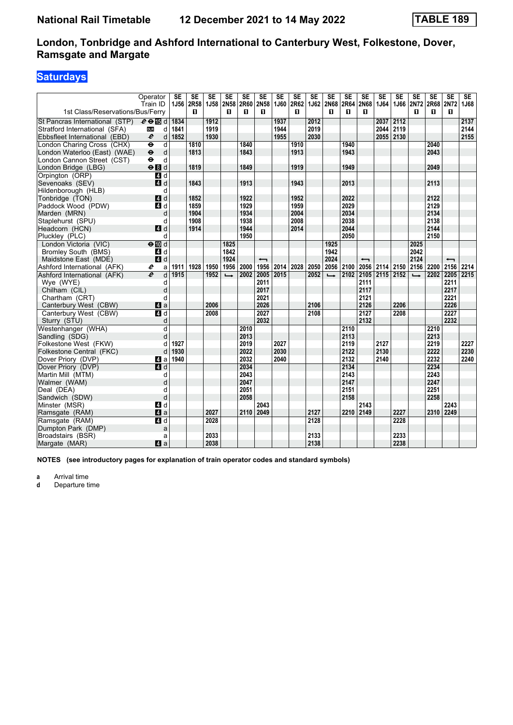# **Saturdays**

|                                  | Operator                  | <b>SE</b> | SE        | SE        | <b>SE</b>     | <b>SE</b> | <b>SE</b>                | <b>SE</b>      | <b>SE</b> | <b>SE</b> | <b>SE</b>           | SE   | SE                       | <b>SE</b> | <b>SE</b> | <b>SE</b>     | SE        | SE                       | SE          |
|----------------------------------|---------------------------|-----------|-----------|-----------|---------------|-----------|--------------------------|----------------|-----------|-----------|---------------------|------|--------------------------|-----------|-----------|---------------|-----------|--------------------------|-------------|
|                                  | Train ID                  |           | 1J56 2R58 | 1J58 2N58 |               |           |                          | 2R60 2N58 1J60 |           |           | 2R62 1J62 2N68 2R64 |      | <b>2N68</b>              | 1J64      | 1J66      | 2N72          | 2R68 2N72 |                          | <b>1J68</b> |
| 1st Class/Reservations/Bus/Ferry |                           |           | п         |           | П             | п         | П.                       |                | п         |           | п                   | п    | п                        |           |           | п             | п         | п                        |             |
| St Pancras International (STP)   | $e \oplus \mathbb{E}$ d   | 1834      |           | 1912      |               |           |                          | 1937           |           | 2012      |                     |      |                          | 2037      | 2112      |               |           |                          | 2137        |
| Stratford International (SFA)    | <b>DLR</b><br>d           | 1841      |           | 1919      |               |           |                          | 1944           |           | 2019      |                     |      |                          | 2044      | 2119      |               |           |                          | 2144        |
| Ebbsfleet International (EBD)    | $\boldsymbol{\ell}$<br>d  | 1852      |           | 1930      |               |           |                          | 1955           |           | 2030      |                     |      |                          | 2055      | 2130      |               |           |                          | 2155        |
| London Charing Cross (CHX)       | d<br>$\ddot{\mathbf{e}}$  |           | 1810      |           |               | 1840      |                          |                | 1910      |           |                     | 1940 |                          |           |           |               | 2040      |                          |             |
| London Waterloo (East) (WAE)     | $\ddot{\bullet}$<br>d     |           | 1813      |           |               | 1843      |                          |                | 1913      |           |                     | 1943 |                          |           |           |               | 2043      |                          |             |
| London Cannon Street (CST)       | $\ddot{\phantom{1}}$<br>d |           |           |           |               |           |                          |                |           |           |                     |      |                          |           |           |               |           |                          |             |
| London Bridge (LBG)              | eBd                       |           | 1819      |           |               | 1849      |                          |                | 1919      |           |                     | 1949 |                          |           |           |               | 2049      |                          |             |
| Orpington (ORP)                  | 4 d                       |           |           |           |               |           |                          |                |           |           |                     |      |                          |           |           |               |           |                          |             |
| Sevenoaks (SEV)                  | ZI d                      |           | 1843      |           |               | 1913      |                          |                | 1943      |           |                     | 2013 |                          |           |           |               | 2113      |                          |             |
| Hildenborough (HLB)              | d                         |           |           |           |               |           |                          |                |           |           |                     |      |                          |           |           |               |           |                          |             |
| Tonbridge (TON)                  | 4d                        |           | 1852      |           |               | 1922      |                          |                | 1952      |           |                     | 2022 |                          |           |           |               | 2122      |                          |             |
| Paddock Wood (PDW)               | 4 d                       |           | 1859      |           |               | 1929      |                          |                | 1959      |           |                     | 2029 |                          |           |           |               | 2129      |                          |             |
| Marden (MRN)                     | d                         |           | 1904      |           |               | 1934      |                          |                | 2004      |           |                     | 2034 |                          |           |           |               | 2134      |                          |             |
| Staplehurst (SPU)                | d                         |           | 1908      |           |               | 1938      |                          |                | 2008      |           |                     | 2038 |                          |           |           |               | 2138      |                          |             |
| Headcorn (HCN)                   | 4d                        |           | 1914      |           |               | 1944      |                          |                | 2014      |           |                     | 2044 |                          |           |           |               | 2144      |                          |             |
| Pluckley (PLC)                   | d                         |           |           |           |               | 1950      |                          |                |           |           |                     | 2050 |                          |           |           |               | 2150      |                          |             |
| London Victoria (VIC)            | $\Theta$ $\blacksquare$ d |           |           |           | 1825          |           |                          |                |           |           | 1925                |      |                          |           |           | 2025          |           |                          |             |
| <b>Bromley South (BMS)</b>       | 4 d                       |           |           |           | 1842          |           |                          |                |           |           | 1942                |      |                          |           |           | 2042          |           |                          |             |
| Maidstone East (MDE)             | 4d                        |           |           |           | 1924          |           | $\overline{\phantom{0}}$ |                |           |           | 2024                |      | $\overline{\phantom{0}}$ |           |           | 2124          |           | $\overline{\phantom{0}}$ |             |
| Ashford International (AFK)      | e<br>a                    | 1911      | 1928      | 1950      | 1956          | 2000      | 1956                     | 2014           | 2028      | 2050      | 2056 2100           |      | 2056                     | 2114      | 2150      | 2156          | 2200      | 2156                     | 2214        |
| Ashford International (AFK)      | $\overline{e}$<br>d       | 1915      |           | 1952      | $\rightarrow$ | 2002      |                          | 2005 2015      |           | 2052      | $\rightarrow$       | 2102 | 2105                     | 2115      | 2152      | $\rightarrow$ | 2202      | 2205 2215                |             |
| Wye (WYE)                        | d                         |           |           |           |               |           | 2011                     |                |           |           |                     |      | 2111                     |           |           |               |           | 2211                     |             |
| Chilham (CIL)                    | d                         |           |           |           |               |           | 2017                     |                |           |           |                     |      | 2117                     |           |           |               |           | 2217                     |             |
| Chartham (CRT)                   | d                         |           |           |           |               |           | 2021                     |                |           |           |                     |      | 2121                     |           |           |               |           | 2221                     |             |
| Canterbury West (CBW)            | 4a                        |           |           | 2006      |               |           | 2026                     |                |           | 2106      |                     |      | 2126                     |           | 2206      |               |           | 2226                     |             |
| Canterbury West (CBW)            | $\overline{a}$ d          |           |           | 2008      |               |           | 2027                     |                |           | 2108      |                     |      | 2127                     |           | 2208      |               |           | 2227                     |             |
| Sturry (STU)                     | d                         |           |           |           |               |           | 2032                     |                |           |           |                     |      | 2132                     |           |           |               |           | 2232                     |             |
| Westenhanger (WHA)               | d                         |           |           |           |               | 2010      |                          |                |           |           |                     | 2110 |                          |           |           |               | 2210      |                          |             |
| Sandling (SDG)                   | d                         |           |           |           |               | 2013      |                          |                |           |           |                     | 2113 |                          |           |           |               | 2213      |                          |             |
| Folkestone West (FKW)            | d                         | 1927      |           |           |               | 2019      |                          | 2027           |           |           |                     | 2119 |                          | 2127      |           |               | 2219      |                          | 2227        |
| Folkestone Central (FKC)         | d                         | 1930      |           |           |               | 2022      |                          | 2030           |           |           |                     | 2122 |                          | 2130      |           |               | 2222      |                          | 2230        |
| Dover Priory (DVP)               | Z1 a                      | 1940      |           |           |               | 2032      |                          | 2040           |           |           |                     | 2132 |                          | 2140      |           |               | 2232      |                          | 2240        |
| Dover Priory (DVP)               | $A$ <sub>d</sub>          |           |           |           |               | 2034      |                          |                |           |           |                     | 2134 |                          |           |           |               | 2234      |                          |             |
| Martin Mill (MTM)                | d                         |           |           |           |               | 2043      |                          |                |           |           |                     | 2143 |                          |           |           |               | 2243      |                          |             |
| Walmer (WAM)                     | d                         |           |           |           |               | 2047      |                          |                |           |           |                     | 2147 |                          |           |           |               | 2247      |                          |             |
| Deal (DEA)                       | q                         |           |           |           |               | 2051      |                          |                |           |           |                     | 2151 |                          |           |           |               | 2251      |                          |             |
| Sandwich (SDW)                   | d                         |           |           |           |               | 2058      |                          |                |           |           |                     | 2158 |                          |           |           |               | 2258      |                          |             |
| Minster (MSR)                    | 4d                        |           |           |           |               |           | 2043                     |                |           |           |                     |      | 2143                     |           |           |               |           | 2243                     |             |
| Ramsgate (RAM)                   | 4a                        |           |           | 2027      |               | 2110      | 2049                     |                |           | 2127      |                     | 2210 | 2149                     |           | 2227      |               | 2310      | 2249                     |             |
| Ramsgate (RAM)                   | 4d                        |           |           | 2028      |               |           |                          |                |           | 2128      |                     |      |                          |           | 2228      |               |           |                          |             |
| Dumpton Park (DMP)               | a                         |           |           |           |               |           |                          |                |           |           |                     |      |                          |           |           |               |           |                          |             |
| Broadstairs (BSR)                | a                         |           |           | 2033      |               |           |                          |                |           | 2133      |                     |      |                          |           | 2233      |               |           |                          |             |
| Margate (MAR)                    | ZI a                      |           |           | 2038      |               |           |                          |                |           | 2138      |                     |      |                          |           | 2238      |               |           |                          |             |

**NOTES (see introductory pages for explanation of train operator codes and standard symbols)**

**a** Arrival time<br>**d** Departure ti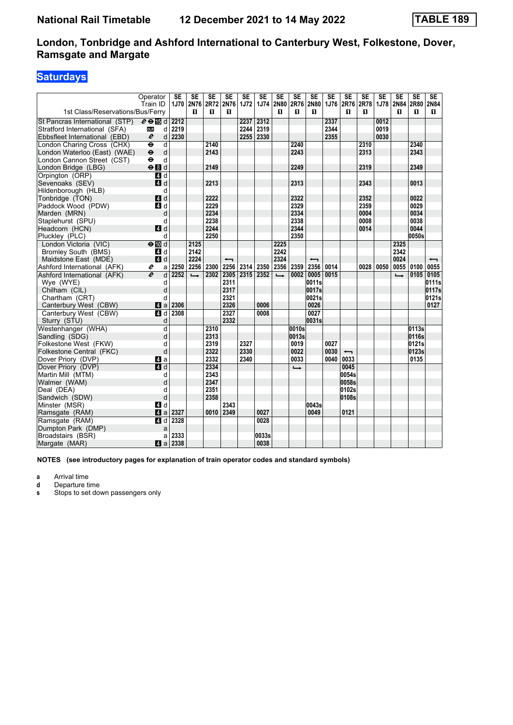## **Saturdays**

| Operator                                                  | <b>SE</b> | <b>SE</b>      | <b>SE</b>   | <b>SE</b>                | <b>SE</b>   | $\overline{\text{SE}}$ | <b>SE</b>     | <b>SE</b>      | <b>SE</b>                | $\overline{\text{SE}}$ | $\overline{\text{SE}}$   | <b>SE</b>   | $\overline{\text{SE}}$ | <b>SE</b>     | $\overline{\text{SE}}$ | SE                       |
|-----------------------------------------------------------|-----------|----------------|-------------|--------------------------|-------------|------------------------|---------------|----------------|--------------------------|------------------------|--------------------------|-------------|------------------------|---------------|------------------------|--------------------------|
| Train ID<br>1st Class/Reservations/Bus/Ferry              |           | 1J70 2N76<br>п | <b>2R72</b> | 2N76<br>п                | <b>1J72</b> | <b>1J74</b>            | 2N80<br>п     | 2R76 2N80<br>п |                          | 1J76                   | 2R76 2R78                | п           | 1J78                   | 2N84<br>п     | 2R80<br>п              | 2N84<br>П.               |
|                                                           |           |                | 0           |                          |             |                        |               |                | 0                        |                        | П                        |             |                        |               |                        |                          |
| St Pancras International (STP)<br>$e \oplus \mathbb{F}$ d | 2212      |                |             |                          | 2237        | 2312                   |               |                |                          | 2337                   |                          |             | 0012                   |               |                        |                          |
| Stratford International (SFA)<br><b>DLR</b>               | 2219<br>d |                |             |                          | 2244        | 2319                   |               |                |                          | 2344                   |                          |             | 0019                   |               |                        |                          |
| $\boldsymbol{\ell}$<br>Ebbsfleet International (EBD)      | 2230<br>d |                |             |                          | 2255        | 2330                   |               |                |                          | 2355                   |                          |             | 0030                   |               |                        |                          |
| London Charing Cross (CHX)<br>$\ddot{\mathbf{e}}$         | d         |                | 2140        |                          |             |                        |               | 2240           |                          |                        |                          | 2310        |                        |               | 2340                   |                          |
| $\ddot{\bullet}$<br>London Waterloo (East) (WAE)          | d         |                | 2143        |                          |             |                        |               | 2243           |                          |                        |                          | 2313        |                        |               | 2343                   |                          |
| London Cannon Street (CST)<br>$\bullet$                   | d         |                |             |                          |             |                        |               |                |                          |                        |                          |             |                        |               |                        |                          |
| $\Theta$ $d$<br>London Bridge (LBG)                       |           |                | 2149        |                          |             |                        |               | 2249           |                          |                        |                          | 2319        |                        |               | 2349                   |                          |
| Orpinaton (ORP)<br>4d                                     |           |                |             |                          |             |                        |               |                |                          |                        |                          |             |                        |               |                        |                          |
| Sevenoaks (SEV)<br>$\blacksquare$ d                       |           |                | 2213        |                          |             |                        |               | 2313           |                          |                        |                          | 2343        |                        |               | 0013                   |                          |
| Hildenborough (HLB)                                       | d         |                |             |                          |             |                        |               |                |                          |                        |                          |             |                        |               |                        |                          |
| 4 d<br>Tonbridge (TON)                                    |           |                | 2222        |                          |             |                        |               | 2322           |                          |                        |                          | 2352        |                        |               | 0022                   |                          |
| Paddock Wood (PDW)<br>4d                                  |           |                | 2229        |                          |             |                        |               | 2329           |                          |                        |                          | 2359        |                        |               | 0029                   |                          |
| Marden (MRN)                                              | d         |                | 2234        |                          |             |                        |               | 2334           |                          |                        |                          | 0004        |                        |               | 0034                   |                          |
| Staplehurst (SPU)                                         | d         |                | 2238        |                          |             |                        |               | 2338           |                          |                        |                          | 0008        |                        |               | 0038                   |                          |
| Headcorn (HCN)<br>4d                                      |           |                | 2244        |                          |             |                        |               | 2344           |                          |                        |                          | 0014        |                        |               | 0044                   |                          |
| Pluckley (PLC)                                            | d         |                | 2250        |                          |             |                        |               | 2350           |                          |                        |                          |             |                        |               | 0050s                  |                          |
| London Victoria (VIC)<br>$e$ <sub>III</sub> $d$           |           | 2125           |             |                          |             |                        | 2225          |                |                          |                        |                          |             |                        | 2325          |                        |                          |
| Bromley South (BMS)<br>4 d                                |           | 2142           |             |                          |             |                        | 2242          |                |                          |                        |                          |             |                        | 2342          |                        |                          |
| $A$ d<br>Maidstone East (MDE)                             |           | 2224           |             | $\overline{\phantom{0}}$ |             |                        | 2324          |                | $\overline{\phantom{0}}$ |                        |                          |             |                        | 0024          |                        | $\overline{\phantom{0}}$ |
| Ashford International (AFK)<br>e                          | 2250<br>a | 2256           | 2300        | 2256                     | 2314        |                        | 2350 2356     | 2359           | 2356                     | 0014                   |                          | 0028   0050 |                        | 0055          | 0100                   | 0055                     |
| $\overline{e}$<br>Ashford International (AFK)             | d<br>2252 | $\rightarrow$  | 2302        | 2305                     | 2315        | 2352                   | $\rightarrow$ | 0002           | 0005                     | 0015                   |                          |             |                        | $\rightarrow$ | 0105                   | 0105                     |
| Wye (WYE)                                                 | d         |                |             | 2311                     |             |                        |               |                | 0011s                    |                        |                          |             |                        |               |                        | 0111s                    |
| Chilham (CIL)                                             | d         |                |             | 2317                     |             |                        |               |                | 0017s                    |                        |                          |             |                        |               |                        | 0117s                    |
| Chartham (CRT)                                            | d         |                |             | 2321                     |             |                        |               |                | 0021s                    |                        |                          |             |                        |               |                        | 0121s                    |
| Canterbury West (CBW)<br>ZI a                             | 2306      |                |             | 2326                     |             | 0006                   |               |                | 0026                     |                        |                          |             |                        |               |                        | 0127                     |
| Canterbury West (CBW)<br>$\blacksquare$ d                 | 2308      |                |             | 2327                     |             | 0008                   |               |                | 0027                     |                        |                          |             |                        |               |                        |                          |
| Sturry (STU)                                              | d         |                |             | 2332                     |             |                        |               |                | 0031s                    |                        |                          |             |                        |               |                        |                          |
| Westenhanger (WHA)                                        | d         |                | 2310        |                          |             |                        |               | 0010s          |                          |                        |                          |             |                        |               | 0113s                  |                          |
| Sandling (SDG)                                            | d         |                | 2313        |                          |             |                        |               | 0013s          |                          |                        |                          |             |                        |               | 0116s                  |                          |
| Folkestone West (FKW)                                     | d         |                | 2319        |                          | 2327        |                        |               | 0019           |                          | 0027                   |                          |             |                        |               | 0121s                  |                          |
| Folkestone Central (FKC)                                  | d         |                | 2322        |                          | 2330        |                        |               | 0022           |                          | 0030                   | $\overline{\phantom{0}}$ |             |                        |               | 0123s                  |                          |
| Dover Priory (DVP)<br>Z1 a                                |           |                | 2332        |                          | 2340        |                        |               | 0033           |                          | 0040                   | 0033                     |             |                        |               | 0135                   |                          |
| Dover Priory (DVP)<br>$A$ <sub>d</sub>                    |           |                | 2334        |                          |             |                        |               | ┗              |                          |                        | 0045                     |             |                        |               |                        |                          |
| Martin Mill (MTM)                                         | d         |                | 2343        |                          |             |                        |               |                |                          |                        | 0054s                    |             |                        |               |                        |                          |
| Walmer (WAM)                                              | d         |                | 2347        |                          |             |                        |               |                |                          |                        | 0058s                    |             |                        |               |                        |                          |
| Deal (DEA)                                                | d         |                | 2351        |                          |             |                        |               |                |                          |                        | 0102s                    |             |                        |               |                        |                          |
| Sandwich (SDW)                                            | d         |                | 2358        |                          |             |                        |               |                |                          |                        | 0108s                    |             |                        |               |                        |                          |
| 4d<br>Minster (MSR)                                       |           |                |             | 2343                     |             |                        |               |                | 0043s                    |                        |                          |             |                        |               |                        |                          |
| Ramsgate (RAM)<br>4a                                      | 2327      |                | 0010        | 2349                     |             | 0027                   |               |                | 0049                     |                        | 0121                     |             |                        |               |                        |                          |
| Ramsgate (RAM)<br>41 d                                    | 2328      |                |             |                          |             | 0028                   |               |                |                          |                        |                          |             |                        |               |                        |                          |
| Dumpton Park (DMP)                                        | a         |                |             |                          |             |                        |               |                |                          |                        |                          |             |                        |               |                        |                          |
| Broadstairs (BSR)                                         | 2333<br>a |                |             |                          |             | 0033s                  |               |                |                          |                        |                          |             |                        |               |                        |                          |
| Margate (MAR)                                             | 2338      |                |             |                          |             | 0038                   |               |                |                          |                        |                          |             |                        |               |                        |                          |

**NOTES (see introductory pages for explanation of train operator codes and standard symbols)**

**a** Arrival time<br>**d** Departure ti

**d** Departure time<br>**s** Stops to set do

**s** Stops to set down passengers only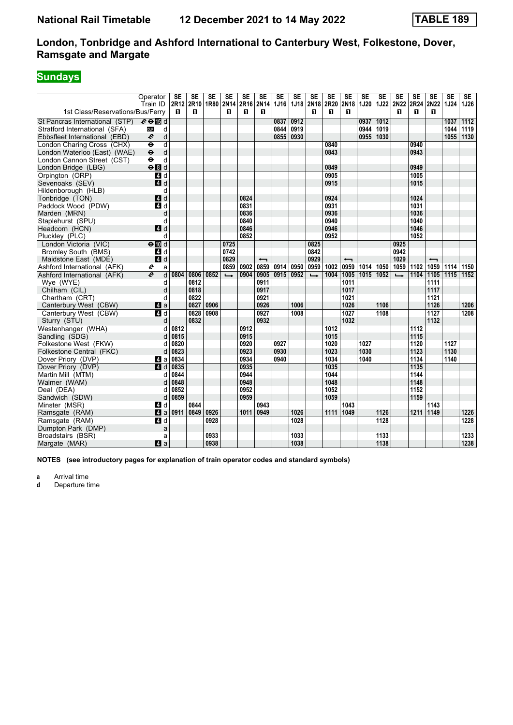# **Sundays**

|                                  | Operator<br>Train ID                           | <b>SE</b><br>2R12 | <b>SE</b><br>2R10 | SE<br>1R80 2N14 | <b>SE</b>     | <b>SE</b><br>2R16 | <b>SE</b><br>2N <sub>14</sub> | <b>SE</b><br>1J16 | <b>SE</b> | <b>SE</b><br>1J18 2N18 | <b>SE</b><br>2R20 | <b>SE</b><br>2N18        | SE<br>1J20 | <b>SE</b><br>1J22 | <b>SE</b><br><b>2N22</b> | <b>SE</b><br>2R24 | <b>SE</b><br>2N22        | <b>SE</b><br><b>1J24</b> | SE<br>1J26 |
|----------------------------------|------------------------------------------------|-------------------|-------------------|-----------------|---------------|-------------------|-------------------------------|-------------------|-----------|------------------------|-------------------|--------------------------|------------|-------------------|--------------------------|-------------------|--------------------------|--------------------------|------------|
| 1st Class/Reservations/Bus/Ferry |                                                | п                 | п                 |                 | п             | п                 | п                             |                   |           | п                      | п                 | п                        |            |                   | п                        | п                 | п                        |                          |            |
| St Pancras International (STP)   | $e \oplus \mathbb{E}$ d                        |                   |                   |                 |               |                   |                               | 0837              | 0912      |                        |                   |                          | 0937       | 1012              |                          |                   |                          | 1037                     | 1112       |
| Stratford International (SFA)    | d<br><b>DLR</b>                                |                   |                   |                 |               |                   |                               | 0844              | 0919      |                        |                   |                          | 0944       | 1019              |                          |                   |                          | 1044                     | 1119       |
| Ebbsfleet International (EBD)    | d<br>$\boldsymbol{\ell}$                       |                   |                   |                 |               |                   |                               | 0855 0930         |           |                        |                   |                          | 0955       | 1030              |                          |                   |                          | 1055                     | 1130       |
| London Charing Cross (CHX)       | $\overline{\mathsf{d}}$<br>$\ddot{\mathbf{e}}$ |                   |                   |                 |               |                   |                               |                   |           |                        | 0840              |                          |            |                   |                          | 0940              |                          |                          |            |
| London Waterloo (East) (WAE)     | $\ddot{\boldsymbol{\Theta}}$<br>d              |                   |                   |                 |               |                   |                               |                   |           |                        | 0843              |                          |            |                   |                          | 0943              |                          |                          |            |
| London Cannon Street (CST)       | $\ddot{\mathbf{e}}$<br>d                       |                   |                   |                 |               |                   |                               |                   |           |                        |                   |                          |            |                   |                          |                   |                          |                          |            |
| London Bridge (LBG)              | eBd                                            |                   |                   |                 |               |                   |                               |                   |           |                        | 0849              |                          |            |                   |                          | 0949              |                          |                          |            |
| Orpington (ORP)                  | $\overline{a}$ d                               |                   |                   |                 |               |                   |                               |                   |           |                        | 0905              |                          |            |                   |                          | 1005              |                          |                          |            |
| Sevenoaks (SEV)                  | 4d                                             |                   |                   |                 |               |                   |                               |                   |           |                        | 0915              |                          |            |                   |                          | 1015              |                          |                          |            |
| Hildenborough (HLB)              | d                                              |                   |                   |                 |               |                   |                               |                   |           |                        |                   |                          |            |                   |                          |                   |                          |                          |            |
| Tonbridge (TON)                  | 4d                                             |                   |                   |                 |               | 0824              |                               |                   |           |                        | 0924              |                          |            |                   |                          | 1024              |                          |                          |            |
| Paddock Wood (PDW)               | 4d                                             |                   |                   |                 |               | 0831              |                               |                   |           |                        | 0931              |                          |            |                   |                          | 1031              |                          |                          |            |
| Marden (MRN)                     | d                                              |                   |                   |                 |               | 0836              |                               |                   |           |                        | 0936              |                          |            |                   |                          | 1036              |                          |                          |            |
| Staplehurst (SPU)                | d                                              |                   |                   |                 |               | 0840              |                               |                   |           |                        | 0940              |                          |            |                   |                          | 1040              |                          |                          |            |
| Headcorn (HCN)                   | 4d                                             |                   |                   |                 |               | 0846              |                               |                   |           |                        | 0946              |                          |            |                   |                          | 1046              |                          |                          |            |
| Pluckley (PLC)                   | d                                              |                   |                   |                 |               | 0852              |                               |                   |           |                        | 0952              |                          |            |                   |                          | 1052              |                          |                          |            |
| London Victoria (VIC)            | $\Theta$ III d                                 |                   |                   |                 | 0725          |                   |                               |                   |           | 0825                   |                   |                          |            |                   | 0925                     |                   |                          |                          |            |
| <b>Bromley South (BMS)</b>       | 4 d                                            |                   |                   |                 | 0742          |                   |                               |                   |           | 0842                   |                   |                          |            |                   | 0942                     |                   |                          |                          |            |
| Maidstone East (MDE)             | 4d                                             |                   |                   |                 | 0829          |                   | $\overline{\phantom{0}}$      |                   |           | 0929                   |                   | $\overline{\phantom{0}}$ |            |                   | 1029                     |                   | $\overline{\phantom{0}}$ |                          |            |
| Ashford International (AFK)      | e<br>a                                         |                   |                   |                 | 0859          | 0902              | 0859                          | 0914              | 0950      | 0959                   | 1002              | 0959                     | 1014       | 1050              | 1059                     | 1102              | 1059                     | 1114                     | 1150       |
| Ashford International (AFK)      | $\overline{e}$<br>d                            | 0804              | 0806              | 0852            | $\rightarrow$ | 0904              | 0905                          | 0915 0952         |           | $\rightarrow$          | 1004              | 1005                     | 1015       | 1052              | $\rightarrow$            | 1104              | 1105                     | 1115                     | 1152       |
| Wye (WYE)                        | d                                              |                   | 0812              |                 |               |                   | 0911                          |                   |           |                        |                   | 1011                     |            |                   |                          |                   | 1111                     |                          |            |
| Chilham (CIL)                    | d                                              |                   | 0818              |                 |               |                   | 0917                          |                   |           |                        |                   | 1017                     |            |                   |                          |                   | 1117                     |                          |            |
| Chartham (CRT)                   | d                                              |                   | 0822              |                 |               |                   | 0921                          |                   |           |                        |                   | 1021                     |            |                   |                          |                   | 1121                     |                          |            |
| Canterbury West (CBW)            | Zi a                                           |                   | 0827              | 0906            |               |                   | 0926                          |                   | 1006      |                        |                   | 1026                     |            | 1106              |                          |                   | 1126                     |                          | 1206       |
| Canterbury West (CBW)            | $\overline{a}$ d                               |                   | 0828              | 0908            |               |                   | 0927                          |                   | 1008      |                        |                   | 1027                     |            | 1108              |                          |                   | $\overline{1127}$        |                          | 1208       |
| Sturry (STU)                     | d                                              |                   | 0832              |                 |               |                   | 0932                          |                   |           |                        |                   | 1032                     |            |                   |                          |                   | 1132                     |                          |            |
| Westenhanger (WHA)               | d                                              | 0812              |                   |                 |               | 0912              |                               |                   |           |                        | 1012              |                          |            |                   |                          | 1112              |                          |                          |            |
| Sandling (SDG)                   | d                                              | 0815              |                   |                 |               | 0915              |                               |                   |           |                        | 1015              |                          |            |                   |                          | 1115              |                          |                          |            |
| Folkestone West (FKW)            | d                                              | 0820              |                   |                 |               | 0920              |                               | 0927              |           |                        | 1020              |                          | 1027       |                   |                          | 1120              |                          | 1127                     |            |
| Folkestone Central (FKC)         | d                                              | 0823              |                   |                 |               | 0923              |                               | 0930              |           |                        | 1023              |                          | 1030       |                   |                          | 1123              |                          | 1130                     |            |
| Dover Priory (DVP)               | 41 a                                           | 0834              |                   |                 |               | 0934              |                               | 0940              |           |                        | 1034              |                          | 1040       |                   |                          | 1134              |                          | 1140                     |            |
| Dover Priory (DVP)               | $\blacksquare$ d                               | 0835              |                   |                 |               | 0935              |                               |                   |           |                        | 1035              |                          |            |                   |                          | 1135              |                          |                          |            |
| Martin Mill (MTM)                | d                                              | 0844              |                   |                 |               | 0944              |                               |                   |           |                        | 1044              |                          |            |                   |                          | 1144              |                          |                          |            |
| Walmer (WAM)                     | d                                              | 0848              |                   |                 |               | 0948              |                               |                   |           |                        | 1048              |                          |            |                   |                          | 1148              |                          |                          |            |
| Deal (DEA)                       | d                                              | 0852              |                   |                 |               | 0952              |                               |                   |           |                        | 1052              |                          |            |                   |                          | 1152              |                          |                          |            |
| Sandwich (SDW)                   | d                                              | 0859              |                   |                 |               | 0959              |                               |                   |           |                        | 1059              |                          |            |                   |                          | 1159              |                          |                          |            |
| Minster (MSR)                    | 4 d                                            |                   | 0844              |                 |               |                   | 0943                          |                   |           |                        |                   | 1043                     |            |                   |                          |                   | 1143                     |                          |            |
| Ramsgate (RAM)                   | ZI a                                           | 0911              | 0849              | 0926            |               | 1011              | 0949                          |                   | 1026      |                        | 1111              | 1049                     |            | 1126              |                          | 1211              | 1149                     |                          | 1226       |
| Ramsgate (RAM)                   | 4d                                             |                   |                   | 0928            |               |                   |                               |                   | 1028      |                        |                   |                          |            | 1128              |                          |                   |                          |                          | 1228       |
| Dumpton Park (DMP)               | a                                              |                   |                   |                 |               |                   |                               |                   |           |                        |                   |                          |            |                   |                          |                   |                          |                          |            |
| Broadstairs (BSR)                | a                                              |                   |                   | 0933            |               |                   |                               |                   | 1033      |                        |                   |                          |            | 1133              |                          |                   |                          |                          | 1233       |
| Margate (MAR)                    | 4a                                             |                   |                   | 0938            |               |                   |                               |                   | 1038      |                        |                   |                          |            | 1138              |                          |                   |                          |                          | 1238       |

**NOTES (see introductory pages for explanation of train operator codes and standard symbols)**

**a** Arrival time<br>**d** Departure ti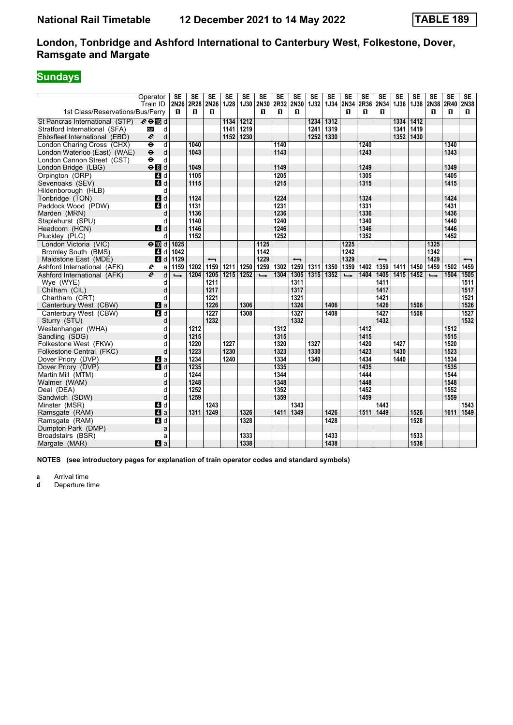# **Sundays**

|                                  | Operator                          | <b>SE</b>     | SE          | SE                       | $\overline{\text{SE}}$ | $\overline{\text{SE}}$ | $\overline{\text{SE}}$ | SE   | SE                       | <b>SE</b>   | $\overline{\text{SE}}$ | <b>SE</b>     | $\overline{\text{SE}}$ | $\overline{\text{SE}}$   | $\overline{\text{SE}}$ | $\overline{\text{SE}}$ | $\overline{\text{SE}}$ | $\overline{\text{SE}}$ | $\overline{\text{SE}}$   |
|----------------------------------|-----------------------------------|---------------|-------------|--------------------------|------------------------|------------------------|------------------------|------|--------------------------|-------------|------------------------|---------------|------------------------|--------------------------|------------------------|------------------------|------------------------|------------------------|--------------------------|
|                                  | Train ID                          | 2N26          | <b>2R28</b> | 2N26                     | 1J28                   | <b>1J30</b>            | 2N30                   | 2R32 | 2N30                     | <b>1J32</b> | 1J34 2N34              |               | 2R36                   | 2N34                     | 1J36                   | 1J38                   | 2N38 2R40              |                        | 2N38                     |
| 1st Class/Reservations/Bus/Ferry |                                   | п             | п           | п                        |                        |                        | п                      | п    | п                        |             |                        | п             | п                      | п                        |                        |                        | п                      | п                      | п                        |
| St Pancras International (STP)   | $e \oplus \mathbb{E}$ d           |               |             |                          | 1134                   | $\overline{1212}$      |                        |      |                          | 1234        | 1312                   |               |                        |                          | 1334                   | 1412                   |                        |                        |                          |
| Stratford International (SFA)    | <b>DLR</b><br>d                   |               |             |                          | 1141                   | 1219                   |                        |      |                          | 1241        | 1319                   |               |                        |                          | 1341                   | 1419                   |                        |                        |                          |
| Ebbsfleet International (EBD)    | $\boldsymbol{\ell}$<br>d          |               |             |                          | 1152                   | 1230                   |                        |      |                          | 1252        | 1330                   |               |                        |                          | 1352                   | 1430                   |                        |                        |                          |
| London Charing Cross (CHX)       | d<br>θ                            |               | 1040        |                          |                        |                        |                        | 1140 |                          |             |                        |               | 1240                   |                          |                        |                        |                        | 1340                   |                          |
| London Waterloo (East) (WAE)     | $\ddot{\boldsymbol{\Theta}}$<br>d |               | 1043        |                          |                        |                        |                        | 1143 |                          |             |                        |               | 1243                   |                          |                        |                        |                        | 1343                   |                          |
| London Cannon Street (CST)       | $\ddot{\phantom{1}}$<br>d         |               |             |                          |                        |                        |                        |      |                          |             |                        |               |                        |                          |                        |                        |                        |                        |                          |
| London Bridge (LBG)              | eBd                               |               | 1049        |                          |                        |                        |                        | 1149 |                          |             |                        |               | 1249                   |                          |                        |                        |                        | 1349                   |                          |
| Orpington (ORP)                  | $\overline{a}$ d                  |               | 1105        |                          |                        |                        |                        | 1205 |                          |             |                        |               | 1305                   |                          |                        |                        |                        | 1405                   |                          |
| Sevenoaks (SEV)                  | $\blacksquare$ d                  |               | 1115        |                          |                        |                        |                        | 1215 |                          |             |                        |               | 1315                   |                          |                        |                        |                        | 1415                   |                          |
| Hildenborough (HLB)              | d                                 |               |             |                          |                        |                        |                        |      |                          |             |                        |               |                        |                          |                        |                        |                        |                        |                          |
| Tonbridge (TON)                  | $\blacksquare$ d                  |               | 1124        |                          |                        |                        |                        | 1224 |                          |             |                        |               | 1324                   |                          |                        |                        |                        | 1424                   |                          |
| Paddock Wood (PDW)               | 4 d                               |               | 1131        |                          |                        |                        |                        | 1231 |                          |             |                        |               | 1331                   |                          |                        |                        |                        | 1431                   |                          |
| Marden (MRN)                     | d                                 |               | 1136        |                          |                        |                        |                        | 1236 |                          |             |                        |               | 1336                   |                          |                        |                        |                        | 1436                   |                          |
| Staplehurst (SPU)                | d                                 |               | 1140        |                          |                        |                        |                        | 1240 |                          |             |                        |               | 1340                   |                          |                        |                        |                        | 1440                   |                          |
| Headcorn (HCN)                   | 4d                                |               | 1146        |                          |                        |                        |                        | 1246 |                          |             |                        |               | 1346                   |                          |                        |                        |                        | 1446                   |                          |
| Pluckley (PLC)                   | d                                 |               | 1152        |                          |                        |                        |                        | 1252 |                          |             |                        |               | 1352                   |                          |                        |                        |                        | 1452                   |                          |
| London Victoria (VIC)            | $\Theta$ III d                    | 1025          |             |                          |                        |                        | 1125                   |      |                          |             |                        | 1225          |                        |                          |                        |                        | 1325                   |                        |                          |
| <b>Bromley South (BMS)</b>       | 4 d                               | 1042          |             |                          |                        |                        | 1142                   |      |                          |             |                        | 1242          |                        |                          |                        |                        | 1342                   |                        |                          |
| Maidstone East (MDE)             | 4d                                | 1129          |             | $\overline{\phantom{0}}$ |                        |                        | 1229                   |      | $\overline{\phantom{0}}$ |             |                        | 1329          |                        | $\overline{\phantom{0}}$ |                        |                        | 1429                   |                        | $\overline{\phantom{0}}$ |
| Ashford International (AFK)      | e<br>a                            | 1159          | 1202        | 1159                     | 1211                   | 1250                   | 1259                   | 1302 | 1259                     | 1311        | 1350                   | 1359          | 1402                   | 1359                     | 1411                   | 1450                   | 1459                   | 1502                   | 1459                     |
| Ashford International (AFK)      | $\overline{e}$<br>d               | $\rightarrow$ | 1204        | 1205                     | 1215                   | 1252                   | $\rightarrow$          | 1304 | 1305                     | 1315        | 1352                   | $\rightarrow$ | 1404                   | 1405                     | 1415                   | 1452                   | $\rightarrow$          | 1504                   | 1505                     |
| Wye (WYE)                        | d                                 |               |             | 1211                     |                        |                        |                        |      | 1311                     |             |                        |               |                        | 1411                     |                        |                        |                        |                        | 1511                     |
| Chilham (CIL)                    | d                                 |               |             | 1217                     |                        |                        |                        |      | 1317                     |             |                        |               |                        | 1417                     |                        |                        |                        |                        | 1517                     |
| Chartham (CRT)                   | d                                 |               |             | 1221                     |                        |                        |                        |      | 1321                     |             |                        |               |                        | 1421                     |                        |                        |                        |                        | 1521                     |
| Canterbury West (CBW)            | 4a                                |               |             | 1226                     |                        | 1306                   |                        |      | 1326                     |             | 1406                   |               |                        | 1426                     |                        | 1506                   |                        |                        | 1526                     |
| Canterbury West (CBW)            | $\overline{a}$ d                  |               |             | 1227                     |                        | 1308                   |                        |      | 1327                     |             | 1408                   |               |                        | 1427                     |                        | 1508                   |                        |                        | $\overline{1527}$        |
| Sturry (STU)                     | d                                 |               |             | 1232                     |                        |                        |                        |      | 1332                     |             |                        |               |                        | 1432                     |                        |                        |                        |                        | 1532                     |
| Westenhanger (WHA)               | d                                 |               | 1212        |                          |                        |                        |                        | 1312 |                          |             |                        |               | 1412                   |                          |                        |                        |                        | 1512                   |                          |
| Sandling (SDG)                   | d                                 |               | 1215        |                          |                        |                        |                        | 1315 |                          |             |                        |               | 1415                   |                          |                        |                        |                        | 1515                   |                          |
| Folkestone West (FKW)            | d                                 |               | 1220        |                          | 1227                   |                        |                        | 1320 |                          | 1327        |                        |               | 1420                   |                          | 1427                   |                        |                        | 1520                   |                          |
| Folkestone Central (FKC)         | d                                 |               | 1223        |                          | 1230                   |                        |                        | 1323 |                          | 1330        |                        |               | 1423                   |                          | 1430                   |                        |                        | 1523                   |                          |
| Dover Priory (DVP)               | ZI a                              |               | 1234        |                          | 1240                   |                        |                        | 1334 |                          | 1340        |                        |               | 1434                   |                          | 1440                   |                        |                        | 1534                   |                          |
| Dover Priory (DVP)               | $\blacksquare$ d                  |               | 1235        |                          |                        |                        |                        | 1335 |                          |             |                        |               | 1435                   |                          |                        |                        |                        | 1535                   |                          |
| Martin Mill (MTM)                | d                                 |               | 1244        |                          |                        |                        |                        | 1344 |                          |             |                        |               | 1444                   |                          |                        |                        |                        | 1544                   |                          |
| Walmer (WAM)                     | d                                 |               | 1248        |                          |                        |                        |                        | 1348 |                          |             |                        |               | 1448                   |                          |                        |                        |                        | 1548                   |                          |
| Deal (DEA)                       | d                                 |               | 1252        |                          |                        |                        |                        | 1352 |                          |             |                        |               | 1452                   |                          |                        |                        |                        | 1552                   |                          |
| Sandwich (SDW)                   | d                                 |               | 1259        |                          |                        |                        |                        | 1359 |                          |             |                        |               | 1459                   |                          |                        |                        |                        | 1559                   |                          |
| Minster (MSR)                    | 4 d                               |               |             | 1243                     |                        |                        |                        |      | 1343                     |             |                        |               |                        | 1443                     |                        |                        |                        |                        | 1543                     |
| Ramsgate (RAM)                   | $\blacksquare$ a                  |               | 1311        | 1249                     |                        | 1326                   |                        | 1411 | 1349                     |             | 1426                   |               | 1511                   | 1449                     |                        | 1526                   |                        | 1611                   | 1549                     |
| Ramsgate (RAM)                   | 4d                                |               |             |                          |                        | 1328                   |                        |      |                          |             | 1428                   |               |                        |                          |                        | 1528                   |                        |                        |                          |
| Dumpton Park (DMP)               | a                                 |               |             |                          |                        |                        |                        |      |                          |             |                        |               |                        |                          |                        |                        |                        |                        |                          |
| Broadstairs (BSR)                | a                                 |               |             |                          |                        | 1333                   |                        |      |                          |             | 1433                   |               |                        |                          |                        | 1533                   |                        |                        |                          |
| Margate (MAR)                    | $\blacksquare$ a                  |               |             |                          |                        | 1338                   |                        |      |                          |             | 1438                   |               |                        |                          |                        | 1538                   |                        |                        |                          |

**NOTES (see introductory pages for explanation of train operator codes and standard symbols)**

**a** Arrival time<br>**d** Departure ti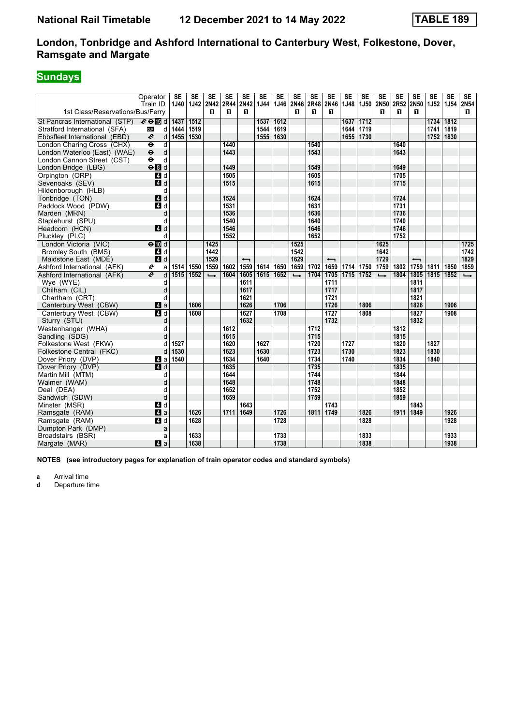# **Sundays**

|                                  | Operator                          | <b>SE</b> | <b>SE</b>         | <b>SE</b>     | <b>SE</b> | <b>SE</b>                | <b>SE</b>   | <b>SE</b> | <b>SE</b>     | <b>SE</b>   | <b>SE</b>                | <b>SE</b> | <b>SE</b>         | <b>SE</b>     | <b>SE</b> | <b>SE</b>                | <b>SE</b>      | <b>SE</b> | <b>SE</b>     |
|----------------------------------|-----------------------------------|-----------|-------------------|---------------|-----------|--------------------------|-------------|-----------|---------------|-------------|--------------------------|-----------|-------------------|---------------|-----------|--------------------------|----------------|-----------|---------------|
|                                  | Train ID                          | 1J40      | <b>1J42</b>       | 2N42 2R44     |           | 2N42                     | <b>1J44</b> |           | 1J46 2N46     | <b>2R48</b> | 2N46                     | 1J48      | 1J50 2N50         |               | 2R52      | 2N50                     | 1J52           | 1J54 2N54 |               |
| 1st Class/Reservations/Bus/Ferry |                                   |           |                   | п             | п         | п                        |             |           | п             | п           | п                        |           |                   | п             | п         | п                        |                |           | п             |
| St Pancras International (STP)   | $e \oplus \Box$                   | 1437      | $\overline{1512}$ |               |           |                          | 1537        | 1612      |               |             |                          | 1637      | $\overline{1712}$ |               |           |                          | $\boxed{1734}$ | 1812      |               |
| Stratford International (SFA)    | <b>DLR</b><br>d                   | 1444      | 1519              |               |           |                          | 1544        | 1619      |               |             |                          | 1644      | 1719              |               |           |                          | 1741           | 1819      |               |
| Ebbsfleet International (EBD)    | $\boldsymbol{\ell}$<br>d          | 1455      | 1530              |               |           |                          | 1555 1630   |           |               |             |                          | 1655      | 1730              |               |           |                          | 1752           | 1830      |               |
| London Charing Cross (CHX)       | $\ddot{\mathbf{e}}$<br>d          |           |                   |               | 1440      |                          |             |           |               | 1540        |                          |           |                   |               | 1640      |                          |                |           |               |
| London Waterloo (East) (WAE)     | d<br>$\ddot{\boldsymbol{\Theta}}$ |           |                   |               | 1443      |                          |             |           |               | 1543        |                          |           |                   |               | 1643      |                          |                |           |               |
| London Cannon Street (CST)       | $\ddot{\mathbf{e}}$<br>d          |           |                   |               |           |                          |             |           |               |             |                          |           |                   |               |           |                          |                |           |               |
| London Bridge (LBG)              | $\Theta$ $d$                      |           |                   |               | 1449      |                          |             |           |               | 1549        |                          |           |                   |               | 1649      |                          |                |           |               |
| Orpington (ORP)                  | 4d                                |           |                   |               | 1505      |                          |             |           |               | 1605        |                          |           |                   |               | 1705      |                          |                |           |               |
| Sevenoaks (SEV)                  | 4d                                |           |                   |               | 1515      |                          |             |           |               | 1615        |                          |           |                   |               | 1715      |                          |                |           |               |
| Hildenborough (HLB)              | d                                 |           |                   |               |           |                          |             |           |               |             |                          |           |                   |               |           |                          |                |           |               |
| Tonbridge (TON)                  | 4 d                               |           |                   |               | 1524      |                          |             |           |               | 1624        |                          |           |                   |               | 1724      |                          |                |           |               |
| Paddock Wood (PDW)               | 4d                                |           |                   |               | 1531      |                          |             |           |               | 1631        |                          |           |                   |               | 1731      |                          |                |           |               |
| Marden (MRN)                     | d                                 |           |                   |               | 1536      |                          |             |           |               | 1636        |                          |           |                   |               | 1736      |                          |                |           |               |
| Staplehurst (SPU)                | d                                 |           |                   |               | 1540      |                          |             |           |               | 1640        |                          |           |                   |               | 1740      |                          |                |           |               |
| Headcorn (HCN)                   | $A$ d                             |           |                   |               | 1546      |                          |             |           |               | 1646        |                          |           |                   |               | 1746      |                          |                |           |               |
| Pluckley (PLC)                   | d                                 |           |                   |               | 1552      |                          |             |           |               | 1652        |                          |           |                   |               | 1752      |                          |                |           |               |
| London Victoria (VIC)            | $\Theta$ M d                      |           |                   | 1425          |           |                          |             |           | 1525          |             |                          |           |                   | 1625          |           |                          |                |           | 1725          |
| <b>Bromley South (BMS)</b>       | 4 d                               |           |                   | 1442          |           |                          |             |           | 1542          |             |                          |           |                   | 1642          |           |                          |                |           | 1742          |
| Maidstone East (MDE)             | 4d                                |           |                   | 1529          |           | $\overline{\phantom{0}}$ |             |           | 1629          |             | $\overline{\phantom{0}}$ |           |                   | 1729          |           | $\overline{\phantom{0}}$ |                |           | 1829          |
| Ashford International (AFK)      | e<br>a                            | 1514      | 1550              | 1559          | 1602      | 1559                     | 1614        | 1650      | 1659          | 1702        | 1659                     | 1714 1750 |                   | 1759          | 1802      | 1759                     | 1811           | 1850      | 1859          |
| Ashford International (AFK)      | e<br>d                            | 1515      | 1552              | $\rightarrow$ | 1604      | 1605                     | 1615        | 1652      | $\rightarrow$ | 1704        | 1705                     | 1715 1752 |                   | $\rightarrow$ | 1804      | 1805                     | 1815           | 1852      | $\rightarrow$ |
| Wye (WYE)                        | d                                 |           |                   |               |           | 1611                     |             |           |               |             | 1711                     |           |                   |               |           | 1811                     |                |           |               |
| Chilham (CIL)                    | d                                 |           |                   |               |           | 1617                     |             |           |               |             | 1717                     |           |                   |               |           | 1817                     |                |           |               |
| Chartham (CRT)                   | d                                 |           |                   |               |           | 1621                     |             |           |               |             | 1721                     |           |                   |               |           | 1821                     |                |           |               |
| Canterbury West (CBW)            | ZI a                              |           | 1606              |               |           | 1626                     |             | 1706      |               |             | 1726                     |           | 1806              |               |           | 1826                     |                | 1906      |               |
| Canterbury West (CBW)            | $\blacksquare$                    |           | 1608              |               |           | 1627                     |             | 1708      |               |             | 1727                     |           | 1808              |               |           | 1827                     |                | 1908      |               |
| Sturry (STU)                     | d                                 |           |                   |               |           | 1632                     |             |           |               |             | 1732                     |           |                   |               |           | 1832                     |                |           |               |
| Westenhanger (WHA)               | d                                 |           |                   |               | 1612      |                          |             |           |               | 1712        |                          |           |                   |               | 1812      |                          |                |           |               |
| Sandling (SDG)                   | d                                 |           |                   |               | 1615      |                          |             |           |               | 1715        |                          |           |                   |               | 1815      |                          |                |           |               |
| Folkestone West (FKW)            | d                                 | 1527      |                   |               | 1620      |                          | 1627        |           |               | 1720        |                          | 1727      |                   |               | 1820      |                          | 1827           |           |               |
| Folkestone Central (FKC)         | d                                 | 1530      |                   |               | 1623      |                          | 1630        |           |               | 1723        |                          | 1730      |                   |               | 1823      |                          | 1830           |           |               |
| Dover Priory (DVP)               | ZI a                              | 1540      |                   |               | 1634      |                          | 1640        |           |               | 1734        |                          | 1740      |                   |               | 1834      |                          | 1840           |           |               |
| Dover Priory (DVP)               | $A$ <sub>d</sub>                  |           |                   |               | 1635      |                          |             |           |               | 1735        |                          |           |                   |               | 1835      |                          |                |           |               |
| Martin Mill (MTM)                | d                                 |           |                   |               | 1644      |                          |             |           |               | 1744        |                          |           |                   |               | 1844      |                          |                |           |               |
| Walmer (WAM)                     | d                                 |           |                   |               | 1648      |                          |             |           |               | 1748        |                          |           |                   |               | 1848      |                          |                |           |               |
| Deal (DEA)                       | d                                 |           |                   |               | 1652      |                          |             |           |               | 1752        |                          |           |                   |               | 1852      |                          |                |           |               |
| Sandwich (SDW)                   | d                                 |           |                   |               | 1659      |                          |             |           |               | 1759        |                          |           |                   |               | 1859      |                          |                |           |               |
| Minster (MSR)                    | 4 d                               |           |                   |               |           | 1643                     |             |           |               |             | 1743                     |           |                   |               |           | 1843                     |                |           |               |
| Ramsgate (RAM)                   | $\mathbf{A}$ a                    |           | 1626              |               | 1711      | 1649                     |             | 1726      |               | 1811        | 1749                     |           | 1826              |               | 1911      | 1849                     |                | 1926      |               |
| Ramsgate (RAM)                   | 4d                                |           | 1628              |               |           |                          |             | 1728      |               |             |                          |           | 1828              |               |           |                          |                | 1928      |               |
| Dumpton Park (DMP)               | a                                 |           |                   |               |           |                          |             |           |               |             |                          |           |                   |               |           |                          |                |           |               |
| Broadstairs (BSR)                | a                                 |           | 1633              |               |           |                          |             | 1733      |               |             |                          |           | 1833              |               |           |                          |                | 1933      |               |
| Margate (MAR)                    | ZI a                              |           | 1638              |               |           |                          |             | 1738      |               |             |                          |           | 1838              |               |           |                          |                | 1938      |               |

**NOTES (see introductory pages for explanation of train operator codes and standard symbols)**

**a** Arrival time<br>**d** Departure ti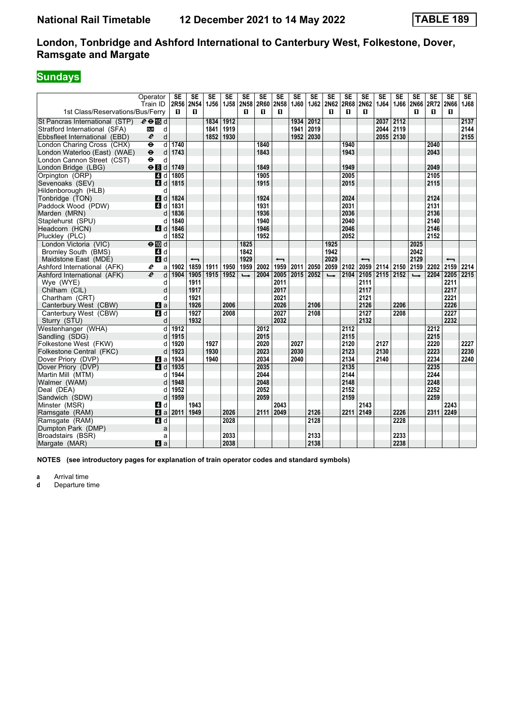# **Sundays**

|                                  | Operator                 | <b>SE</b> | <b>SE</b>                | SE          | <b>SE</b> | <b>SE</b>     | <b>SE</b> | SE                       | <b>SE</b> | <b>SE</b> | <b>SE</b>      | <b>SE</b> | SE                       | <b>SE</b> | <b>SE</b> | <b>SE</b>     | <b>SE</b> | <b>SE</b>                | SE   |
|----------------------------------|--------------------------|-----------|--------------------------|-------------|-----------|---------------|-----------|--------------------------|-----------|-----------|----------------|-----------|--------------------------|-----------|-----------|---------------|-----------|--------------------------|------|
| 1st Class/Reservations/Bus/Ferry | Train ID                 | 2R56<br>п | <b>2N54</b><br>п         | <b>1J56</b> | 1J58      | 2N58<br>п     | 2R60<br>п | 2N58<br>п                | 1J60      |           | 1J62 2N62<br>п | 2R68<br>п | <b>2N62</b><br>п         | 1J64      | 1J66      | 2N66<br>п     | 2R72<br>п | <b>2N66</b><br>п         | 1J68 |
|                                  |                          |           |                          |             |           |               |           |                          |           |           |                |           |                          |           |           |               |           |                          |      |
| St Pancras International (STP)   | $e \oplus E$ d           |           |                          | 1834        | 1912      |               |           |                          | 1934      | 2012      |                |           |                          | 2037      | 2112      |               |           |                          | 2137 |
| Stratford International (SFA)    | <b>DLR</b><br>d          |           |                          | 1841        | 1919      |               |           |                          | 1941      | 2019      |                |           |                          | 2044      | 2119      |               |           |                          | 2144 |
| Ebbsfleet International (EBD)    | $\boldsymbol{\ell}$<br>d |           |                          | 1852        | 1930      |               |           |                          |           | 1952 2030 |                |           |                          | 2055      | 2130      |               |           |                          | 2155 |
| London Charing Cross (CHX)       | $\ddot{\mathbf{e}}$<br>d | 1740      |                          |             |           |               | 1840      |                          |           |           |                | 1940      |                          |           |           |               | 2040      |                          |      |
| London Waterloo (East) (WAE)     | $\bullet$<br>d           | 1743      |                          |             |           |               | 1843      |                          |           |           |                | 1943      |                          |           |           |               | 2043      |                          |      |
| London Cannon Street (CST)       | $\ddot{\mathbf{e}}$<br>d |           |                          |             |           |               |           |                          |           |           |                |           |                          |           |           |               |           |                          |      |
| London Bridge (LBG)              | $e$ $d$                  | 1749      |                          |             |           |               | 1849      |                          |           |           |                | 1949      |                          |           |           |               | 2049      |                          |      |
| Orpington (ORP)                  | ZI d                     | 1805      |                          |             |           |               | 1905      |                          |           |           |                | 2005      |                          |           |           |               | 2105      |                          |      |
| Sevenoaks (SEV)                  | ZI d                     | 1815      |                          |             |           |               | 1915      |                          |           |           |                | 2015      |                          |           |           |               | 2115      |                          |      |
| Hildenborough (HLB)              | d                        |           |                          |             |           |               |           |                          |           |           |                |           |                          |           |           |               |           |                          |      |
| Tonbridge (TON)                  | 4 <sup>d</sup>           | 1824      |                          |             |           |               | 1924      |                          |           |           |                | 2024      |                          |           |           |               | 2124      |                          |      |
| Paddock Wood (PDW)               | 4d                       | 1831      |                          |             |           |               | 1931      |                          |           |           |                | 2031      |                          |           |           |               | 2131      |                          |      |
| Marden (MRN)                     | d                        | 1836      |                          |             |           |               | 1936      |                          |           |           |                | 2036      |                          |           |           |               | 2136      |                          |      |
| Staplehurst (SPU)                | d                        | 1840      |                          |             |           |               | 1940      |                          |           |           |                | 2040      |                          |           |           |               | 2140      |                          |      |
| Headcorn (HCN)                   | $\blacksquare$ d         | 1846      |                          |             |           |               | 1946      |                          |           |           |                | 2046      |                          |           |           |               | 2146      |                          |      |
| Pluckley (PLC)                   | d                        | 1852      |                          |             |           |               | 1952      |                          |           |           |                | 2052      |                          |           |           |               | 2152      |                          |      |
| London Victoria (VIC)            | $\Theta$ III d           |           |                          |             |           | 1825          |           |                          |           |           | 1925           |           |                          |           |           | 2025          |           |                          |      |
| <b>Bromley South (BMS)</b>       | 4 d                      |           |                          |             |           | 1842          |           |                          |           |           | 1942           |           |                          |           |           | 2042          |           |                          |      |
| Maidstone East (MDE)             | 4d                       |           | $\overline{\phantom{0}}$ |             |           | 1929          |           | $\overline{\phantom{0}}$ |           |           | 2029           |           | $\overline{\phantom{0}}$ |           |           | 2129          |           | $\overline{\phantom{0}}$ |      |
| Ashford International (AFK)      | e<br>a                   | 1902      | 1859                     | 1911        | 1950      | 1959          | 2002      | 1959                     | 2011      | 2050      | 2059           | 2102      | 2059                     | 2114 2150 |           | 2159          | 2202      | 2159                     | 2214 |
| Ashford International (AFK)      | e<br>d                   | 1904      | 1905                     | 1915        | 1952      | $\rightarrow$ | 2004      | 2005                     | 2015 2052 |           | $\rightarrow$  | 2104      | 2105                     | 2115 2152 |           | $\rightarrow$ | 2204      | 2205                     | 2215 |
| Wye (WYE)                        | d                        |           | 1911                     |             |           |               |           | 2011                     |           |           |                |           | 2111                     |           |           |               |           | 2211                     |      |
| Chilham (CIL)                    | d                        |           | 1917                     |             |           |               |           | 2017                     |           |           |                |           | 2117                     |           |           |               |           | 2217                     |      |
| Chartham (CRT)                   | d                        |           | 1921                     |             |           |               |           | 2021                     |           |           |                |           | 2121                     |           |           |               |           | 2221                     |      |
| Canterbury West (CBW)            | 4a                       |           | 1926                     |             | 2006      |               |           | 2026                     |           | 2106      |                |           | 2126                     |           | 2206      |               |           | 2226                     |      |
| Canterbury West (CBW)            | $\blacksquare$           |           | 1927                     |             | 2008      |               |           | 2027                     |           | 2108      |                |           | 2127                     |           | 2208      |               |           | 2227                     |      |
| Sturry (STU)                     | d                        |           | 1932                     |             |           |               |           | 2032                     |           |           |                |           | 2132                     |           |           |               |           | 2232                     |      |
| Westenhanger (WHA)               | d                        | 1912      |                          |             |           |               | 2012      |                          |           |           |                | 2112      |                          |           |           |               | 2212      |                          |      |
| Sandling (SDG)                   | d                        | 1915      |                          |             |           |               | 2015      |                          |           |           |                | 2115      |                          |           |           |               | 2215      |                          |      |
| Folkestone West (FKW)            | d                        | 1920      |                          | 1927        |           |               | 2020      |                          | 2027      |           |                | 2120      |                          | 2127      |           |               | 2220      |                          | 2227 |
| Folkestone Central (FKC)         | d                        | 1923      |                          | 1930        |           |               | 2023      |                          | 2030      |           |                | 2123      |                          | 2130      |           |               | 2223      |                          | 2230 |
| Dover Priory (DVP)               | ZI a                     | 1934      |                          | 1940        |           |               | 2034      |                          | 2040      |           |                | 2134      |                          | 2140      |           |               | 2234      |                          | 2240 |
| Dover Priory (DVP)               | $A$ d                    | 1935      |                          |             |           |               | 2035      |                          |           |           |                | 2135      |                          |           |           |               | 2235      |                          |      |
| Martin Mill (MTM)                | d                        | 1944      |                          |             |           |               | 2044      |                          |           |           |                | 2144      |                          |           |           |               | 2244      |                          |      |
| Walmer (WAM)                     |                          | 1948      |                          |             |           |               | 2048      |                          |           |           |                | 2148      |                          |           |           |               | 2248      |                          |      |
| Deal (DEA)                       | d                        | 1952      |                          |             |           |               | 2052      |                          |           |           |                | 2152      |                          |           |           |               | 2252      |                          |      |
| Sandwich (SDW)                   | d                        | 1959      |                          |             |           |               | 2059      |                          |           |           |                | 2159      |                          |           |           |               | 2259      |                          |      |
| Minster (MSR)                    | 4 d                      |           | 1943                     |             |           |               |           | 2043                     |           |           |                |           | 2143                     |           |           |               |           | 2243                     |      |
| Ramsgate (RAM)                   | 4a                       | 2011      | 1949                     |             | 2026      |               | 2111      | 2049                     |           | 2126      |                | 2211      | 2149                     |           | 2226      |               | 2311      | 2249                     |      |
| Ramsgate (RAM)                   | 4d                       |           |                          |             | 2028      |               |           |                          |           | 2128      |                |           |                          |           | 2228      |               |           |                          |      |
| Dumpton Park (DMP)               | a                        |           |                          |             |           |               |           |                          |           |           |                |           |                          |           |           |               |           |                          |      |
| Broadstairs (BSR)                | a                        |           |                          |             | 2033      |               |           |                          |           | 2133      |                |           |                          |           | 2233      |               |           |                          |      |
| Margate (MAR)                    | ZI a                     |           |                          |             | 2038      |               |           |                          |           | 2138      |                |           |                          |           | 2238      |               |           |                          |      |
|                                  |                          |           |                          |             |           |               |           |                          |           |           |                |           |                          |           |           |               |           |                          |      |

**NOTES (see introductory pages for explanation of train operator codes and standard symbols)**

**a** Arrival time<br>**d** Departure ti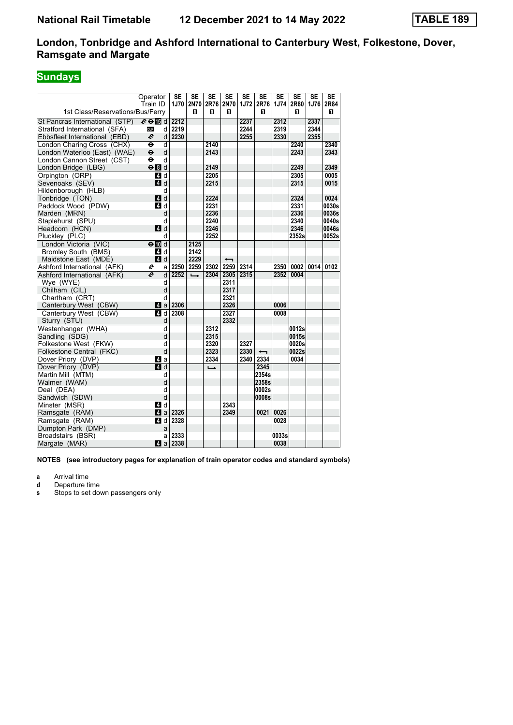# **Sundays**

|                                  | Operator                 | <b>SE</b> | <b>SE</b>     | <b>SE</b> | <b>SE</b> | <b>SE</b> | <b>SE</b>                               | $\overline{\text{SE}}$ | $\overline{\text{SE}}$ | <b>SE</b> | <b>SE</b> |
|----------------------------------|--------------------------|-----------|---------------|-----------|-----------|-----------|-----------------------------------------|------------------------|------------------------|-----------|-----------|
|                                  | Train ID                 | 1J70      |               |           |           |           | 2N70   2R76   2N70   1J72   2R76   1J74 |                        | 2R80                   | 1J76      | 2R84      |
| 1st Class/Reservations/Bus/Ferry |                          |           | п             | п         | п         |           | п                                       |                        | п                      |           | п         |
| St Pancras International (STP)   | $e \oplus \mathbb{E}$ d  | 2212      |               |           |           | 2237      |                                         | 2312                   |                        | 2337      |           |
| Stratford International (SFA)    | <b>DLR</b><br>d          | 2219      |               |           |           | 2244      |                                         | 2319                   |                        | 2344      |           |
| Ebbsfleet International (EBD)    | e<br>d                   | 2230      |               |           |           | 2255      |                                         | 2330                   |                        | 2355      |           |
| London Charing Cross (CHX)       | ٠<br>d                   |           |               | 2140      |           |           |                                         |                        | 2240                   |           | 2340      |
| London Waterloo (East) (WAE)     | $\mathbf d$<br>$\bullet$ |           |               | 2143      |           |           |                                         |                        | 2243                   |           | 2343      |
| London Cannon Street (CST)       | d<br>٠                   |           |               |           |           |           |                                         |                        |                        |           |           |
| London Bridge (LBG)              | $\Theta$ $d$             |           |               | 2149      |           |           |                                         |                        | 2249                   |           | 2349      |
| Orpington (ORP)                  | 41 d                     |           |               | 2205      |           |           |                                         |                        | 2305                   |           | 0005      |
| Sevenoaks (SEV)                  | ZI d                     |           |               | 2215      |           |           |                                         |                        | 2315                   |           | 0015      |
| Hildenborough (HLB)              | d                        |           |               |           |           |           |                                         |                        |                        |           |           |
| Tonbridge (TON)                  | $A$ d                    |           |               | 2224      |           |           |                                         |                        | 2324                   |           | 0024      |
| Paddock Wood (PDW)               | 4d                       |           |               | 2231      |           |           |                                         |                        | 2331                   |           | 0030s     |
| Marden (MRN)                     | d                        |           |               | 2236      |           |           |                                         |                        | 2336                   |           | 0036s     |
| Staplehurst (SPU)                | d                        |           |               | 2240      |           |           |                                         |                        | 2340                   |           | 0040s     |
| Headcorn (HCN)                   | 4d                       |           |               | 2246      |           |           |                                         |                        | 2346                   |           | 0046s     |
| Pluckley (PLC)                   | d                        |           |               | 2252      |           |           |                                         |                        | 2352s                  |           | 0052s     |
| London Victoria (VIC)            | $\Theta$ III d           |           | 2125          |           |           |           |                                         |                        |                        |           |           |
| Bromley South (BMS)              | 4 d                      |           | 2142          |           |           |           |                                         |                        |                        |           |           |
| Maidstone East (MDE)             | $\blacksquare$ d         |           | 2229          |           | ↽         |           |                                         |                        |                        |           |           |
| Ashford International (AFK)      | e<br>al                  | 2250      |               | 2259 2302 | 2259      | 2314      |                                         | 2350                   | 0002                   | 0014      | 0102      |
| Ashford International (AFK)      | $\boldsymbol{e}$<br>d    | 2252      | $\rightarrow$ |           | 2304 2305 | 2315      |                                         | 2352                   | 0004                   |           |           |
| Wye (WYE)                        | d                        |           |               |           | 2311      |           |                                         |                        |                        |           |           |
| Chilham (CIL)                    | d                        |           |               |           | 2317      |           |                                         |                        |                        |           |           |
| Chartham (CRT)                   | d                        |           |               |           | 2321      |           |                                         |                        |                        |           |           |
| Canterbury West (CBW)            | 4a                       | 2306      |               |           | 2326      |           |                                         | 0006                   |                        |           |           |
| Canterbury West (CBW)            | 4 d                      | 2308      |               |           | 2327      |           |                                         | 0008                   |                        |           |           |
| Sturry (STU)                     | d                        |           |               |           | 2332      |           |                                         |                        |                        |           |           |
| Westenhanger (WHA)               | d                        |           |               | 2312      |           |           |                                         |                        | 0012s                  |           |           |
| Sandling (SDG)                   | d                        |           |               | 2315      |           |           |                                         |                        | 0015s                  |           |           |
| Folkestone West (FKW)            | d                        |           |               | 2320      |           | 2327      |                                         |                        | 0020s                  |           |           |
| Folkestone Central (FKC)         | d                        |           |               | 2323      |           | 2330      |                                         |                        | 0022s                  |           |           |
| Dover Priory (DVP)               | 41 a                     |           |               | 2334      |           | 2340      | 2334                                    |                        | 0034                   |           |           |
| Dover Priory (DVP)               | 4d                       |           |               |           |           |           | 2345                                    |                        |                        |           |           |
| Martin Mill (MTM)                | d                        |           |               |           |           |           | 2354s                                   |                        |                        |           |           |
| Walmer (WAM)                     | d                        |           |               |           |           |           | 2358s                                   |                        |                        |           |           |
| Deal (DEA)                       | d                        |           |               |           |           |           | 0002s                                   |                        |                        |           |           |
| Sandwich (SDW)                   | d                        |           |               |           |           |           | 0008s                                   |                        |                        |           |           |
| Minster (MSR)                    | 4 d                      |           |               |           | 2343      |           |                                         |                        |                        |           |           |
| Ramsgate (RAM)                   |                          | 2326      |               |           | 2349      |           | 0021                                    | 0026                   |                        |           |           |
| Ramsgate (RAM)                   | 4 d                      | 2328      |               |           |           |           |                                         | 0028                   |                        |           |           |
| Dumpton Park (DMP)               | a                        |           |               |           |           |           |                                         |                        |                        |           |           |
| Broadstairs (BSR)                | al                       | 2333      |               |           |           |           |                                         | 0033s                  |                        |           |           |
| Margate (MAR)                    |                          | 2338      |               |           |           |           |                                         | 0038                   |                        |           |           |

**NOTES (see introductory pages for explanation of train operator codes and standard symbols)**

**a** Arrival time<br>**d** Departure ti

**d** Departure time<br>**s** Stops to set do

**s** Stops to set down passengers only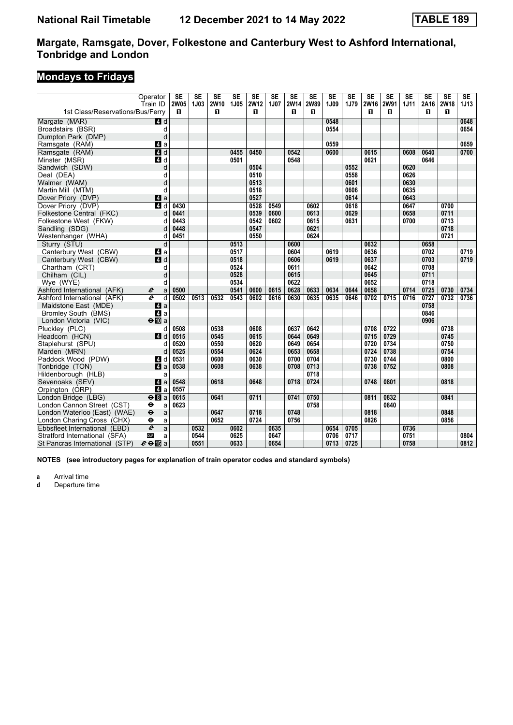# **Mondays to Fridays**

|                                  | Operator                          | SE               | $\overline{\text{SE}}$ | $\overline{\text{SE}}$ | $\overline{\text{SE}}$ | $\overline{\text{SE}}$ | $\overline{\text{SE}}$ | $\overline{\text{SE}}$ | $\overline{\text{SE}}$ | $\overline{\text{SE}}$ | $\overline{\text{SE}}$ | $\overline{\text{SE}}$ | $\overline{\text{SE}}$ | $\overline{\text{SE}}$ | $\overline{\text{SE}}$ | SE        | $\overline{\text{SE}}$ |
|----------------------------------|-----------------------------------|------------------|------------------------|------------------------|------------------------|------------------------|------------------------|------------------------|------------------------|------------------------|------------------------|------------------------|------------------------|------------------------|------------------------|-----------|------------------------|
| 1st Class/Reservations/Bus/Ferry | Train ID                          | <b>2W05</b><br>п | <b>1J03</b>            | 2W10<br>п              | 1J05                   | <b>2W12</b><br>п       | 1J07                   | 2W14<br>п              | <b>2W89</b><br>0       | 1J09                   | 1J79                   | 2W16<br>п              | 2W91<br>п              | 1J11                   | 2A16<br>п              | 2W18<br>п | 1J13                   |
|                                  |                                   |                  |                        |                        |                        |                        |                        |                        |                        |                        |                        |                        |                        |                        |                        |           |                        |
| Margate (MAR)                    | 4d                                |                  |                        |                        |                        |                        |                        |                        |                        | 0548                   |                        |                        |                        |                        |                        |           | 0648                   |
| Broadstairs (BSR)                | d                                 |                  |                        |                        |                        |                        |                        |                        |                        | 0554                   |                        |                        |                        |                        |                        |           | 0654                   |
| Dumpton Park (DMP)               | d                                 |                  |                        |                        |                        |                        |                        |                        |                        |                        |                        |                        |                        |                        |                        |           |                        |
| Ramsgate (RAM)                   | Z1 a                              |                  |                        |                        |                        |                        |                        |                        |                        | 0559                   |                        |                        |                        |                        |                        |           | 0659                   |
| Ramsgate (RAM)                   | $\overline{4}$ d                  |                  |                        |                        | 0455                   | 0450                   |                        | 0542                   |                        | 0600                   |                        | 0615                   |                        | 0608                   | 0640                   |           | 0700                   |
| Minster (MSR)                    | 4 d                               |                  |                        |                        | 0501                   |                        |                        | 0548                   |                        |                        |                        | 0621                   |                        |                        | 0646                   |           |                        |
| Sandwich (SDW)                   | d                                 |                  |                        |                        |                        | 0504                   |                        |                        |                        |                        | 0552                   |                        |                        | 0620                   |                        |           |                        |
| Deal (DEA)                       | d                                 |                  |                        |                        |                        | 0510                   |                        |                        |                        |                        | 0558                   |                        |                        | 0626                   |                        |           |                        |
| Walmer (WAM)                     | d                                 |                  |                        |                        |                        | 0513                   |                        |                        |                        |                        | 0601                   |                        |                        | 0630                   |                        |           |                        |
| Martin Mill (MTM)                | d                                 |                  |                        |                        |                        | 0518                   |                        |                        |                        |                        | 0606                   |                        |                        | 0635                   |                        |           |                        |
| Dover Priory (DVP)               | 4a                                |                  |                        |                        |                        | 0527                   |                        |                        |                        |                        | 0614                   |                        |                        | 0643                   |                        |           |                        |
| Dover Priory (DVP)               | $\blacksquare$ d                  | 0430             |                        |                        |                        | 0528                   | 0549                   |                        | 0602                   |                        | 0618                   |                        |                        | 0647                   |                        | 0700      |                        |
| Folkestone Central (FKC)         | d                                 | 0441             |                        |                        |                        | 0539                   | 0600                   |                        | 0613                   |                        | 0629                   |                        |                        | 0658                   |                        | 0711      |                        |
| Folkestone West (FKW)            | d                                 | 0443             |                        |                        |                        | 0542                   | 0602                   |                        | 0615                   |                        | 0631                   |                        |                        | 0700                   |                        | 0713      |                        |
| Sandling (SDG)                   | d                                 | 0448             |                        |                        |                        | 0547                   |                        |                        | 0621                   |                        |                        |                        |                        |                        |                        | 0718      |                        |
| Westenhanger (WHA)               | d                                 | 0451             |                        |                        |                        | 0550                   |                        |                        | 0624                   |                        |                        |                        |                        |                        |                        | 0721      |                        |
| Sturry (STU)                     | d                                 |                  |                        |                        | 0513                   |                        |                        | 0600                   |                        |                        |                        | 0632                   |                        |                        | 0658                   |           |                        |
| Canterbury West (CBW)            | ZI a                              |                  |                        |                        | 0517                   |                        |                        | 0604                   |                        | 0619                   |                        | 0636                   |                        |                        | 0702                   |           | 0719                   |
| Canterbury West (CBW)            | 4 d                               |                  |                        |                        | 0518                   |                        |                        | 0606                   |                        | 0619                   |                        | 0637                   |                        |                        | 0703                   |           | 0719                   |
| Chartham (CRT)                   | d                                 |                  |                        |                        | 0524                   |                        |                        | 0611                   |                        |                        |                        | 0642                   |                        |                        | 0708                   |           |                        |
| Chilham (CIL)                    | d                                 |                  |                        |                        | 0528                   |                        |                        | 0615                   |                        |                        |                        | 0645                   |                        |                        | 0711                   |           |                        |
| Wye (WYE)                        | d                                 |                  |                        |                        | 0534                   |                        |                        | 0622                   |                        |                        |                        | 0652                   |                        |                        | 0718                   |           |                        |
| Ashford International (AFK)      | $\boldsymbol{\ell}$<br>a          | 0500             |                        |                        | 0541                   | 0600                   | 0615                   | 0628                   | 0633                   | 0634                   | 0644                   | 0658                   |                        | 0714                   | 0725                   | 0730      | 0734                   |
| Ashford International (AFK)      | e<br>d                            | 0502             | 0513                   | 0532                   | 0543                   | 0602                   | 0616                   | 0630                   | 0635                   | 0635                   | 0646                   | 0702                   | 0715                   | 0716                   | 0727                   | 0732      | 0736                   |
| Maidstone East (MDE)             | ZI a                              |                  |                        |                        |                        |                        |                        |                        |                        |                        |                        |                        |                        |                        | 0758                   |           |                        |
| Bromley South (BMS)              | 4 a                               |                  |                        |                        |                        |                        |                        |                        |                        |                        |                        |                        |                        |                        | 0846                   |           |                        |
| London Victoria (VIC)            | $\Theta$ $\Box$ a                 |                  |                        |                        |                        |                        |                        |                        |                        |                        |                        |                        |                        |                        | 0906                   |           |                        |
| Plucklev (PLC)                   | d                                 | 0508             |                        | 0538                   |                        | 0608                   |                        | 0637                   | 0642                   |                        |                        | 0708                   | 0722                   |                        |                        | 0738      |                        |
| Headcorn (HCN)                   | 4d                                | 0515             |                        | 0545                   |                        | 0615                   |                        | 0644                   | 0649                   |                        |                        | 0715                   | 0729                   |                        |                        | 0745      |                        |
| Staplehurst (SPU)                | d                                 | 0520             |                        | 0550                   |                        | 0620                   |                        | 0649                   | 0654                   |                        |                        | 0720                   | 0734                   |                        |                        | 0750      |                        |
| Marden (MRN)                     | d                                 | 0525             |                        | 0554                   |                        | 0624                   |                        | 0653                   | 0658                   |                        |                        | 0724                   | 0738                   |                        |                        | 0754      |                        |
| Paddock Wood (PDW)               | 4 d                               | 0531             |                        | 0600                   |                        | 0630                   |                        | 0700                   | 0704                   |                        |                        | 0730                   | 0744                   |                        |                        | 0800      |                        |
| Tonbridge (TON)                  | 4a                                | 0538             |                        | 0608                   |                        | 0638                   |                        | 0708                   | 0713                   |                        |                        | 0738                   | 0752                   |                        |                        | 0808      |                        |
| Hildenborough (HLB)              | a                                 |                  |                        |                        |                        |                        |                        |                        | 0718                   |                        |                        |                        |                        |                        |                        |           |                        |
| Sevenoaks (SEV)                  | ZI a                              | 0548             |                        | 0618                   |                        | 0648                   |                        | 0718                   | 0724                   |                        |                        | 0748                   | 0801                   |                        |                        | 0818      |                        |
| Orpington (ORP)                  | ZI a                              | 0557             |                        |                        |                        |                        |                        |                        |                        |                        |                        |                        |                        |                        |                        |           |                        |
| London Bridge (LBG)              | $\Theta$ $\blacksquare$ a         | 0615             |                        | 0641                   |                        | 0711                   |                        | 0741                   | 0750                   |                        |                        | 0811                   | 0832                   |                        |                        | 0841      |                        |
| London Cannon Street (CST)       | $\bullet$<br>a                    | 0623             |                        |                        |                        |                        |                        |                        | 0758                   |                        |                        |                        | 0840                   |                        |                        |           |                        |
| London Waterloo (East) (WAE)     | $\ddot{\boldsymbol{\Theta}}$<br>a |                  |                        | 0647                   |                        | 0718                   |                        | 0748                   |                        |                        |                        | 0818                   |                        |                        |                        | 0848      |                        |
| London Charing Cross (CHX)       | θ<br>a                            |                  |                        | 0652                   |                        | 0724                   |                        | 0756                   |                        |                        |                        | 0826                   |                        |                        |                        | 0856      |                        |
| Ebbsfleet International (EBD)    | $\overline{e}$<br>a               |                  | 0532                   |                        | 0602                   |                        | 0635                   |                        |                        | 0654                   | 0705                   |                        |                        | 0736                   |                        |           |                        |
| Stratford International (SFA)    | <b>DLR</b><br>a                   |                  | 0544                   |                        | 0625                   |                        | 0647                   |                        |                        | 0706                   | 0717                   |                        |                        | 0751                   |                        |           | 0804                   |
| St Pancras International (STP)   | $e \oplus E$ a                    |                  | 0551                   |                        | 0633                   |                        | 0654                   |                        |                        | 0713                   | 0725                   |                        |                        | 0758                   |                        |           | 0812                   |

**NOTES (see introductory pages for explanation of train operator codes and standard symbols)**

**a** Arrival time<br>**d** Departure ti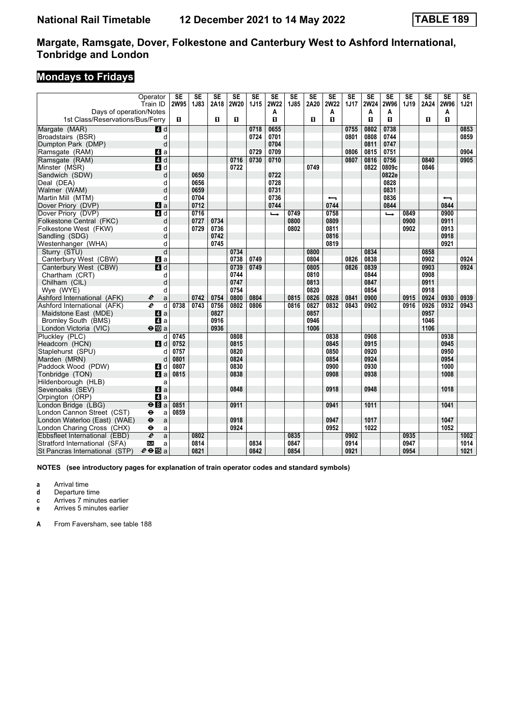# **Mondays to Fridays**

|                                                | Operator<br>Train ID      | <b>SE</b><br><b>2W95</b> | $\overline{\text{SE}}$<br>1J83 | $\overline{\text{SE}}$<br>2A18 | $\overline{\text{SE}}$<br><b>2W20</b> | $\overline{\text{SE}}$<br><b>1J15</b> | $\overline{\text{SE}}$<br><b>2W22</b> | $\overline{\text{SE}}$<br>1J85 | $\overline{\text{SE}}$<br>2A20 | $\overline{\text{SE}}$<br><b>2W22</b> | $\overline{\text{SE}}$<br><b>1J17</b> | $\overline{\text{SE}}$<br><b>2W24</b> | $\overline{\text{SE}}$<br>2W96 | $\overline{\text{SE}}$<br>1J19 | $\overline{\text{SE}}$<br>2A24 | $\overline{\text{SE}}$<br>2W96 | $\overline{\text{SE}}$<br><b>1J21</b> |
|------------------------------------------------|---------------------------|--------------------------|--------------------------------|--------------------------------|---------------------------------------|---------------------------------------|---------------------------------------|--------------------------------|--------------------------------|---------------------------------------|---------------------------------------|---------------------------------------|--------------------------------|--------------------------------|--------------------------------|--------------------------------|---------------------------------------|
| Days of operation/Notes                        |                           |                          |                                |                                |                                       |                                       | Α                                     |                                |                                | A                                     |                                       | A                                     | Α                              |                                |                                | A                              |                                       |
| 1st Class/Reservations/Bus/Ferry               |                           | O.                       |                                | $\mathbf{u}$                   | O.                                    |                                       | п                                     |                                | п                              | $\mathbf{u}$                          |                                       | п                                     | п                              |                                | $\blacksquare$                 | п                              |                                       |
| Margate (MAR)                                  | 4d                        |                          |                                |                                |                                       | 0718                                  | 0655                                  |                                |                                |                                       | 0755                                  | 0802                                  | 0738                           |                                |                                |                                | 0853                                  |
| Broadstairs (BSR)                              | d                         |                          |                                |                                |                                       | 0724                                  | 0701                                  |                                |                                |                                       | 0801                                  | 0808                                  | 0744                           |                                |                                |                                | 0859                                  |
| Dumpton Park (DMP)                             | d                         |                          |                                |                                |                                       |                                       | 0704                                  |                                |                                |                                       |                                       | 0811                                  | 0747                           |                                |                                |                                |                                       |
| Ramsgate (RAM)                                 | Z1 a                      |                          |                                |                                |                                       | 0729                                  | 0709                                  |                                |                                |                                       | 0806                                  | 0815                                  | 0751                           |                                |                                |                                | 0904                                  |
| Ramsgate (RAM)                                 | 4d                        |                          |                                |                                | 0716                                  | 0730                                  | 0710                                  |                                |                                |                                       | 0807                                  | 0816                                  | 0756                           |                                | 0840                           |                                | 0905                                  |
| Minster (MSR)                                  | 4 d                       |                          |                                |                                | 0722                                  |                                       |                                       |                                | 0749                           |                                       |                                       | 0822                                  | 0809c                          |                                | 0846                           |                                |                                       |
| Sandwich (SDW)                                 | d                         |                          | 0650                           |                                |                                       |                                       | 0722                                  |                                |                                |                                       |                                       |                                       | 0822e                          |                                |                                |                                |                                       |
| Deal (DEA)                                     | d                         |                          | 0656                           |                                |                                       |                                       | 0728                                  |                                |                                |                                       |                                       |                                       | 0828                           |                                |                                |                                |                                       |
| Walmer (WAM)                                   | d                         |                          | 0659<br>0704                   |                                |                                       |                                       | 0731                                  |                                |                                |                                       |                                       |                                       | 0831<br>0836                   |                                |                                |                                |                                       |
| Martin Mill (MTM)                              | d                         |                          | 0712                           |                                |                                       |                                       | 0736                                  |                                |                                | ↽<br>0744                             |                                       |                                       | 0844                           |                                |                                | ↽<br>0844                      |                                       |
| Dover Priory (DVP)                             | 4a                        |                          | 0716                           |                                |                                       |                                       | 0744                                  | 0749                           |                                | 0758                                  |                                       |                                       |                                | 0849                           |                                | 0900                           |                                       |
| Dover Priory (DVP)<br>Folkestone Central (FKC) | 4d<br>d                   |                          | 0727                           | 0734                           |                                       |                                       | $\rightarrow$                         | 0800                           |                                | 0809                                  |                                       |                                       | $\rightarrow$                  | 0900                           |                                | 0911                           |                                       |
| Folkestone West (FKW)                          | d                         |                          | 0729                           | 0736                           |                                       |                                       |                                       | 0802                           |                                | 0811                                  |                                       |                                       |                                | 0902                           |                                | 0913                           |                                       |
| Sandling (SDG)                                 | d                         |                          |                                | 0742                           |                                       |                                       |                                       |                                |                                | 0816                                  |                                       |                                       |                                |                                |                                | 0918                           |                                       |
| Westenhanger (WHA)                             | d                         |                          |                                | 0745                           |                                       |                                       |                                       |                                |                                | 0819                                  |                                       |                                       |                                |                                |                                | 0921                           |                                       |
| Sturry (STU)                                   | d                         |                          |                                |                                | 0734                                  |                                       |                                       |                                | 0800                           |                                       |                                       | 0834                                  |                                |                                | 0858                           |                                |                                       |
| Canterbury West (CBW)                          | Z1 a                      |                          |                                |                                | 0738                                  | 0749                                  |                                       |                                | 0804                           |                                       | 0826                                  | 0838                                  |                                |                                | 0902                           |                                | 0924                                  |
| Canterbury West (CBW)                          | $\overline{4}$ d          |                          |                                |                                | 0739                                  | 0749                                  |                                       |                                | 0805                           |                                       | 0826                                  | 0839                                  |                                |                                | 0903                           |                                | 0924                                  |
| Chartham (CRT)                                 | d                         |                          |                                |                                | 0744                                  |                                       |                                       |                                | 0810                           |                                       |                                       | 0844                                  |                                |                                | 0908                           |                                |                                       |
| Chilham (CIL)                                  | d                         |                          |                                |                                | 0747                                  |                                       |                                       |                                | 0813                           |                                       |                                       | 0847                                  |                                |                                | 0911                           |                                |                                       |
| Wye (WYE)                                      | d                         |                          |                                |                                | 0754                                  |                                       |                                       |                                | 0820                           |                                       |                                       | 0854                                  |                                |                                | 0918                           |                                |                                       |
| Ashford International (AFK)                    | e<br>a                    |                          | 0742                           | 0754                           | 0800                                  | 0804                                  |                                       | 0815                           | 0826                           | 0828                                  | 0841                                  | 0900                                  |                                | 0915                           | 0924                           | 0930                           | 0939                                  |
| Ashford International (AFK)                    | e<br>d                    | 0738                     | 0743                           | 0756                           | 0802                                  | 0806                                  |                                       | 0816                           | 0827                           | 0832                                  | 0843                                  | 0902                                  |                                | 0916                           | 0926                           | 0932                           | 0943                                  |
| Maidstone East (MDE)                           | $\mathbf{A}$ a            |                          |                                | 0827                           |                                       |                                       |                                       |                                | 0857                           |                                       |                                       |                                       |                                |                                | 0957                           |                                |                                       |
| <b>Bromley South (BMS)</b>                     | 4a                        |                          |                                | 0916                           |                                       |                                       |                                       |                                | 0946                           |                                       |                                       |                                       |                                |                                | 1046                           |                                |                                       |
| London Victoria (VIC)                          | $\Theta$ III a            |                          |                                | 0936                           |                                       |                                       |                                       |                                | 1006                           |                                       |                                       |                                       |                                |                                | 1106                           |                                |                                       |
| Pluckley (PLC)                                 | d                         | 0745                     |                                |                                | 0808                                  |                                       |                                       |                                |                                | 0838                                  |                                       | 0908                                  |                                |                                |                                | 0938                           |                                       |
| Headcorn (HCN)                                 | 4d                        | 0752                     |                                |                                | 0815                                  |                                       |                                       |                                |                                | 0845                                  |                                       | 0915                                  |                                |                                |                                | 0945                           |                                       |
| Staplehurst (SPU)                              | d                         | 0757                     |                                |                                | 0820                                  |                                       |                                       |                                |                                | 0850                                  |                                       | 0920                                  |                                |                                |                                | 0950                           |                                       |
| Marden (MRN)                                   | d                         | 0801                     |                                |                                | 0824                                  |                                       |                                       |                                |                                | 0854                                  |                                       | 0924                                  |                                |                                |                                | 0954                           |                                       |
| Paddock Wood (PDW)                             | 4d                        | 0807                     |                                |                                | 0830                                  |                                       |                                       |                                |                                | 0900                                  |                                       | 0930                                  |                                |                                |                                | 1000                           |                                       |
| Tonbridge (TON)                                | $\blacksquare$ a          | 0815                     |                                |                                | 0838                                  |                                       |                                       |                                |                                | 0908                                  |                                       | 0938                                  |                                |                                |                                | 1008                           |                                       |
| Hildenborough (HLB)                            | a                         |                          |                                |                                |                                       |                                       |                                       |                                |                                |                                       |                                       |                                       |                                |                                |                                |                                |                                       |
| Sevenoaks (SEV)                                | 4a                        |                          |                                |                                | 0848                                  |                                       |                                       |                                |                                | 0918                                  |                                       | 0948                                  |                                |                                |                                | 1018                           |                                       |
| Orpington (ORP)                                | 4a                        |                          |                                |                                |                                       |                                       |                                       |                                |                                |                                       |                                       |                                       |                                |                                |                                |                                |                                       |
| London Bridge (LBG)                            | $e$ $a$                   | 0851                     |                                |                                | 0911                                  |                                       |                                       |                                |                                | 0941                                  |                                       | 1011                                  |                                |                                |                                | 1041                           |                                       |
| London Cannon Street (CST)                     | $\ddot{\phantom{1}}$<br>a | 0859                     |                                |                                |                                       |                                       |                                       |                                |                                |                                       |                                       |                                       |                                |                                |                                |                                |                                       |
| London Waterloo (East) (WAE)                   | $\ddot{\bm{\Theta}}$<br>a |                          |                                |                                | 0918                                  |                                       |                                       |                                |                                | 0947                                  |                                       | 1017                                  |                                |                                |                                | 1047                           |                                       |
| London Charing Cross (CHX)                     | $\ddot{\mathbf{e}}$<br>a  |                          |                                |                                | 0924                                  |                                       |                                       |                                |                                | 0952                                  |                                       | 1022                                  |                                |                                |                                | 1052                           |                                       |
| Ebbsfleet International (EBD)                  | $\overline{e}$<br>a       |                          | 0802                           |                                |                                       |                                       |                                       | 0835                           |                                |                                       | 0902                                  |                                       |                                | 0935                           |                                |                                | 1002                                  |
| Stratford International (SFA)                  | <b>DLR</b><br>a           |                          | 0814                           |                                |                                       | 0834                                  |                                       | 0847                           |                                |                                       | 0914                                  |                                       |                                | 0947                           |                                |                                | 1014                                  |
| St Pancras International (STP)                 | $e \oplus \mathbb{E}$ a   |                          | 0821                           |                                |                                       | 0842                                  |                                       | 0854                           |                                |                                       | 0921                                  |                                       |                                | 0954                           |                                |                                | 1021                                  |

**NOTES (see introductory pages for explanation of train operator codes and standard symbols)**

**a** Arrival time

**d** Departure time

**c** Arrives 7 minutes earlier

**e** Arrives 5 minutes earlier

**A** From Faversham, see table 188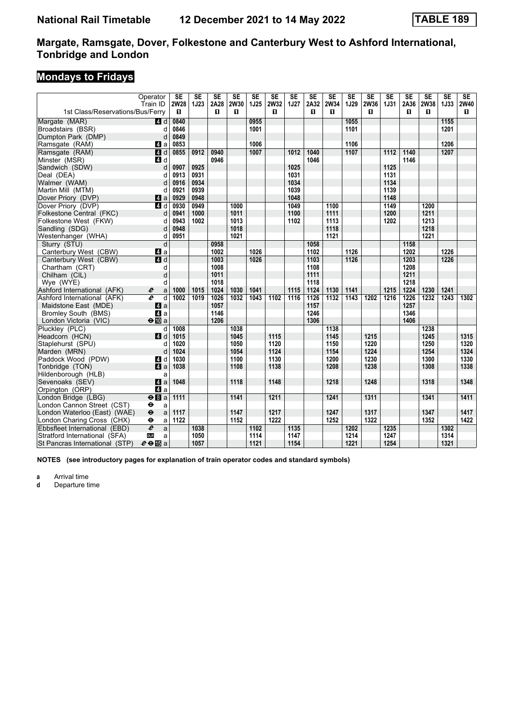# **Mondays to Fridays**

|                                  | Operator                          | <b>SE</b> | $\overline{\text{SE}}$ | $\overline{\text{SE}}$ | $\overline{\text{SE}}$ | $\overline{\text{SE}}$ | $\overline{\text{SE}}$ | $\overline{\text{SE}}$ | $\overline{\text{SE}}$ | $\overline{\text{SE}}$ | $\overline{\text{SE}}$ | $\overline{\text{SE}}$ | $\overline{\text{SE}}$ | $\overline{\text{SE}}$ | $\overline{\text{SE}}$ | $\overline{\text{SE}}$ | SE          |
|----------------------------------|-----------------------------------|-----------|------------------------|------------------------|------------------------|------------------------|------------------------|------------------------|------------------------|------------------------|------------------------|------------------------|------------------------|------------------------|------------------------|------------------------|-------------|
|                                  | Train ID                          | 2W28      | <b>1J23</b>            | 2A28                   | <b>2W30</b>            | 1J25                   | <b>2W32</b>            | 1J27                   | 2A32                   | 2W34                   | 1J29                   | <b>2W36</b>            | <b>1J31</b>            | 2A36                   | 2W38                   | <b>1J33</b>            | <b>2W40</b> |
| 1st Class/Reservations/Bus/Ferry |                                   | п         |                        | п                      | п                      |                        | п                      |                        | п                      | П                      |                        | п                      |                        | П.                     | п                      |                        | П.          |
| Margate (MAR)                    | 4 d                               | 0840      |                        |                        |                        | 0955                   |                        |                        |                        |                        | 1055                   |                        |                        |                        |                        | 1155                   |             |
| Broadstairs (BSR)                | d                                 | 0846      |                        |                        |                        | 1001                   |                        |                        |                        |                        | 1101                   |                        |                        |                        |                        | 1201                   |             |
| Dumpton Park (DMP)               | d                                 | 0849      |                        |                        |                        |                        |                        |                        |                        |                        |                        |                        |                        |                        |                        |                        |             |
| Ramsgate (RAM)                   | ZI a                              | 0853      |                        |                        |                        | 1006                   |                        |                        |                        |                        | 1106                   |                        |                        |                        |                        | 1206                   |             |
| Ramsgate (RAM)                   | $\overline{a}$ d                  | 0855      | 0912                   | 0940                   |                        | 1007                   |                        | 1012                   | 1040                   |                        | 1107                   |                        | 1112                   | 1140                   |                        | 1207                   |             |
| Minster (MSR)                    | 4 d                               |           |                        | 0946                   |                        |                        |                        |                        | 1046                   |                        |                        |                        |                        | 1146                   |                        |                        |             |
| Sandwich (SDW)                   | d                                 | 0907      | 0925                   |                        |                        |                        |                        | 1025                   |                        |                        |                        |                        | 1125                   |                        |                        |                        |             |
| Deal (DEA)                       | d                                 | 0913      | 0931                   |                        |                        |                        |                        | 1031                   |                        |                        |                        |                        | 1131                   |                        |                        |                        |             |
| Walmer (WAM)                     | d                                 | 0916      | 0934                   |                        |                        |                        |                        | 1034                   |                        |                        |                        |                        | 1134                   |                        |                        |                        |             |
| Martin Mill (MTM)                | d                                 | 0921      | 0939                   |                        |                        |                        |                        | 1039                   |                        |                        |                        |                        | 1139                   |                        |                        |                        |             |
| Dover Priory (DVP)               | Z1 a                              | 0929      | 0948                   |                        |                        |                        |                        | 1048                   |                        |                        |                        |                        | 1148                   |                        |                        |                        |             |
| Dover Priory (DVP)               | $\overline{4d}$                   | 0930      | 0949                   |                        | 1000                   |                        |                        | 1049                   |                        | 1100                   |                        |                        | 1149                   |                        | 1200                   |                        |             |
| Folkestone Central (FKC)         | d                                 | 0941      | 1000                   |                        | 1011                   |                        |                        | 1100                   |                        | 1111                   |                        |                        | 1200                   |                        | 1211                   |                        |             |
| Folkestone West (FKW)            | d                                 | 0943      | 1002                   |                        | 1013                   |                        |                        | 1102                   |                        | 1113                   |                        |                        | 1202                   |                        | 1213                   |                        |             |
| Sandling (SDG)                   | d                                 | 0948      |                        |                        | 1018                   |                        |                        |                        |                        | 1118                   |                        |                        |                        |                        | 1218                   |                        |             |
| Westenhanger (WHA)               | d                                 | 0951      |                        |                        | 1021                   |                        |                        |                        |                        | 1121                   |                        |                        |                        |                        | 1221                   |                        |             |
| Sturry (STU)                     | d                                 |           |                        | 0958                   |                        |                        |                        |                        | 1058                   |                        |                        |                        |                        | 1158                   |                        |                        |             |
| Canterbury West (CBW)            | ZI a                              |           |                        | 1002                   |                        | 1026                   |                        |                        | 1102                   |                        | 1126                   |                        |                        | 1202                   |                        | 1226                   |             |
| Canterbury West (CBW)            | 4 d                               |           |                        | 1003                   |                        | 1026                   |                        |                        | 1103                   |                        | 1126                   |                        |                        | 1203                   |                        | 1226                   |             |
| Chartham (CRT)                   | d                                 |           |                        | 1008                   |                        |                        |                        |                        | 1108                   |                        |                        |                        |                        | 1208                   |                        |                        |             |
| Chilham (CIL)                    | d                                 |           |                        | 1011                   |                        |                        |                        |                        | 1111                   |                        |                        |                        |                        | 1211                   |                        |                        |             |
| Wye (WYE)                        | d                                 |           |                        | 1018                   |                        |                        |                        |                        | 1118                   |                        |                        |                        |                        | 1218                   |                        |                        |             |
| Ashford International (AFK)      | $\boldsymbol{\ell}$<br>a          | 1000      | 1015                   | 1024                   | 1030                   | 1041                   |                        | 1115                   | 1124                   | 1130                   | 1141                   |                        | 1215                   | 1224                   | 1230                   | 1241                   |             |
| Ashford International (AFK)      | $\overline{\boldsymbol{e}}$<br>d  | 1002      | 1019                   | 1026                   | 1032                   | 1043                   | 1102                   | 1116                   | 1126                   | 1132                   | 1143                   | 1202                   | 1216                   | 1226                   | 1232                   | 1243                   | 1302        |
| Maidstone East (MDE)             | ZI a                              |           |                        | 1057                   |                        |                        |                        |                        | 1157                   |                        |                        |                        |                        | 1257                   |                        |                        |             |
| <b>Bromley South (BMS)</b>       | 4 a                               |           |                        | 1146                   |                        |                        |                        |                        | 1246                   |                        |                        |                        |                        | 1346                   |                        |                        |             |
| London Victoria (VIC)            | $\Theta$ III a                    |           |                        | 1206                   |                        |                        |                        |                        | 1306                   |                        |                        |                        |                        | 1406                   |                        |                        |             |
| Pluckley (PLC)                   | d                                 | 1008      |                        |                        | 1038                   |                        |                        |                        |                        | 1138                   |                        |                        |                        |                        | 1238                   |                        |             |
| Headcorn (HCN)                   | 4 d                               | 1015      |                        |                        | 1045                   |                        | 1115                   |                        |                        | 1145                   |                        | 1215                   |                        |                        | 1245                   |                        | 1315        |
| Staplehurst (SPU)                | d                                 | 1020      |                        |                        | 1050                   |                        | 1120                   |                        |                        | 1150                   |                        | 1220                   |                        |                        | 1250                   |                        | 1320        |
| Marden (MRN)                     | d                                 | 1024      |                        |                        | 1054                   |                        | 1124                   |                        |                        | 1154                   |                        | 1224                   |                        |                        | 1254                   |                        | 1324        |
| Paddock Wood (PDW)               | 4 d                               | 1030      |                        |                        | 1100                   |                        | 1130                   |                        |                        | 1200                   |                        | 1230                   |                        |                        | 1300                   |                        | 1330        |
| Tonbridge (TON)                  | 4a                                | 1038      |                        |                        | 1108                   |                        | 1138                   |                        |                        | 1208                   |                        | 1238                   |                        |                        | 1308                   |                        | 1338        |
| Hildenborough (HLB)              | a                                 |           |                        |                        |                        |                        |                        |                        |                        |                        |                        |                        |                        |                        |                        |                        |             |
| Sevenoaks (SEV)                  | 4 a                               | 1048      |                        |                        | 1118                   |                        | 1148                   |                        |                        | 1218                   |                        | 1248                   |                        |                        | 1318                   |                        | 1348        |
| Orpington (ORP)                  | $\blacksquare$ a                  |           |                        |                        |                        |                        |                        |                        |                        |                        |                        |                        |                        |                        |                        |                        |             |
| London Bridge (LBG)              | $\Theta$ $a$                      | 1111      |                        |                        | 1141                   |                        | 1211                   |                        |                        | 1241                   |                        | 1311                   |                        |                        | 1341                   |                        | 1411        |
| London Cannon Street (CST)       | $\bullet$<br>a                    |           |                        |                        |                        |                        |                        |                        |                        |                        |                        |                        |                        |                        |                        |                        |             |
| London Waterloo (East) (WAE)     | $\ddot{\boldsymbol{\Theta}}$<br>a | 1117      |                        |                        | 1147                   |                        | 1217                   |                        |                        | 1247                   |                        | 1317                   |                        |                        | 1347                   |                        | 1417        |
| London Charing Cross (CHX)       | $\bullet$<br>a                    | 1122      |                        |                        | 1152                   |                        | 1222                   |                        |                        | 1252                   |                        | 1322                   |                        |                        | 1352                   |                        | 1422        |
| Ebbsfleet International (EBD)    | $\overline{e}$<br>a               |           | 1038                   |                        |                        | 1102                   |                        | 1135                   |                        |                        | 1202                   |                        | 1235                   |                        |                        | 1302                   |             |
| Stratford International (SFA)    | <b>DLR</b><br>a                   |           | 1050                   |                        |                        | 1114                   |                        | 1147                   |                        |                        | 1214                   |                        | 1247                   |                        |                        | 1314                   |             |
| St Pancras International (STP)   | $e \oplus E$ a                    |           | 1057                   |                        |                        | 1121                   |                        | 1154                   |                        |                        | 1221                   |                        | 1254                   |                        |                        | 1321                   |             |

**NOTES (see introductory pages for explanation of train operator codes and standard symbols)**

**a** Arrival time<br>**d** Departure ti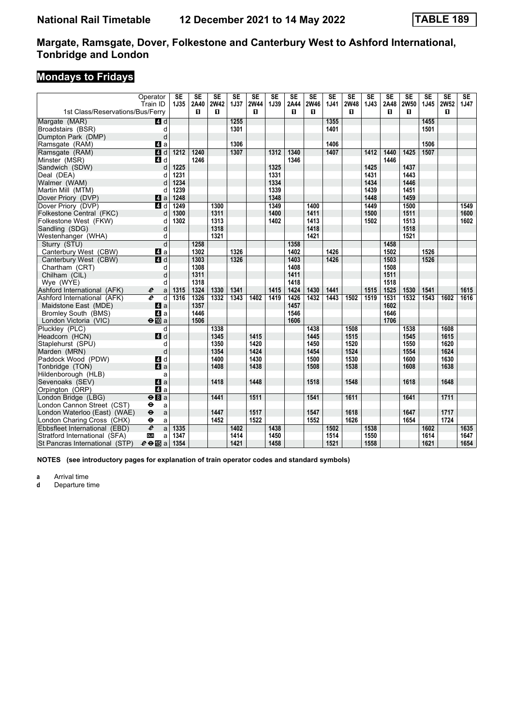# **Mondays to Fridays**

|                                  | Operator                  | <b>SE</b>    | $\overline{\text{SE}}$ | $\overline{\text{SE}}$ | $\overline{\text{SE}}$ | $\overline{\text{SE}}$ | $\overline{\text{SE}}$ | $\overline{\text{SE}}$ | $\overline{\text{SE}}$ | $\overline{\text{SE}}$ | $\overline{\text{SE}}$ | $\overline{\text{SE}}$ | $\overline{\text{SE}}$ | $\overline{\text{SE}}$ | $\overline{\text{SE}}$ | $\overline{\text{SE}}$ | SE   |
|----------------------------------|---------------------------|--------------|------------------------|------------------------|------------------------|------------------------|------------------------|------------------------|------------------------|------------------------|------------------------|------------------------|------------------------|------------------------|------------------------|------------------------|------|
| 1st Class/Reservations/Bus/Ferry | Train ID                  | 1J35         | 2A40<br>п              | <b>2W42</b><br>п       | <b>1J37</b>            | <b>2W44</b><br>п       | 1J39                   | 2A44<br>п              | <b>2W46</b><br>п       | 1J41                   | <b>2W48</b><br>п       | 1J43                   | 2A48<br>п              | <b>2W50</b><br>п       | 1J45                   | <b>2W52</b><br>п       | 1J47 |
|                                  |                           |              |                        |                        | 1255                   |                        |                        |                        |                        | 1355                   |                        |                        |                        |                        | 1455                   |                        |      |
| Margate (MAR)                    | 4 d                       |              |                        |                        | 1301                   |                        |                        |                        |                        | 1401                   |                        |                        |                        |                        | 1501                   |                        |      |
| Broadstairs (BSR)                | d<br>d                    |              |                        |                        |                        |                        |                        |                        |                        |                        |                        |                        |                        |                        |                        |                        |      |
| Dumpton Park (DMP)               |                           |              |                        |                        | 1306                   |                        |                        |                        |                        | 1406                   |                        |                        |                        |                        | 1506                   |                        |      |
| Ramsgate (RAM)                   | Z1 a<br>$\overline{a}$ d  |              |                        |                        | 1307                   |                        |                        |                        |                        | 1407                   |                        |                        |                        |                        | 1507                   |                        |      |
| Ramsgate (RAM)                   |                           | 1212         | 1240                   |                        |                        |                        | 1312                   | 1340                   |                        |                        |                        | 1412                   | 1440                   | 1425                   |                        |                        |      |
| Minster (MSR)<br>Sandwich (SDW)  | 4 d                       | 1225         | 1246                   |                        |                        |                        | 1325                   | 1346                   |                        |                        |                        | 1425                   | 1446                   | 1437                   |                        |                        |      |
|                                  | d                         |              |                        |                        |                        |                        | 1331                   |                        |                        |                        |                        |                        |                        | 1443                   |                        |                        |      |
| Deal (DEA)                       | d                         | 1231<br>1234 |                        |                        |                        |                        |                        |                        |                        |                        |                        | 1431<br>1434           |                        | 1446                   |                        |                        |      |
| Walmer (WAM)                     | d                         | 1239         |                        |                        |                        |                        | 1334<br>1339           |                        |                        |                        |                        | 1439                   |                        | 1451                   |                        |                        |      |
| Martin Mill (MTM)                | d                         |              |                        |                        |                        |                        |                        |                        |                        |                        |                        | 1448                   |                        |                        |                        |                        |      |
| Dover Priory (DVP)               | ZI a                      | 1248         |                        |                        |                        |                        | 1348                   |                        |                        |                        |                        |                        |                        | 1459                   |                        |                        |      |
| Dover Priory (DVP)               | $A$ d                     | 1249         |                        | 1300                   |                        |                        | 1349                   |                        | 1400                   |                        |                        | 1449                   |                        | 1500                   |                        |                        | 1549 |
| Folkestone Central (FKC)         | d                         | 1300         |                        | 1311                   |                        |                        | 1400                   |                        | 1411                   |                        |                        | 1500                   |                        | 1511                   |                        |                        | 1600 |
| Folkestone West (FKW)            | d                         | 1302         |                        | 1313                   |                        |                        | 1402                   |                        | 1413                   |                        |                        | 1502                   |                        | 1513                   |                        |                        | 1602 |
| Sandling (SDG)                   | d                         |              |                        | 1318                   |                        |                        |                        |                        | 1418                   |                        |                        |                        |                        | 1518                   |                        |                        |      |
| Westenhanger (WHA)               | d                         |              |                        | 1321                   |                        |                        |                        |                        | 1421                   |                        |                        |                        |                        | 1521                   |                        |                        |      |
| Sturry (STU)                     | $\overline{d}$            |              | 1258                   |                        |                        |                        |                        | 1358                   |                        |                        |                        |                        | 1458                   |                        |                        |                        |      |
| Canterbury West (CBW)            | ZI a                      |              | 1302                   |                        | 1326                   |                        |                        | 1402                   |                        | 1426                   |                        |                        | 1502                   |                        | 1526                   |                        |      |
| Canterbury West (CBW)            | ZI d                      |              | 1303                   |                        | 1326                   |                        |                        | 1403                   |                        | 1426                   |                        |                        | 1503                   |                        | 1526                   |                        |      |
| Chartham (CRT)                   | d                         |              | 1308                   |                        |                        |                        |                        | 1408                   |                        |                        |                        |                        | 1508                   |                        |                        |                        |      |
| Chilham (CIL)                    | d                         |              | 1311                   |                        |                        |                        |                        | 1411                   |                        |                        |                        |                        | 1511                   |                        |                        |                        |      |
| Wye (WYE)                        | d                         |              | 1318                   |                        |                        |                        |                        | 1418                   |                        |                        |                        |                        | 1518                   |                        |                        |                        |      |
| Ashford International (AFK)      | $\boldsymbol{e}$<br>a     | 1315         | 1324                   | 1330                   | 1341                   |                        | 1415                   | 1424                   | 1430                   | 1441                   |                        | 1515                   | 1525                   | 1530                   | 1541                   |                        | 1615 |
| Ashford International (AFK)      | e<br>d                    | 1316         | 1326                   | 1332                   | 1343                   | 1402                   | 1419                   | 1426                   | 1432                   | 1443                   | 1502                   | 1519                   | 1531                   | 1532                   | 1543                   | 1602                   | 1616 |
| Maidstone East (MDE)             | Z1 a                      |              | 1357                   |                        |                        |                        |                        | 1457                   |                        |                        |                        |                        | 1602                   |                        |                        |                        |      |
| Bromley South (BMS)              | 4 a                       |              | 1446                   |                        |                        |                        |                        | 1546                   |                        |                        |                        |                        | 1646                   |                        |                        |                        |      |
| London Victoria (VIC)            | $\Theta$ III a            |              | 1506                   |                        |                        |                        |                        | 1606                   |                        |                        |                        |                        | 1706                   |                        |                        |                        |      |
| Plucklev (PLC)                   | d                         |              |                        | 1338                   |                        |                        |                        |                        | 1438                   |                        | 1508                   |                        |                        | 1538                   |                        | 1608                   |      |
| Headcorn (HCN)                   | $\blacksquare$ d          |              |                        | 1345                   |                        | 1415                   |                        |                        | 1445                   |                        | 1515                   |                        |                        | 1545                   |                        | 1615                   |      |
| Staplehurst (SPU)                | d                         |              |                        | 1350                   |                        | 1420                   |                        |                        | 1450                   |                        | 1520                   |                        |                        | 1550                   |                        | 1620                   |      |
| Marden (MRN)                     | d                         |              |                        | 1354                   |                        | 1424                   |                        |                        | 1454                   |                        | 1524                   |                        |                        | 1554                   |                        | 1624                   |      |
| Paddock Wood (PDW)               | 4d                        |              |                        | 1400                   |                        | 1430                   |                        |                        | 1500                   |                        | 1530                   |                        |                        | 1600                   |                        | 1630                   |      |
| Tonbridge (TON)                  | a                         |              |                        | 1408                   |                        | 1438                   |                        |                        | 1508                   |                        | 1538                   |                        |                        | 1608                   |                        | 1638                   |      |
| Hildenborough (HLB)              | a                         |              |                        |                        |                        |                        |                        |                        |                        |                        |                        |                        |                        |                        |                        |                        |      |
| Sevenoaks (SEV)                  | $\mathbf{a}$              |              |                        | 1418                   |                        | 1448                   |                        |                        | 1518                   |                        | 1548                   |                        |                        | 1618                   |                        | 1648                   |      |
| Orpington (ORP)                  | ZI a                      |              |                        |                        |                        |                        |                        |                        |                        |                        |                        |                        |                        |                        |                        |                        |      |
| London Bridge (LBG)              | $\Theta$ $\blacksquare$ a |              |                        | 1441                   |                        | 1511                   |                        |                        | 1541                   |                        | 1611                   |                        |                        | 1641                   |                        | 1711                   |      |
| London Cannon Street (CST)       | $\bullet$<br>a            |              |                        |                        |                        |                        |                        |                        |                        |                        |                        |                        |                        |                        |                        |                        |      |
| London Waterloo (East) (WAE)     | $\ddot{\mathbf{e}}$<br>a  |              |                        | 1447                   |                        | 1517                   |                        |                        | 1547                   |                        | 1618                   |                        |                        | 1647                   |                        | 1717                   |      |
| London Charing Cross (CHX)       | $\bullet$<br>a            |              |                        | 1452                   |                        | 1522                   |                        |                        | 1552                   |                        | 1626                   |                        |                        | 1654                   |                        | 1724                   |      |
| Ebbsfleet International (EBD)    | $\overline{e}$<br>a       | 1335         |                        |                        | 1402                   |                        | 1438                   |                        |                        | 1502                   |                        | 1538                   |                        |                        | 1602                   |                        | 1635 |
| Stratford International (SFA)    | <b>DLR</b><br>a           | 1347         |                        |                        | 1414                   |                        | 1450                   |                        |                        | 1514                   |                        | 1550                   |                        |                        | 1614                   |                        | 1647 |
| St Pancras International (STP)   | $e \oplus E$ a            | 1354         |                        |                        | 1421                   |                        | 1458                   |                        |                        | 1521                   |                        | 1558                   |                        |                        | 1621                   |                        | 1654 |

**NOTES (see introductory pages for explanation of train operator codes and standard symbols)**

**a** Arrival time<br>**d** Departure ti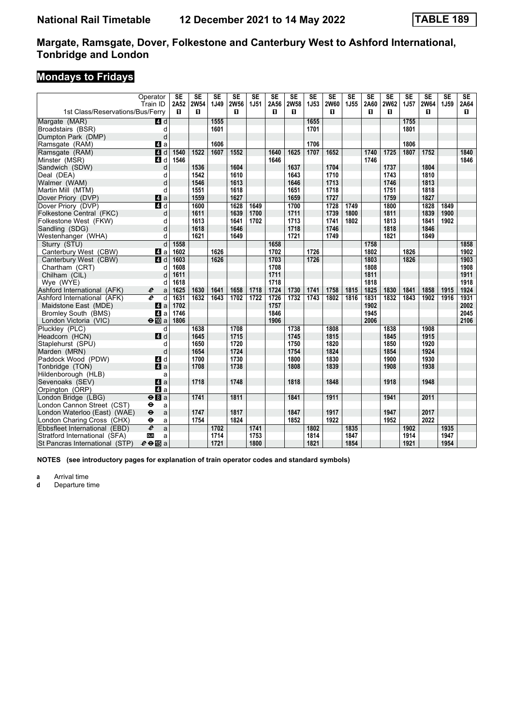# **Mondays to Fridays**

|                                  | Operator                  | <b>SE</b>  | <b>SE</b>        | $\overline{\text{SE}}$ | $\overline{\text{SE}}$ | $\overline{\text{SE}}$ | <b>SE</b> | $\overline{\text{SE}}$ | $\overline{\text{SE}}$ | $\overline{\text{SE}}$ | $\overline{\text{SE}}$ | $\overline{\text{SE}}$ | $\overline{\text{SE}}$ | $\overline{\text{SE}}$ | $\overline{\text{SE}}$ | SE   | SE         |
|----------------------------------|---------------------------|------------|------------------|------------------------|------------------------|------------------------|-----------|------------------------|------------------------|------------------------|------------------------|------------------------|------------------------|------------------------|------------------------|------|------------|
| 1st Class/Reservations/Bus/Ferry | Train ID                  | 2A52<br>П. | <b>2W54</b><br>п | 1J49                   | <b>2W56</b><br>п       | 1J51                   | 2A56<br>п | <b>2W58</b><br>п       | 1J53                   | <b>2W60</b><br>п       | 1J55                   | 2A60<br>п              | <b>2W62</b><br>п       | 1J57                   | <b>2W64</b><br>п       | 1J59 | 2A64<br>П. |
| Margate (MAR)                    | 4d                        |            |                  | 1555                   |                        |                        |           |                        | 1655                   |                        |                        |                        |                        | 1755                   |                        |      |            |
| Broadstairs (BSR)                | d                         |            |                  | 1601                   |                        |                        |           |                        | 1701                   |                        |                        |                        |                        | 1801                   |                        |      |            |
| Dumpton Park (DMP)               | d                         |            |                  |                        |                        |                        |           |                        |                        |                        |                        |                        |                        |                        |                        |      |            |
| Ramsgate (RAM)                   | ZI a                      |            |                  | 1606                   |                        |                        |           |                        | 1706                   |                        |                        |                        |                        | 1806                   |                        |      |            |
| Ramsgate (RAM)                   | $\overline{4}$ d          | 1540       | 1522             | 1607                   | 1552                   |                        | 1640      | 1625                   | 1707                   | 1652                   |                        | 1740                   | 1725                   | 1807                   | 1752                   |      | 1840       |
| Minster (MSR)                    | 4 d                       | 1546       |                  |                        |                        |                        | 1646      |                        |                        |                        |                        | 1746                   |                        |                        |                        |      | 1846       |
| Sandwich (SDW)                   | d                         |            | 1536             |                        | 1604                   |                        |           | 1637                   |                        | 1704                   |                        |                        | 1737                   |                        | 1804                   |      |            |
| Deal (DEA)                       | d                         |            | 1542             |                        | 1610                   |                        |           | 1643                   |                        | 1710                   |                        |                        | 1743                   |                        | 1810                   |      |            |
| Walmer (WAM)                     | d                         |            | 1546             |                        | 1613                   |                        |           | 1646                   |                        | 1713                   |                        |                        | 1746                   |                        | 1813                   |      |            |
| Martin Mill (MTM)                | d                         |            | 1551             |                        | 1618                   |                        |           | 1651                   |                        | 1718                   |                        |                        | 1751                   |                        | 1818                   |      |            |
| Dover Priory (DVP)               | ZI a                      |            | 1559             |                        | 1627                   |                        |           | 1659                   |                        | 1727                   |                        |                        | 1759                   |                        | 1827                   |      |            |
| Dover Priory (DVP)               | $\overline{a}$ d          |            | 1600             |                        | 1628                   | 1649                   |           | 1700                   |                        | 1728                   | 1749                   |                        | 1800                   |                        | 1828                   | 1849 |            |
| Folkestone Central (FKC)         | d                         |            | 1611             |                        | 1639                   | 1700                   |           | 1711                   |                        | 1739                   | 1800                   |                        | 1811                   |                        | 1839                   | 1900 |            |
| Folkestone West (FKW)            | d                         |            | 1613             |                        | 1641                   | 1702                   |           | 1713                   |                        | 1741                   | 1802                   |                        | 1813                   |                        | 1841                   | 1902 |            |
| Sandling (SDG)                   | d                         |            | 1618             |                        | 1646                   |                        |           | 1718                   |                        | 1746                   |                        |                        | 1818                   |                        | 1846                   |      |            |
|                                  | d                         |            | 1621             |                        | 1649                   |                        |           | 1721                   |                        | 1749                   |                        |                        | 1821                   |                        | 1849                   |      |            |
| Westenhanger (WHA)               | d                         |            |                  |                        |                        |                        |           |                        |                        |                        |                        |                        |                        |                        |                        |      |            |
| Sturry (STU)                     |                           | 1558       |                  |                        |                        |                        | 1658      |                        |                        |                        |                        | 1758                   |                        |                        |                        |      | 1858       |
| Canterbury West (CBW)            | 4a                        | 1602       |                  | 1626                   |                        |                        | 1702      |                        | 1726                   |                        |                        | 1802                   |                        | 1826                   |                        |      | 1902       |
| Canterbury West (CBW)            | 4 d                       | 1603       |                  | 1626                   |                        |                        | 1703      |                        | 1726                   |                        |                        | 1803                   |                        | 1826                   |                        |      | 1903       |
| Chartham (CRT)                   | d                         | 1608       |                  |                        |                        |                        | 1708      |                        |                        |                        |                        | 1808                   |                        |                        |                        |      | 1908       |
| Chilham (CIL)                    |                           | 1611       |                  |                        |                        |                        | 1711      |                        |                        |                        |                        | 1811                   |                        |                        |                        |      | 1911       |
| Wye (WYE)                        | d                         | 1618       |                  |                        |                        |                        | 1718      |                        |                        |                        |                        | 1818                   |                        |                        |                        |      | 1918       |
| Ashford International (AFK)      | $\boldsymbol{e}$<br>a     | 1625       | 1630             | 1641                   | 1658                   | 1718                   | 1724      | 1730                   | 1741                   | 1758                   | 1815                   | 1825                   | 1830                   | 1841                   | 1858                   | 1915 | 1924       |
| Ashford International (AFK)      | e<br>d                    | 1631       | 1632             | 1643                   | 1702                   | 1722                   | 1726      | 1732                   | 1743                   | 1802                   | 1816                   | 1831                   | 1832                   | 1843                   | 1902                   | 1916 | 1931       |
| Maidstone East (MDE)             | ZI a                      | 1702       |                  |                        |                        |                        | 1757      |                        |                        |                        |                        | 1902                   |                        |                        |                        |      | 2002       |
| <b>Bromley South (BMS)</b>       | $\blacksquare$ a          | 1746       |                  |                        |                        |                        | 1846      |                        |                        |                        |                        | 1945                   |                        |                        |                        |      | 2045       |
| London Victoria (VIC)            | $\Theta$ III a            | 1806       |                  |                        |                        |                        | 1906      |                        |                        |                        |                        | 2006                   |                        |                        |                        |      | 2106       |
| Plucklev (PLC)                   | d                         |            | 1638             |                        | 1708                   |                        |           | 1738                   |                        | 1808                   |                        |                        | 1838                   |                        | 1908                   |      |            |
| Headcorn (HCN)                   | 4d                        |            | 1645             |                        | 1715                   |                        |           | 1745                   |                        | 1815                   |                        |                        | 1845                   |                        | 1915                   |      |            |
| Staplehurst (SPU)                | d                         |            | 1650             |                        | 1720                   |                        |           | 1750                   |                        | 1820                   |                        |                        | 1850                   |                        | 1920                   |      |            |
| Marden (MRN)                     | d                         |            | 1654             |                        | 1724                   |                        |           | 1754                   |                        | 1824                   |                        |                        | 1854                   |                        | 1924                   |      |            |
| Paddock Wood (PDW)               | 4d                        |            | 1700             |                        | 1730                   |                        |           | 1800                   |                        | 1830                   |                        |                        | 1900                   |                        | 1930                   |      |            |
| Tonbridge (TON)                  | a                         |            | 1708             |                        | 1738                   |                        |           | 1808                   |                        | 1839                   |                        |                        | 1908                   |                        | 1938                   |      |            |
| Hildenborough (HLB)              | a                         |            |                  |                        |                        |                        |           |                        |                        |                        |                        |                        |                        |                        |                        |      |            |
| Sevenoaks (SEV)                  | $\mathbf{a}$              |            | 1718             |                        | 1748                   |                        |           | 1818                   |                        | 1848                   |                        |                        | 1918                   |                        | 1948                   |      |            |
| Orpington (ORP)                  | $\blacksquare$ a          |            |                  |                        |                        |                        |           |                        |                        |                        |                        |                        |                        |                        |                        |      |            |
| London Bridge (LBG)              | $\Theta$ $\blacksquare$ a |            | 1741             |                        | 1811                   |                        |           | 1841                   |                        | 1911                   |                        |                        | 1941                   |                        | 2011                   |      |            |
| London Cannon Street (CST)       | $\bullet$<br>a            |            |                  |                        |                        |                        |           |                        |                        |                        |                        |                        |                        |                        |                        |      |            |
| London Waterloo (East) (WAE)     | $\ddot{\mathbf{e}}$<br>a  |            | 1747             |                        | 1817                   |                        |           | 1847                   |                        | 1917                   |                        |                        | 1947                   |                        | 2017                   |      |            |
| London Charing Cross (CHX)       | θ<br>a                    |            | 1754             |                        | 1824                   |                        |           | 1852                   |                        | 1922                   |                        |                        | 1952                   |                        | 2022                   |      |            |
| Ebbsfleet International (EBD)    | $\overline{e}$<br>a       |            |                  | 1702                   |                        | 1741                   |           |                        | 1802                   |                        | 1835                   |                        |                        | 1902                   |                        | 1935 |            |
| Stratford International (SFA)    | <b>DLR</b><br>a           |            |                  | 1714                   |                        | 1753                   |           |                        | 1814                   |                        | 1847                   |                        |                        | 1914                   |                        | 1947 |            |
| St Pancras International (STP)   | $e \oplus E$ a            |            |                  | 1721                   |                        | 1800                   |           |                        | 1821                   |                        | 1854                   |                        |                        | 1921                   |                        | 1954 |            |

**NOTES (see introductory pages for explanation of train operator codes and standard symbols)**

**a** Arrival time<br>**d** Departure ti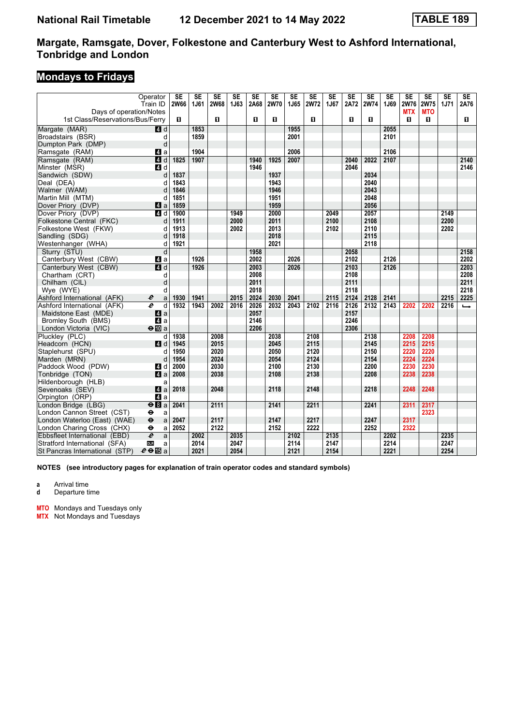# **Mondays to Fridays**

| Operator<br>Train ID<br>Days of operation/Notes              | <b>SE</b><br><b>2W66</b> | <b>SE</b><br>1J61 | $\overline{\text{SE}}$<br><b>2W68</b> | <b>SE</b><br>1J63 | $\overline{\text{SE}}$<br>2A68 | <b>SE</b><br><b>2W70</b> | $\overline{\text{SE}}$<br>1J65 | <b>SE</b><br><b>2W72</b> | $\overline{\text{SE}}$<br>1J67 | <b>SE</b><br>2A72 | $\overline{\text{SE}}$<br><b>2W74</b> | <b>SE</b><br>1J69 | $\overline{\text{SE}}$<br>2W76<br><b>MTX</b> | <b>SE</b><br>2W75<br><b>MTO</b> | $\overline{\text{SE}}$<br>1J71 | SE<br>2A76    |
|--------------------------------------------------------------|--------------------------|-------------------|---------------------------------------|-------------------|--------------------------------|--------------------------|--------------------------------|--------------------------|--------------------------------|-------------------|---------------------------------------|-------------------|----------------------------------------------|---------------------------------|--------------------------------|---------------|
| 1st Class/Reservations/Bus/Ferry                             | п                        |                   | $\mathbf{u}$                          |                   | 0                              | $\blacksquare$           |                                | п                        |                                | п                 | п                                     |                   | п                                            | п                               |                                | 0             |
| Margate (MAR)<br>4d                                          |                          | 1853              |                                       |                   |                                |                          | 1955                           |                          |                                |                   |                                       | 2055              |                                              |                                 |                                |               |
| Broadstairs (BSR)                                            | d                        | 1859              |                                       |                   |                                |                          | 2001                           |                          |                                |                   |                                       | 2101              |                                              |                                 |                                |               |
| Dumpton Park (DMP)                                           | d                        |                   |                                       |                   |                                |                          |                                |                          |                                |                   |                                       |                   |                                              |                                 |                                |               |
| Ramsgate (RAM)<br>Z1 a                                       |                          | 1904              |                                       |                   |                                |                          | 2006                           |                          |                                |                   |                                       | 2106              |                                              |                                 |                                |               |
| 4d<br>Ramsgate (RAM)                                         | 1825                     | 1907              |                                       |                   | 1940                           | 1925                     | 2007                           |                          |                                | 2040              | 2022                                  | 2107              |                                              |                                 |                                | 2140          |
| $\blacksquare$<br>Minster (MSR)                              |                          |                   |                                       |                   | 1946                           |                          |                                |                          |                                | 2046              |                                       |                   |                                              |                                 |                                | 2146          |
| Sandwich (SDW)                                               | 1837<br>d                |                   |                                       |                   |                                | 1937                     |                                |                          |                                |                   | 2034                                  |                   |                                              |                                 |                                |               |
| Deal (DEA)                                                   | 1843<br>d                |                   |                                       |                   |                                | 1943                     |                                |                          |                                |                   | 2040                                  |                   |                                              |                                 |                                |               |
| Walmer (WAM)                                                 | 1846                     |                   |                                       |                   |                                | 1946                     |                                |                          |                                |                   | 2043                                  |                   |                                              |                                 |                                |               |
| Martin Mill (MTM)                                            | 1851<br>d                |                   |                                       |                   |                                | 1951                     |                                |                          |                                |                   | 2048                                  |                   |                                              |                                 |                                |               |
| Dover Priory (DVP)<br>ZI a                                   | 1859                     |                   |                                       |                   |                                | 1959                     |                                |                          |                                |                   | 2056                                  |                   |                                              |                                 |                                |               |
| Dover Priory (DVP)<br>4d                                     | 1900                     |                   |                                       | 1949              |                                | 2000                     |                                |                          | 2049                           |                   | 2057                                  |                   |                                              |                                 | 2149                           |               |
| Folkestone Central (FKC)                                     | d<br>1911                |                   |                                       | 2000              |                                | 2011                     |                                |                          | 2100                           |                   | 2108                                  |                   |                                              |                                 | 2200                           |               |
| Folkestone West (FKW)                                        | 1913<br>d                |                   |                                       | 2002              |                                | 2013                     |                                |                          | 2102                           |                   | 2110                                  |                   |                                              |                                 | 2202                           |               |
| Sandling (SDG)                                               | 1918<br>d                |                   |                                       |                   |                                | 2018                     |                                |                          |                                |                   | 2115                                  |                   |                                              |                                 |                                |               |
| Westenhanger (WHA)                                           | 1921<br>d                |                   |                                       |                   |                                | 2021                     |                                |                          |                                |                   | 2118                                  |                   |                                              |                                 |                                |               |
| Sturry (STU)                                                 | d                        |                   |                                       |                   | 1958                           |                          |                                |                          |                                | 2058              |                                       |                   |                                              |                                 |                                | 2158          |
| Canterbury West (CBW)<br>ZI a                                |                          | 1926              |                                       |                   | 2002                           |                          | 2026                           |                          |                                | 2102              |                                       | 2126              |                                              |                                 |                                | 2202          |
| Canterbury West (CBW)<br>4d                                  |                          | 1926              |                                       |                   | 2003                           |                          | 2026                           |                          |                                | 2103              |                                       | 2126              |                                              |                                 |                                | 2203          |
| Chartham (CRT)                                               | d                        |                   |                                       |                   | 2008                           |                          |                                |                          |                                | 2108              |                                       |                   |                                              |                                 |                                | 2208          |
| Chilham (CIL)                                                | d                        |                   |                                       |                   | 2011                           |                          |                                |                          |                                | 2111              |                                       |                   |                                              |                                 |                                | 2211          |
| Wye (WYE)                                                    | d                        |                   |                                       |                   | 2018                           |                          |                                |                          |                                | 2118              |                                       |                   |                                              |                                 |                                | 2218          |
| Ashford International (AFK)<br>e                             | 1930<br>a                | 1941              |                                       | 2015              | 2024                           | 2030                     | 2041                           |                          | 2115                           | 2124              | 2128                                  | 2141              |                                              |                                 | 2215                           | 2225          |
| e<br>Ashford International (AFK)                             | 1932<br>d                | 1943              | 2002                                  | 2016              | 2026                           | 2032                     | 2043                           | 2102                     | 2116                           | 2126              | 2132                                  | 2143              | 2202                                         | 2202                            | 2216                           | $\rightarrow$ |
| Maidstone East (MDE)<br>ZI a                                 |                          |                   |                                       |                   | 2057                           |                          |                                |                          |                                | 2157              |                                       |                   |                                              |                                 |                                |               |
| 4a<br><b>Bromley South (BMS)</b>                             |                          |                   |                                       |                   | 2146                           |                          |                                |                          |                                | 2246              |                                       |                   |                                              |                                 |                                |               |
| London Victoria (VIC)<br>$\Theta$ III a                      |                          |                   |                                       |                   | 2206                           |                          |                                |                          |                                | 2306              |                                       |                   |                                              |                                 |                                |               |
| Plucklev (PLC)                                               | d<br>1938                |                   | 2008                                  |                   |                                | 2038                     |                                | 2108                     |                                |                   | 2138                                  |                   | 2208                                         | 2208                            |                                |               |
| Headcorn (HCN)<br>4 <sup>d</sup>                             | 1945                     |                   | 2015                                  |                   |                                | 2045                     |                                | 2115                     |                                |                   | 2145                                  |                   | 2215                                         | 2215                            |                                |               |
| Staplehurst (SPU)                                            | 1950<br>d                |                   | 2020                                  |                   |                                | 2050                     |                                | 2120                     |                                |                   | 2150                                  |                   | 2220                                         | 2220                            |                                |               |
| Marden (MRN)                                                 | 1954<br>d                |                   | 2024                                  |                   |                                | 2054                     |                                | 2124                     |                                |                   | 2154                                  |                   | 2224                                         | 2224                            |                                |               |
| Paddock Wood (PDW)<br>4 d                                    | 2000                     |                   | 2030                                  |                   |                                | 2100                     |                                | 2130                     |                                |                   | 2200                                  |                   | 2230                                         | 2230                            |                                |               |
| a<br>Tonbridge (TON)                                         | 2008                     |                   | 2038                                  |                   |                                | 2108                     |                                | 2138                     |                                |                   | 2208                                  |                   | 2238                                         | 2238                            |                                |               |
| Hildenborough (HLB)                                          | a                        |                   |                                       |                   |                                |                          |                                |                          |                                |                   |                                       |                   |                                              |                                 |                                |               |
| Sevenoaks (SEV)<br>ZI a                                      | 2018                     |                   | 2048                                  |                   |                                | 2118                     |                                | 2148                     |                                |                   | 2218                                  |                   | 2248                                         | 2248                            |                                |               |
| 4 a<br>Orpington (ORP)                                       |                          |                   |                                       |                   |                                |                          |                                |                          |                                |                   |                                       |                   |                                              |                                 |                                |               |
| $\Theta$ $a$<br>London Bridge (LBG)                          | 2041                     |                   | 2111                                  |                   |                                | 2141                     |                                | 2211                     |                                |                   | 2241                                  |                   | 2311                                         | 2317                            |                                |               |
| London Cannon Street (CST)<br>$\bullet$                      | a                        |                   |                                       |                   |                                |                          |                                |                          |                                |                   |                                       |                   |                                              | 2323                            |                                |               |
| London Waterloo (East) (WAE)<br>$\ddot{\boldsymbol{\Theta}}$ | 2047<br>a                |                   | 2117                                  |                   |                                | 2147                     |                                | 2217                     |                                |                   | 2247                                  |                   | 2317                                         |                                 |                                |               |
| London Charing Cross (CHX)<br>$\bullet$                      | 2052<br>a                |                   | 2122                                  |                   |                                | 2152                     |                                | 2222                     |                                |                   | 2252                                  |                   | 2322                                         |                                 |                                |               |
| $\overline{e}$<br>Ebbsfleet International (EBD)              | a                        | 2002              |                                       | 2035              |                                |                          | 2102                           |                          | 2135                           |                   |                                       | 2202              |                                              |                                 | 2235                           |               |
| Stratford International (SFA)<br><b>DLR</b>                  | a                        | 2014              |                                       | 2047              |                                |                          | 2114                           |                          | 2147                           |                   |                                       | 2214              |                                              |                                 | 2247                           |               |
| $e \oplus \mathbb{E}$ a<br>St Pancras International (STP)    |                          | 2021              |                                       | 2054              |                                |                          | 2121                           |                          | 2154                           |                   |                                       | 2221              |                                              |                                 | 2254                           |               |

**NOTES (see introductory pages for explanation of train operator codes and standard symbols)**

**a** Arrival time

**d** Departure time

**MTO** Mondays and Tuesdays only

**MTX** Not Mondays and Tuesdays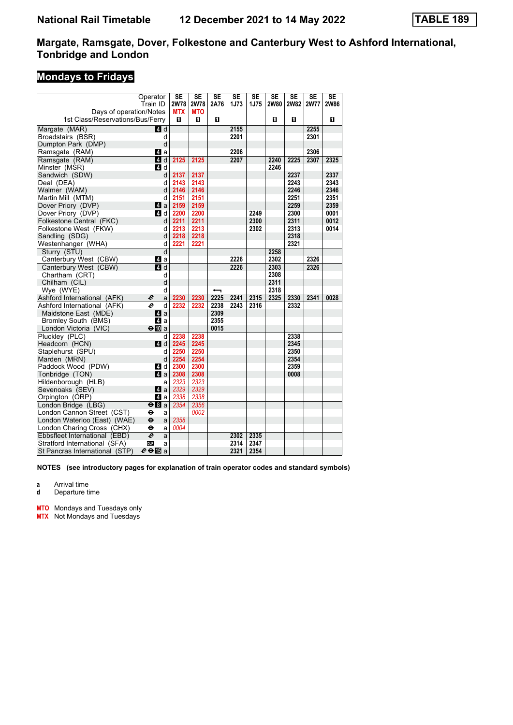# **Mondays to Fridays**

|                                         | Operator<br>Train ID     | <b>SE</b><br>2W78 | <b>SE</b><br><b>2W78</b> | <b>SE</b><br>2A76 | $\overline{\text{SE}}$<br>1J73 | $\overline{\text{SE}}$<br><b>1J75</b> | <b>SE</b><br><b>2W80</b> | <b>SE</b><br><b>2W82</b> | $\overline{\text{SE}}$<br><b>2W77</b> | <b>SE</b><br><b>2W86</b> |
|-----------------------------------------|--------------------------|-------------------|--------------------------|-------------------|--------------------------------|---------------------------------------|--------------------------|--------------------------|---------------------------------------|--------------------------|
| Days of operation/Notes                 |                          | <b>MTX</b>        | <b>MTO</b>               |                   |                                |                                       |                          |                          |                                       |                          |
| 1st Class/Reservations/Bus/Ferry        |                          | 0                 | 0                        | п                 |                                |                                       | O                        | п                        |                                       | O                        |
| Margate (MAR)                           | $\blacksquare$ d         |                   |                          |                   | 2155                           |                                       |                          |                          | 2255                                  |                          |
| Broadstairs (BSR)                       | d                        |                   |                          |                   | 2201                           |                                       |                          |                          | 2301                                  |                          |
| Dumpton Park (DMP)                      | d                        |                   |                          |                   |                                |                                       |                          |                          |                                       |                          |
| Ramsgate (RAM)                          | ZI a                     |                   |                          |                   | 2206                           |                                       |                          |                          | 2306                                  |                          |
| Ramsgate (RAM)                          | 4d                       | 2125              | 2125                     |                   | 2207                           |                                       | 2240                     | 2225                     | 2307                                  | 2325                     |
| Minster (MSR)                           | 4 d                      |                   |                          |                   |                                |                                       | 2246                     |                          |                                       |                          |
| Sandwich (SDW)                          | d                        | 2137              | 2137                     |                   |                                |                                       |                          | 2237                     |                                       | 2337                     |
| Deal (DEA)                              | d                        | 2143<br>2146      | 2143<br>2146             |                   |                                |                                       |                          | 2243<br>2246             |                                       | 2343<br>2346             |
| Walmer (WAM)                            | d                        | 2151              | 2151                     |                   |                                |                                       |                          | 2251                     |                                       | 2351                     |
| Martin Mill (MTM)<br>Dover Priory (DVP) | d                        | 2159              | 2159                     |                   |                                |                                       |                          | 2259                     |                                       | 2359                     |
| Dover Priory (DVP)                      | ZI a<br>$\blacksquare$ d | 2200              | 2200                     |                   |                                | 2249                                  |                          | 2300                     |                                       | 0001                     |
| Folkestone Central (FKC)                | d                        | 2211              | 2211                     |                   |                                | 2300                                  |                          | 2311                     |                                       | 0012                     |
| Folkestone West (FKW)                   | d                        | 2213              | 2213                     |                   |                                | 2302                                  |                          | 2313                     |                                       | 0014                     |
| Sandling (SDG)                          | d                        | 2218              | 2218                     |                   |                                |                                       |                          | 2318                     |                                       |                          |
| Westenhanger (WHA)                      | d                        | 2221              | 2221                     |                   |                                |                                       |                          | 2321                     |                                       |                          |
| Sturry (STU)                            | d                        |                   |                          |                   |                                |                                       | 2258                     |                          |                                       |                          |
| Canterbury West (CBW)                   | ZI a                     |                   |                          |                   | 2226                           |                                       | 2302                     |                          | 2326                                  |                          |
| Canterbury West (CBW)                   | $A$ d                    |                   |                          |                   | 2226                           |                                       | 2303                     |                          | 2326                                  |                          |
| Chartham (CRT)                          | d                        |                   |                          |                   |                                |                                       | 2308                     |                          |                                       |                          |
| Chilham (CIL)                           | d                        |                   |                          |                   |                                |                                       | 2311                     |                          |                                       |                          |
| Wye (WYE)                               | d                        |                   |                          |                   |                                |                                       | 2318                     |                          |                                       |                          |
| Ashford International (AFK)             | e<br>a                   | 2230              | 2230                     | 2225              | 2241                           | 2315                                  | 2325                     | 2330                     | 2341                                  | 0028                     |
| Ashford International (AFK)             | $\overline{d}$<br>e      | 2232              | 2232                     | 2238              | 2243                           | 2316                                  |                          | 2332                     |                                       |                          |
| Maidstone East (MDE)                    | ZI a                     |                   |                          | 2309              |                                |                                       |                          |                          |                                       |                          |
| Bromley South (BMS)                     | Z1 a                     |                   |                          | 2355              |                                |                                       |                          |                          |                                       |                          |
| London Victoria (VIC)                   | $\Theta$ III a           |                   |                          | 0015              |                                |                                       |                          |                          |                                       |                          |
| Pluckley (PLC)                          | d                        | 2238              | 2238                     |                   |                                |                                       |                          | 2338                     |                                       |                          |
| Headcorn (HCN)                          | ZI d                     | 2245              | 2245                     |                   |                                |                                       |                          | 2345                     |                                       |                          |
| Staplehurst (SPU)                       | d                        | 2250              | 2250                     |                   |                                |                                       |                          | 2350                     |                                       |                          |
| Marden (MRN)                            | d                        | 2254              | 2254                     |                   |                                |                                       |                          | 2354                     |                                       |                          |
| Paddock Wood (PDW)                      | 4 d                      | 2300              | 2300                     |                   |                                |                                       |                          | 2359                     |                                       |                          |
| Tonbridge (TON)                         | $\mathbf{a}$             | 2308              | 2308                     |                   |                                |                                       |                          | 0008                     |                                       |                          |
| Hildenborough (HLB)                     | a<br>$\blacksquare$ a    | 2323<br>2329      | 2323<br>2329             |                   |                                |                                       |                          |                          |                                       |                          |
| Sevenoaks (SEV)                         | Z1 a                     | 2338              | 2338                     |                   |                                |                                       |                          |                          |                                       |                          |
| Orpington (ORP)<br>London Bridge (LBG)  | $\overline{+B}$ a        | 2354              | 2356                     |                   |                                |                                       |                          |                          |                                       |                          |
| London Cannon Street (CST)              | θ<br>a                   |                   | 0002                     |                   |                                |                                       |                          |                          |                                       |                          |
| London Waterloo (East) (WAE)            | θ<br>a                   | 2358              |                          |                   |                                |                                       |                          |                          |                                       |                          |
| London Charing Cross (CHX)              | θ<br>a                   | 0004              |                          |                   |                                |                                       |                          |                          |                                       |                          |
| Ebbsfleet International (EBD)           | e<br>a                   |                   |                          |                   | 2302                           | 2335                                  |                          |                          |                                       |                          |
| Stratford International (SFA)           | <b>DLR</b><br>a          |                   |                          |                   | 2314                           | 2347                                  |                          |                          |                                       |                          |
| St Pancras International (STP)          | $e \oplus E$ a           |                   |                          |                   | 2321                           | 2354                                  |                          |                          |                                       |                          |

**NOTES (see introductory pages for explanation of train operator codes and standard symbols)**

**a** Arrival time

**d** Departure time

**MTO** Mondays and Tuesdays only

**MTX** Not Mondays and Tuesdays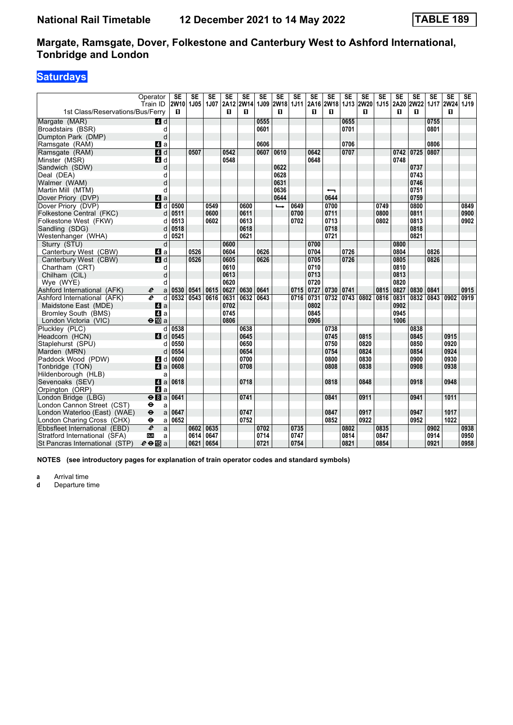# **Saturdays**

|                                  | Operator                          | <b>SE</b>      | <b>SE</b> | <b>SE</b> | SE               | SE        | <b>SE</b> | <b>SE</b>      | <b>SE</b> | <b>SE</b> | <b>SE</b>                     | SE   | <b>SE</b> | <b>SE</b> | <b>SE</b> | <b>SE</b> | SE   | <b>SE</b>                | SE.  |
|----------------------------------|-----------------------------------|----------------|-----------|-----------|------------------|-----------|-----------|----------------|-----------|-----------|-------------------------------|------|-----------|-----------|-----------|-----------|------|--------------------------|------|
| 1st Class/Reservations/Bus/Ferry | Train ID                          | 2W10 1J05<br>п |           | 1J07      | <b>2A12</b><br>п | 2W14<br>п |           | 1J09 2W18<br>п |           | 0         | 1J11 2A16 2W18 1J13 2W20<br>п |      | п         | 1J15      | п         | п         |      | 2A20 2W22 1J17 2W24<br>п | 1J19 |
|                                  |                                   |                |           |           |                  |           |           |                |           |           |                               |      |           |           |           |           |      |                          |      |
| Margate (MAR)                    | 4d                                |                |           |           |                  |           | 0555      |                |           |           |                               | 0655 |           |           |           |           | 0755 |                          |      |
| Broadstairs (BSR)                | d                                 |                |           |           |                  |           | 0601      |                |           |           |                               | 0701 |           |           |           |           | 0801 |                          |      |
| Dumpton Park (DMP)               | d                                 |                |           |           |                  |           |           |                |           |           |                               |      |           |           |           |           |      |                          |      |
| Ramsgate (RAM)                   | ZI a                              |                |           |           |                  |           | 0606      |                |           |           |                               | 0706 |           |           |           |           | 0806 |                          |      |
| Ramsgate (RAM)                   | 4d                                |                | 0507      |           | 0542             |           | 0607      | 0610           |           | 0642      |                               | 0707 |           |           | 0742      | 0725      | 0807 |                          |      |
| Minster (MSR)                    | 4d                                |                |           |           | 0548             |           |           |                |           | 0648      |                               |      |           |           | 0748      |           |      |                          |      |
| Sandwich (SDW)                   | d                                 |                |           |           |                  |           |           | 0622<br>0628   |           |           |                               |      |           |           |           | 0737      |      |                          |      |
| Deal (DEA)                       | d                                 |                |           |           |                  |           |           |                |           |           |                               |      |           |           |           | 0743      |      |                          |      |
| Walmer (WAM)                     |                                   |                |           |           |                  |           |           | 0631           |           |           |                               |      |           |           |           | 0746      |      |                          |      |
| Martin Mill (MTM)                | d                                 |                |           |           |                  |           |           | 0636           |           |           | $\overline{\phantom{0}}$      |      |           |           |           | 0751      |      |                          |      |
| Dover Priory (DVP)               | 4 a                               |                |           |           |                  |           |           | 0644           |           |           | 0644                          |      |           |           |           | 0759      |      |                          |      |
| Dover Priory (DVP)               | $\blacksquare$                    | 0500           |           | 0549      |                  | 0600      |           | $\rightarrow$  | 0649      |           | 0700                          |      |           | 0749      |           | 0800      |      |                          | 0849 |
| Folkestone Central (FKC)         | d                                 | 0511           |           | 0600      |                  | 0611      |           |                | 0700      |           | 0711                          |      |           | 0800      |           | 0811      |      |                          | 0900 |
| Folkestone West (FKW)            | d                                 | 0513           |           | 0602      |                  | 0613      |           |                | 0702      |           | 0713                          |      |           | 0802      |           | 0813      |      |                          | 0902 |
| Sandling (SDG)                   | d                                 | 0518           |           |           |                  | 0618      |           |                |           |           | 0718                          |      |           |           |           | 0818      |      |                          |      |
| Westenhanger (WHA)               | d                                 | 0521           |           |           |                  | 0621      |           |                |           |           | 0721                          |      |           |           |           | 0821      |      |                          |      |
| Sturry (STU)                     | d                                 |                |           |           | 0600             |           |           |                |           | 0700      |                               |      |           |           | 0800      |           |      |                          |      |
| Canterbury West (CBW)            | ZI a                              |                | 0526      |           | 0604             |           | 0626      |                |           | 0704      |                               | 0726 |           |           | 0804      |           | 0826 |                          |      |
| Canterbury West (CBW)            | ZI d                              |                | 0526      |           | 0605             |           | 0626      |                |           | 0705      |                               | 0726 |           |           | 0805      |           | 0826 |                          |      |
| Chartham (CRT)                   | d                                 |                |           |           | 0610             |           |           |                |           | 0710      |                               |      |           |           | 0810      |           |      |                          |      |
| Chilham (CIL)                    | d                                 |                |           |           | 0613             |           |           |                |           | 0713      |                               |      |           |           | 0813      |           |      |                          |      |
| Wye (WYE)                        | d                                 |                |           |           | 0620             |           |           |                |           | 0720      |                               |      |           |           | 0820      |           |      |                          |      |
| Ashford International (AFK)      | e<br>a                            | 0530           | 0541      | 0615      | 0627             | 0630      | 0641      |                | 0715      | 0727      | 0730                          | 0741 |           | 0815      | 0827      | 0830      | 0841 |                          | 0915 |
| Ashford International (AFK)      | e<br>d                            | 0532           | 0543      | 0616      | 0631             | 0632      | 0643      |                | 0716      | 0731      | 0732                          | 0743 | 0802      | 0816      | 0831      | 0832      | 0843 | 0902                     | 0919 |
| Maidstone East (MDE)             | ZI a                              |                |           |           | 0702             |           |           |                |           | 0802      |                               |      |           |           | 0902      |           |      |                          |      |
| Bromley South (BMS)              | $\blacksquare$ a                  |                |           |           | 0745             |           |           |                |           | 0845      |                               |      |           |           | 0945      |           |      |                          |      |
| London Victoria (VIC)            | $\Theta$ III a                    |                |           |           | 0806             |           |           |                |           | 0906      |                               |      |           |           | 1006      |           |      |                          |      |
| Pluckley (PLC)                   | d                                 | 0538           |           |           |                  | 0638      |           |                |           |           | 0738                          |      |           |           |           | 0838      |      |                          |      |
| Headcorn (HCN)                   | <b>4</b> d                        | 0545           |           |           |                  | 0645      |           |                |           |           | 0745                          |      | 0815      |           |           | 0845      |      | 0915                     |      |
| Staplehurst (SPU)                | d                                 | 0550           |           |           |                  | 0650      |           |                |           |           | 0750                          |      | 0820      |           |           | 0850      |      | 0920                     |      |
| Marden (MRN)                     | d                                 | 0554           |           |           |                  | 0654      |           |                |           |           | 0754                          |      | 0824      |           |           | 0854      |      | 0924                     |      |
| Paddock Wood (PDW)               | 4 d                               | 0600           |           |           |                  | 0700      |           |                |           |           | 0800                          |      | 0830      |           |           | 0900      |      | 0930                     |      |
| Tonbridge (TON)                  | $\mathbf{a}$                      | 0608           |           |           |                  | 0708      |           |                |           |           | 0808                          |      | 0838      |           |           | 0908      |      | 0938                     |      |
| Hildenborough (HLB)              | a                                 |                |           |           |                  |           |           |                |           |           |                               |      |           |           |           |           |      |                          |      |
| Sevenoaks (SEV)                  | 4 a                               | 0618           |           |           |                  | 0718      |           |                |           |           | 0818                          |      | 0848      |           |           | 0918      |      | 0948                     |      |
| Orpington (ORP)                  | $\mathbf{A}$ a                    |                |           |           |                  |           |           |                |           |           |                               |      |           |           |           |           |      |                          |      |
| London Bridge (LBG)              | $eB$ a                            | 0641           |           |           |                  | 0741      |           |                |           |           | 0841                          |      | 0911      |           |           | 0941      |      | 1011                     |      |
| London Cannon Street (CST)       | $\bullet$<br>a                    |                |           |           |                  |           |           |                |           |           |                               |      |           |           |           |           |      |                          |      |
| London Waterloo (East) (WAE)     | $\ddot{\boldsymbol{\Theta}}$<br>a | 0647           |           |           |                  | 0747      |           |                |           |           | 0847                          |      | 0917      |           |           | 0947      |      | 1017                     |      |
| London Charing Cross (CHX)       | θ<br>a                            | 0652           |           |           |                  | 0752      |           |                |           |           | 0852                          |      | 0922      |           |           | 0952      |      | 1022                     |      |
| Ebbsfleet International (EBD)    | $\overline{e}$<br>a               |                | 0602      | 0635      |                  |           | 0702      |                | 0735      |           |                               | 0802 |           | 0835      |           |           | 0902 |                          | 0938 |
| Stratford International (SFA)    | <b>DLR</b><br>a                   |                | 0614      | 0647      |                  |           | 0714      |                | 0747      |           |                               | 0814 |           | 0847      |           |           | 0914 |                          | 0950 |
| St Pancras International (STP)   | $e \oplus E$ a                    |                | 0621      | 0654      |                  |           | 0721      |                | 0754      |           |                               | 0821 |           | 0854      |           |           | 0921 |                          | 0958 |

**NOTES (see introductory pages for explanation of train operator codes and standard symbols)**

**a** Arrival time<br>**d** Departure ti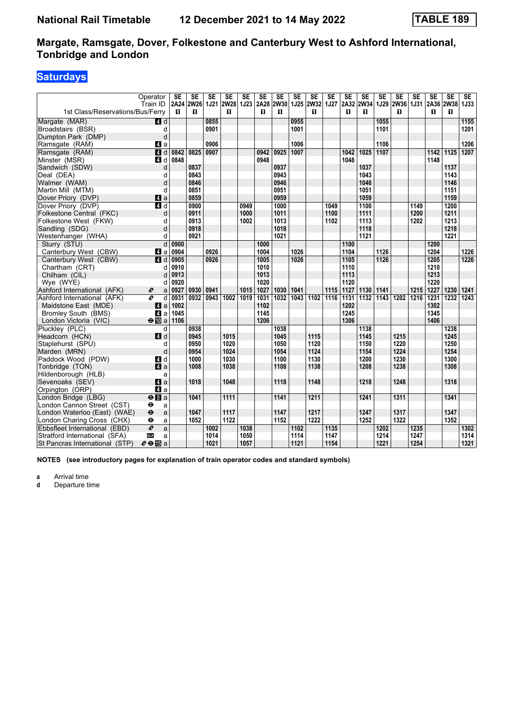## **Saturdays**

|                                  | Operator                          | SE   | <b>SE</b>      | <b>SE</b> | <b>SE</b>      | SE   | <b>SE</b>    | SE                  | <b>SE</b> | <b>SE</b>      | <b>SE</b> | SE   | <b>SE</b>           | <b>SE</b> | <b>SE</b>        | <b>SE</b>   | <b>SE</b> | <b>SE</b>      | <b>SE</b>   |
|----------------------------------|-----------------------------------|------|----------------|-----------|----------------|------|--------------|---------------------|-----------|----------------|-----------|------|---------------------|-----------|------------------|-------------|-----------|----------------|-------------|
| 1st Class/Reservations/Bus/Ferry | Train ID                          | п    | 2A24 2W26<br>п |           | 1J21 2W28<br>п |      | п            | 1J23 2A28 2W30<br>п |           | 1J25 2W32<br>0 |           | п    | 1J27 2A32 2W34<br>п | 1J29      | <b>2W36</b><br>п | <b>1J31</b> | п         | 2A36 2W38<br>п | <b>1J33</b> |
|                                  |                                   |      |                |           |                |      |              |                     |           |                |           |      |                     |           |                  |             |           |                |             |
| Margate (MAR)                    | 4d                                |      |                | 0855      |                |      |              |                     | 0955      |                |           |      |                     | 1055      |                  |             |           |                | 1155        |
| Broadstairs (BSR)                | d                                 |      |                | 0901      |                |      |              |                     | 1001      |                |           |      |                     | 1101      |                  |             |           |                | 1201        |
| Dumpton Park (DMP)               | d                                 |      |                |           |                |      |              |                     |           |                |           |      |                     |           |                  |             |           |                |             |
| Ramsgate (RAM)                   | ZI a                              |      |                | 0906      |                |      |              |                     | 1006      |                |           |      |                     | 1106      |                  |             |           |                | 1206        |
| Ramsgate (RAM)                   | 4d                                | 0842 | 0825           | 0907      |                |      | 0942<br>0948 | 0925                | 1007      |                |           | 1042 | 1025                | 1107      |                  |             | 1142      | $\boxed{1125}$ | 1207        |
| Minster (MSR)                    | 4 d                               | 0848 |                |           |                |      |              |                     |           |                |           | 1048 |                     |           |                  |             | 1148      |                |             |
| Sandwich (SDW)                   | d                                 |      | 0837<br>0843   |           |                |      |              | 0937<br>0943        |           |                |           |      | 1037<br>1043        |           |                  |             |           | 1137           |             |
| Deal (DEA)                       | d                                 |      |                |           |                |      |              |                     |           |                |           |      |                     |           |                  |             |           | 1143           |             |
| Walmer (WAM)                     | d                                 |      | 0846           |           |                |      |              | 0946                |           |                |           |      | 1046                |           |                  |             |           | 1146           |             |
| Martin Mill (MTM)                | d                                 |      | 0851           |           |                |      |              | 0951                |           |                |           |      | 1051                |           |                  |             |           | 1151           |             |
| Dover Priory (DVP)               | 4 a                               |      | 0859           |           |                |      |              | 0959                |           |                |           |      | 1059                |           |                  |             |           | 1159           |             |
| Dover Priory (DVP)               | $\overline{A}$ d                  |      | 0900           |           |                | 0949 |              | 1000                |           |                | 1049      |      | 1100                |           |                  | 1149        |           | 1200           |             |
| Folkestone Central (FKC)         | d                                 |      | 0911           |           |                | 1000 |              | 1011                |           |                | 1100      |      | 1111                |           |                  | 1200        |           | 1211           |             |
| Folkestone West (FKW)            | q                                 |      | 0913           |           |                | 1002 |              | 1013                |           |                | 1102      |      | 1113                |           |                  | 1202        |           | 1213           |             |
| Sandling (SDG)                   | d                                 |      | 0918           |           |                |      |              | 1018                |           |                |           |      | 1118                |           |                  |             |           | 1218           |             |
| Westenhanger (WHA)               | d                                 |      | 0921           |           |                |      |              | 1021                |           |                |           |      | 1121                |           |                  |             |           | 1221           |             |
| Sturry (STU)                     | $\mathsf{d}$                      | 0900 |                |           |                |      | 1000         |                     |           |                |           | 1100 |                     |           |                  |             | 1200      |                |             |
| Canterbury West (CBW)            | ZI a                              | 0904 |                | 0926      |                |      | 1004         |                     | 1026      |                |           | 1104 |                     | 1126      |                  |             | 1204      |                | 1226        |
| Canterbury West (CBW)            | ZI d                              | 0905 |                | 0926      |                |      | 1005         |                     | 1026      |                |           | 1105 |                     | 1126      |                  |             | 1205      |                | 1226        |
| Chartham (CRT)                   | d                                 | 0910 |                |           |                |      | 1010         |                     |           |                |           | 1110 |                     |           |                  |             | 1210      |                |             |
| Chilham (CIL)                    | d                                 | 0913 |                |           |                |      | 1013         |                     |           |                |           | 1113 |                     |           |                  |             | 1213      |                |             |
| Wye (WYE)                        | d                                 | 0920 |                |           |                |      | 1020         |                     |           |                |           | 1120 |                     |           |                  |             | 1220      |                |             |
| Ashford International (AFK)      | $\boldsymbol{e}$<br>a             | 0927 | 0930           | 0941      |                | 1015 | 1027         | 1030                | 1041      |                | 1115      | 1127 | 1130                | 1141      |                  | 1215        | 1227      | 1230           | 1241        |
| Ashford International (AFK)      | e<br>d                            | 0931 | 0932           | 0943      | 1002           | 1019 | 1031         | 1032                | 1043      | 1102           | 1116      | 1131 | 1132                | 1143      | 1202             | 1216        | 1231      | 1232           | 1243        |
| Maidstone East (MDE)             | ZI a                              | 1002 |                |           |                |      | 1102         |                     |           |                |           | 1202 |                     |           |                  |             | 1302      |                |             |
| Bromley South (BMS)              | ZI a                              | 1045 |                |           |                |      | 1145         |                     |           |                |           | 1245 |                     |           |                  |             | 1345      |                |             |
| London Victoria (VIC)            | $\Theta$ III a                    | 1106 |                |           |                |      | 1206         |                     |           |                |           | 1306 |                     |           |                  |             | 1406      |                |             |
| Plucklev (PLC)                   | d                                 |      | 0938           |           |                |      |              | 1038                |           |                |           |      | 1138                |           |                  |             |           | 1238           |             |
| Headcorn (HCN)                   | 4 d                               |      | 0945           |           | 1015           |      |              | 1045                |           | 1115           |           |      | 1145                |           | 1215             |             |           | 1245           |             |
| Staplehurst (SPU)                | d                                 |      | 0950           |           | 1020           |      |              | 1050                |           | 1120           |           |      | 1150                |           | 1220             |             |           | 1250           |             |
| Marden (MRN)                     | d                                 |      | 0954           |           | 1024           |      |              | 1054                |           | 1124           |           |      | 1154                |           | 1224             |             |           | 1254           |             |
| Paddock Wood (PDW)               | 4 d                               |      | 1000           |           | 1030           |      |              | 1100                |           | 1130           |           |      | 1200                |           | 1230             |             |           | 1300           |             |
| Tonbridge (TON)                  | a                                 |      | 1008           |           | 1038           |      |              | 1108                |           | 1138           |           |      | 1208                |           | 1238             |             |           | 1308           |             |
| Hildenborough (HLB)              | a                                 |      |                |           |                |      |              |                     |           |                |           |      |                     |           |                  |             |           |                |             |
| Sevenoaks (SEV)                  | Z1 a                              |      | 1018           |           | 1048           |      |              | 1118                |           | 1148           |           |      | 1218                |           | 1248             |             |           | 1318           |             |
| Orpington (ORP)                  | 4 a                               |      |                |           |                |      |              |                     |           |                |           |      |                     |           |                  |             |           |                |             |
| London Bridge (LBG)              | $eB$ a                            |      | 1041           |           | 1111           |      |              | 1141                |           | 1211           |           |      | 1241                |           | 1311             |             |           | 1341           |             |
| London Cannon Street (CST)       | $\bullet$<br>a                    |      |                |           |                |      |              |                     |           |                |           |      |                     |           |                  |             |           |                |             |
| London Waterloo (East) (WAE)     | $\ddot{\boldsymbol{\Theta}}$<br>a |      | 1047           |           | 1117           |      |              | 1147                |           | 1217           |           |      | 1247                |           | 1317             |             |           | 1347           |             |
| London Charing Cross (CHX)       | θ<br>a                            |      | 1052           |           | 1122           |      |              | 1152                |           | 1222           |           |      | 1252                |           | 1322             |             |           | 1352           |             |
| Ebbsfleet International (EBD)    | $\overline{e}$<br>a               |      |                | 1002      |                | 1038 |              |                     | 1102      |                | 1135      |      |                     | 1202      |                  | 1235        |           |                | 1302        |
| Stratford International (SFA)    | <b>DLR</b><br>a                   |      |                | 1014      |                | 1050 |              |                     | 1114      |                | 1147      |      |                     | 1214      |                  | 1247        |           |                | 1314        |
| St Pancras International (STP)   | $e \oplus E$ a                    |      |                | 1021      |                | 1057 |              |                     | 1121      |                | 1154      |      |                     | 1221      |                  | 1254        |           |                | 1321        |

**NOTES (see introductory pages for explanation of train operator codes and standard symbols)**

**a** Arrival time<br>**d** Departure ti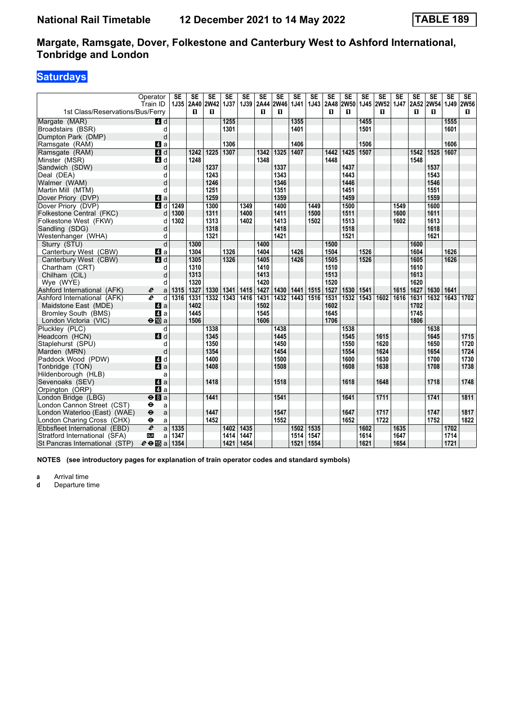# **Saturdays**

|                                  | Operator                          | <b>SE</b> | <b>SE</b> | <b>SE</b>   | <b>SE</b>   | <b>SE</b> | <b>SE</b> | <b>SE</b>         | <b>SE</b>   | <b>SE</b> | <b>SE</b> | <b>SE</b>   | <b>SE</b> | <b>SE</b> | <b>SE</b> | <b>SE</b> | <b>SE</b>                        | <b>SE</b> | <b>SE</b> |
|----------------------------------|-----------------------------------|-----------|-----------|-------------|-------------|-----------|-----------|-------------------|-------------|-----------|-----------|-------------|-----------|-----------|-----------|-----------|----------------------------------|-----------|-----------|
|                                  | Train ID                          |           | 1J35 2A40 | <b>2W42</b> | <b>1J37</b> |           |           | 1J39 2A44 2W46    | <b>1J41</b> |           | 1J43 2A48 | <b>2W50</b> |           |           |           |           | 1J45   2W52   1J47   2A52   2W54 | 1J49 2W56 |           |
| 1st Class/Reservations/Bus/Ferry |                                   |           | п         | п           |             |           | п         | п                 |             |           | п         | п           |           | п         |           | п         | п                                |           | п         |
| Margate (MAR)                    | 4d                                |           |           |             | 1255        |           |           |                   | 1355        |           |           |             | 1455      |           |           |           |                                  | 1555      |           |
| Broadstairs (BSR)                | d                                 |           |           |             | 1301        |           |           |                   | 1401        |           |           |             | 1501      |           |           |           |                                  | 1601      |           |
| Dumpton Park (DMP)               | d                                 |           |           |             |             |           |           |                   |             |           |           |             |           |           |           |           |                                  |           |           |
| Ramsgate (RAM)                   | ZI a                              |           |           |             | 1306        |           |           |                   | 1406        |           |           |             | 1506      |           |           |           |                                  | 1606      |           |
| Ramsgate (RAM)                   | 4d                                |           | 1242      | 1225        | 1307        |           | 1342      | 1325              | 1407        |           | 1442      | 1425        | 1507      |           |           | 1542      | 1525                             | 1607      |           |
| Minster (MSR)                    | 4 d                               |           | 1248      |             |             |           | 1348      |                   |             |           | 1448      |             |           |           |           | 1548      |                                  |           |           |
| Sandwich (SDW)                   | d                                 |           |           | 1237        |             |           |           | 1337              |             |           |           | 1437        |           |           |           |           | 1537                             |           |           |
| Deal (DEA)                       | d                                 |           |           | 1243        |             |           |           | 1343              |             |           |           | 1443        |           |           |           |           | 1543                             |           |           |
| Walmer (WAM)                     | d                                 |           |           | 1246        |             |           |           | 1346              |             |           |           | 1446        |           |           |           |           | 1546                             |           |           |
| Martin Mill (MTM)                | d                                 |           |           | 1251        |             |           |           | 1351              |             |           |           | 1451        |           |           |           |           | 1551                             |           |           |
| Dover Priory (DVP)               | $\mathbf{A}$ a                    |           |           | 1259        |             |           |           | 1359              |             |           |           | 1459        |           |           |           |           | 1559                             |           |           |
| Dover Priory (DVP)               | $\overline{a}$ d                  | 1249      |           | 1300        |             | 1349      |           | 1400              |             | 1449      |           | 1500        |           |           | 1549      |           | 1600                             |           |           |
| Folkestone Central (FKC)         | d                                 | 1300      |           | 1311        |             | 1400      |           | 1411              |             | 1500      |           | 1511        |           |           | 1600      |           | 1611                             |           |           |
| Folkestone West (FKW)            | d                                 | 1302      |           | 1313        |             | 1402      |           | 1413              |             | 1502      |           | 1513        |           |           | 1602      |           | 1613                             |           |           |
| Sandling (SDG)                   | d                                 |           |           | 1318        |             |           |           | 1418              |             |           |           | 1518        |           |           |           |           | 1618                             |           |           |
| Westenhanger (WHA)               | d                                 |           |           | 1321        |             |           |           | 1421              |             |           |           | 1521        |           |           |           |           | 1621                             |           |           |
| Sturry (STU)                     | d                                 |           | 1300      |             |             |           | 1400      |                   |             |           | 1500      |             |           |           |           | 1600      |                                  |           |           |
| Canterbury West (CBW)            | 41 a                              |           | 1304      |             | 1326        |           | 1404      |                   | 1426        |           | 1504      |             | 1526      |           |           | 1604      |                                  | 1626      |           |
| Canterbury West (CBW)            | $\overline{a}$ d                  |           | 1305      |             | 1326        |           | 1405      |                   | 1426        |           | 1505      |             | 1526      |           |           | 1605      |                                  | 1626      |           |
| Chartham (CRT)                   | d                                 |           | 1310      |             |             |           | 1410      |                   |             |           | 1510      |             |           |           |           | 1610      |                                  |           |           |
| Chilham (CIL)                    | d                                 |           | 1313      |             |             |           | 1413      |                   |             |           | 1513      |             |           |           |           | 1613      |                                  |           |           |
| Wye (WYE)                        | d                                 |           | 1320      |             |             |           | 1420      |                   |             |           | 1520      |             |           |           |           | 1620      |                                  |           |           |
| Ashford International (AFK)      | $\boldsymbol{\ell}$<br>a          | 1315      | 1327      | 1330        | 1341        | 1415      | 1427      | 1430 1441         |             | 1515      | 1527      | 1530        | 1541      |           | 1615      | 1627      | 1630                             | 1641      |           |
| Ashford International (AFK)      | e<br>$\overline{d}$               | 1316      | 1331      | 1332        | 1343        | 1416      | 1431      | $\overline{1432}$ | 1443        | 1516      | 1531      | 1532        | 1543      | 1602      | 1616      | 1631      | 1632                             | 1643      | 1702      |
| Maidstone East (MDE)             | ZI a                              |           | 1402      |             |             |           | 1502      |                   |             |           | 1602      |             |           |           |           | 1702      |                                  |           |           |
| <b>Bromley South (BMS)</b>       | 4 a                               |           | 1445      |             |             |           | 1545      |                   |             |           | 1645      |             |           |           |           | 1745      |                                  |           |           |
| London Victoria (VIC)            | $\Theta$ III a                    |           | 1506      |             |             |           | 1606      |                   |             |           | 1706      |             |           |           |           | 1806      |                                  |           |           |
| Pluckley (PLC)                   | d                                 |           |           | 1338        |             |           |           | 1438              |             |           |           | 1538        |           |           |           |           | 1638                             |           |           |
| Headcorn (HCN)                   | 4d                                |           |           | 1345        |             |           |           | 1445              |             |           |           | 1545        |           | 1615      |           |           | 1645                             |           | 1715      |
| Staplehurst (SPU)                | d                                 |           |           | 1350        |             |           |           | 1450              |             |           |           | 1550        |           | 1620      |           |           | 1650                             |           | 1720      |
| Marden (MRN)                     | d                                 |           |           | 1354        |             |           |           | 1454              |             |           |           | 1554        |           | 1624      |           |           | 1654                             |           | 1724      |
| Paddock Wood (PDW)               | 4 d                               |           |           | 1400        |             |           |           | 1500              |             |           |           | 1600        |           | 1630      |           |           | 1700                             |           | 1730      |
| Tonbridge (TON)                  | a                                 |           |           | 1408        |             |           |           | 1508              |             |           |           | 1608        |           | 1638      |           |           | 1708                             |           | 1738      |
| Hildenborough (HLB)              | a                                 |           |           |             |             |           |           |                   |             |           |           |             |           |           |           |           |                                  |           |           |
| Sevenoaks (SEV)                  | ZI a                              |           |           | 1418        |             |           |           | 1518              |             |           |           | 1618        |           | 1648      |           |           | 1718                             |           | 1748      |
| Orpington (ORP)                  | $\blacksquare$ a                  |           |           |             |             |           |           |                   |             |           |           |             |           |           |           |           |                                  |           |           |
| London Bridge (LBG)              | $\Theta$ $\blacksquare$ a         |           |           | 1441        |             |           |           | 1541              |             |           |           | 1641        |           | 1711      |           |           | 1741                             |           | 1811      |
| London Cannon Street (CST)       | θ<br>a                            |           |           |             |             |           |           |                   |             |           |           |             |           |           |           |           |                                  |           |           |
| London Waterloo (East) (WAE)     | $\ddot{\boldsymbol{\Theta}}$<br>a |           |           | 1447        |             |           |           | 1547              |             |           |           | 1647        |           | 1717      |           |           | 1747                             |           | 1817      |
| London Charing Cross (CHX)       | θ<br>a                            |           |           | 1452        |             |           |           | 1552              |             |           |           | 1652        |           | 1722      |           |           | 1752                             |           | 1822      |
| Ebbsfleet International (EBD)    | $\overline{e}$<br>a               | 1335      |           |             | 1402        | 1435      |           |                   | 1502        | 1535      |           |             | 1602      |           | 1635      |           |                                  | 1702      |           |
| Stratford International (SFA)    | <b>DLR</b><br>a                   | 1347      |           |             | 1414        | 1447      |           |                   | 1514        | 1547      |           |             | 1614      |           | 1647      |           |                                  | 1714      |           |
| St Pancras International (STP)   | $e \oplus \mathbb{E}$ a           | 1354      |           |             | 1421        | 1454      |           |                   | 1521        | 1554      |           |             | 1621      |           | 1654      |           |                                  | 1721      |           |

**NOTES (see introductory pages for explanation of train operator codes and standard symbols)**

**a** Arrival time<br>**d** Departure ti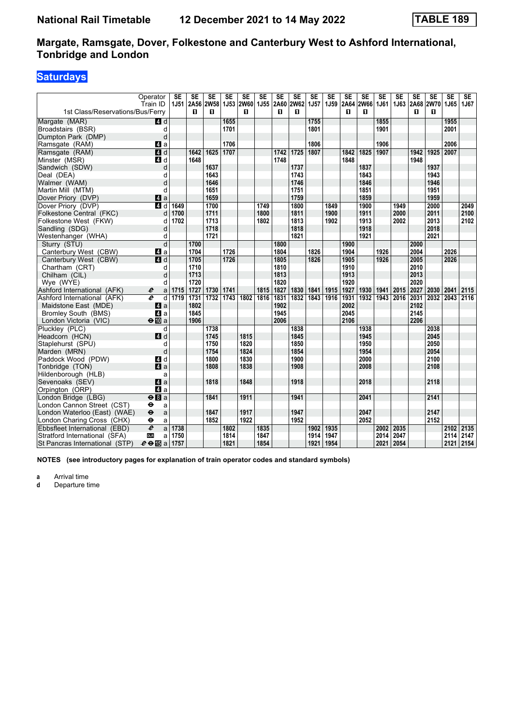# **Saturdays**

|                                  | Operator<br>Train ID             | <b>SE</b><br><b>1J51</b> | SE<br><b>2A56</b> | <b>SE</b><br><b>2W58</b> | <b>SE</b><br><b>1J53</b> | <b>SE</b><br>2W60 | <b>SE</b><br><b>1J55</b> | SE   | <b>SE</b><br>2A60 2W62 | SE<br>1J <sub>57</sub> | <b>SE</b><br>1J59 | SE<br>2A64 | <b>SE</b><br><b>2W66</b> | <b>SE</b><br>1J61 | <b>SE</b><br>1J63 | <b>SE</b> | <b>SE</b><br>2A68 2W70 | <b>SE</b><br>1J65 | <b>SE</b><br>1J67 |
|----------------------------------|----------------------------------|--------------------------|-------------------|--------------------------|--------------------------|-------------------|--------------------------|------|------------------------|------------------------|-------------------|------------|--------------------------|-------------------|-------------------|-----------|------------------------|-------------------|-------------------|
| 1st Class/Reservations/Bus/Ferry |                                  |                          | п                 | п                        |                          | п                 |                          | п    | п                      |                        |                   | п          | п                        |                   |                   | п         | п                      |                   |                   |
| Margate (MAR)                    | $\blacksquare$ d                 |                          |                   |                          | 1655                     |                   |                          |      |                        | 1755                   |                   |            |                          | 1855              |                   |           |                        | 1955              |                   |
| Broadstairs (BSR)                | d                                |                          |                   |                          | 1701                     |                   |                          |      |                        | 1801                   |                   |            |                          | 1901              |                   |           |                        | 2001              |                   |
| Dumpton Park (DMP)               | d                                |                          |                   |                          |                          |                   |                          |      |                        |                        |                   |            |                          |                   |                   |           |                        |                   |                   |
| Ramsgate (RAM)                   | $\blacksquare$ a                 |                          |                   |                          | 1706                     |                   |                          |      |                        | 1806                   |                   |            |                          | 1906              |                   |           |                        | 2006              |                   |
| Ramsgate (RAM)                   | $\overline{4}$ d                 |                          | 1642              | 1625                     | 1707                     |                   |                          | 1742 | 1725                   | 1807                   |                   | 1842       | 1825                     | 1907              |                   | 1942      | 1925                   | 2007              |                   |
| Minster (MSR)                    | 4d                               |                          | 1648              |                          |                          |                   |                          | 1748 |                        |                        |                   | 1848       |                          |                   |                   | 1948      |                        |                   |                   |
| Sandwich (SDW)                   | d                                |                          |                   | 1637                     |                          |                   |                          |      | 1737                   |                        |                   |            | 1837                     |                   |                   |           | 1937                   |                   |                   |
| Deal (DEA)                       | d                                |                          |                   | 1643                     |                          |                   |                          |      | 1743                   |                        |                   |            | 1843                     |                   |                   |           | 1943                   |                   |                   |
| Walmer (WAM)                     | d                                |                          |                   | 1646                     |                          |                   |                          |      | 1746                   |                        |                   |            | 1846                     |                   |                   |           | 1946                   |                   |                   |
|                                  | d                                |                          |                   | 1651                     |                          |                   |                          |      | 1751                   |                        |                   |            | 1851                     |                   |                   |           | 1951                   |                   |                   |
| Martin Mill (MTM)                |                                  |                          |                   | 1659                     |                          |                   |                          |      | 1759                   |                        |                   |            | 1859                     |                   |                   |           | 1959                   |                   |                   |
| Dover Priory (DVP)               | 4 a                              |                          |                   |                          |                          |                   |                          |      | 1800                   |                        |                   |            | 1900                     |                   | 1949              |           |                        |                   |                   |
| Dover Priory (DVP)               | $A$ d                            | 1649                     |                   | 1700                     |                          |                   | 1749                     |      |                        |                        | 1849              |            |                          |                   |                   |           | 2000                   |                   | 2049              |
| Folkestone Central (FKC)         | d                                | 1700                     |                   | 1711                     |                          |                   | 1800                     |      | 1811                   |                        | 1900              |            | 1911                     |                   | 2000              |           | 2011                   |                   | 2100              |
| Folkestone West (FKW)            | d                                | 1702                     |                   | 1713                     |                          |                   | 1802                     |      | 1813                   |                        | 1902              |            | 1913                     |                   | 2002              |           | 2013                   |                   | 2102              |
| Sandling (SDG)                   | d                                |                          |                   | 1718                     |                          |                   |                          |      | 1818                   |                        |                   |            | 1918                     |                   |                   |           | 2018                   |                   |                   |
| Westenhanger (WHA)               | d                                |                          |                   | 1721                     |                          |                   |                          |      | 1821                   |                        |                   |            | 1921                     |                   |                   |           | 2021                   |                   |                   |
| Sturry (STU)                     | $\overline{d}$                   |                          | 1700              |                          |                          |                   |                          | 1800 |                        |                        |                   | 1900       |                          |                   |                   | 2000      |                        |                   |                   |
| Canterbury West (CBW)            | ZI a                             |                          | 1704              |                          | 1726                     |                   |                          | 1804 |                        | 1826                   |                   | 1904       |                          | 1926              |                   | 2004      |                        | 2026              |                   |
| Canterbury West (CBW)            | ZI d                             |                          | 1705              |                          | 1726                     |                   |                          | 1805 |                        | 1826                   |                   | 1905       |                          | 1926              |                   | 2005      |                        | 2026              |                   |
| Chartham (CRT)                   | d                                |                          | 1710              |                          |                          |                   |                          | 1810 |                        |                        |                   | 1910       |                          |                   |                   | 2010      |                        |                   |                   |
| Chilham (CIL)                    | d                                |                          | 1713              |                          |                          |                   |                          | 1813 |                        |                        |                   | 1913       |                          |                   |                   | 2013      |                        |                   |                   |
| Wye (WYE)                        | d                                |                          | 1720              |                          |                          |                   |                          | 1820 |                        |                        |                   | 1920       |                          |                   |                   | 2020      |                        |                   |                   |
| Ashford International (AFK)      | e<br>a                           | 1715                     | 1727              | 1730                     | 1741                     |                   | 1815                     | 1827 | 1830                   | 1841                   | 1915              | 1927       | 1930                     | 1941              | 2015              | 2027      | 2030                   | 2041              | 2115              |
| Ashford International (AFK)      | $\overline{\boldsymbol{e}}$<br>d | 1719                     | 1731              | 1732                     | 1743                     | 1802              | 1816                     | 1831 | 1832                   | 1843                   | 1916              | 1931       | 1932                     | 1943              | 2016              | 2031      | 2032                   | 2043              | 2116              |
| Maidstone East (MDE)             | ZI a                             |                          | 1802              |                          |                          |                   |                          | 1902 |                        |                        |                   | 2002       |                          |                   |                   | 2102      |                        |                   |                   |
| <b>Bromley South (BMS)</b>       | $\blacksquare$ a                 |                          | 1845              |                          |                          |                   |                          | 1945 |                        |                        |                   | 2045       |                          |                   |                   | 2145      |                        |                   |                   |
| London Victoria (VIC)            | $\Theta$ III a                   |                          | 1906              |                          |                          |                   |                          | 2006 |                        |                        |                   | 2106       |                          |                   |                   | 2206      |                        |                   |                   |
| Plucklev (PLC)                   | d                                |                          |                   | 1738                     |                          |                   |                          |      | 1838                   |                        |                   |            | 1938                     |                   |                   |           | 2038                   |                   |                   |
| Headcorn (HCN)                   | $A$ <sub>d</sub>                 |                          |                   | 1745                     |                          | 1815              |                          |      | 1845                   |                        |                   |            | 1945                     |                   |                   |           | 2045                   |                   |                   |
| Staplehurst (SPU)                | d                                |                          |                   | 1750                     |                          | 1820              |                          |      | 1850                   |                        |                   |            | 1950                     |                   |                   |           | 2050                   |                   |                   |
| Marden (MRN)                     | d                                |                          |                   | 1754                     |                          | 1824              |                          |      | 1854                   |                        |                   |            | 1954                     |                   |                   |           | 2054                   |                   |                   |
| Paddock Wood (PDW)               | $\overline{4}$ d                 |                          |                   | 1800                     |                          | 1830              |                          |      | 1900                   |                        |                   |            | 2000                     |                   |                   |           | 2100                   |                   |                   |
| Tonbridge (TON)                  | a                                |                          |                   | 1808                     |                          | 1838              |                          |      | 1908                   |                        |                   |            | 2008                     |                   |                   |           | 2108                   |                   |                   |
| Hildenborough (HLB)              | a                                |                          |                   |                          |                          |                   |                          |      |                        |                        |                   |            |                          |                   |                   |           |                        |                   |                   |
| Sevenoaks (SEV)                  | 4a                               |                          |                   | 1818                     |                          | 1848              |                          |      | 1918                   |                        |                   |            | 2018                     |                   |                   |           | 2118                   |                   |                   |
| Orpington (ORP)                  | 4a                               |                          |                   |                          |                          |                   |                          |      |                        |                        |                   |            |                          |                   |                   |           |                        |                   |                   |
| London Bridge (LBG)              | $\Theta$ $\blacksquare$ a        |                          |                   | 1841                     |                          | 1911              |                          |      | 1941                   |                        |                   |            | 2041                     |                   |                   |           | 2141                   |                   |                   |
| London Cannon Street (CST)       | $\bullet$<br>a                   |                          |                   |                          |                          |                   |                          |      |                        |                        |                   |            |                          |                   |                   |           |                        |                   |                   |
| London Waterloo (East) (WAE)     | $\ddot{\mathbf{e}}$<br>a         |                          |                   | 1847                     |                          | 1917              |                          |      | 1947                   |                        |                   |            | 2047                     |                   |                   |           | 2147                   |                   |                   |
| London Charing Cross (CHX)       | θ<br>a                           |                          |                   | 1852                     |                          | 1922              |                          |      | 1952                   |                        |                   |            | 2052                     |                   |                   |           | 2152                   |                   |                   |
| Ebbsfleet International (EBD)    | $\overline{e}$<br>a              | 1738                     |                   |                          | 1802                     |                   | 1835                     |      |                        | 1902                   | 1935              |            |                          | 2002              | 2035              |           |                        | 2102              | 2135              |
| Stratford International (SFA)    | <b>DLR</b><br>a                  | 1750                     |                   |                          | 1814                     |                   | 1847                     |      |                        | 1914                   | 1947              |            |                          | 2014              | 2047              |           |                        | 2114              | 2147              |
| St Pancras International (STP)   | $e \oplus E$ a                   | 1757                     |                   |                          | 1821                     |                   | 1854                     |      |                        | 1921                   | 1954              |            |                          | 2021              | 2054              |           |                        | 2121              | 2154              |

**NOTES (see introductory pages for explanation of train operator codes and standard symbols)**

**a** Arrival time<br>**d** Departure ti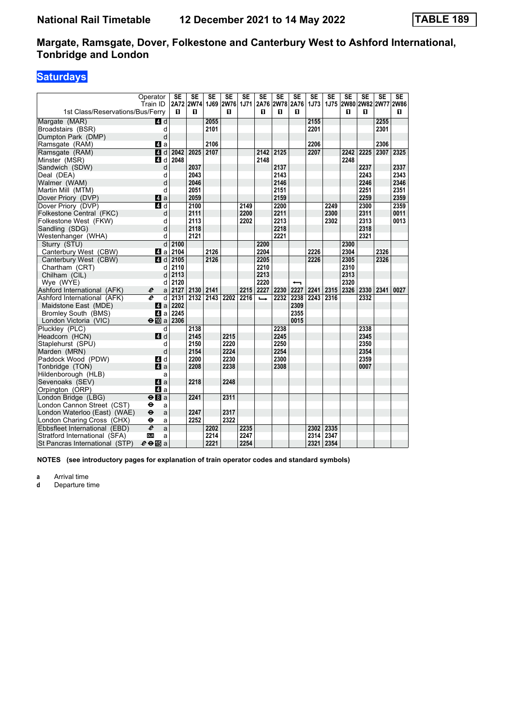# **Saturdays**

|                                  | Operator                  | <b>SE</b> | <b>SE</b>           | <b>SE</b> | $\overline{\text{SE}}$ | <b>SE</b> | $\overline{\text{SE}}$ | $\overline{\text{SE}}$ | <b>SE</b>                | $\overline{\text{SE}}$ | $\overline{\text{SE}}$ | $\overline{\text{SE}}$ | SE   | $\overline{\text{SE}}$ | $\overline{\text{SE}}$   |
|----------------------------------|---------------------------|-----------|---------------------|-----------|------------------------|-----------|------------------------|------------------------|--------------------------|------------------------|------------------------|------------------------|------|------------------------|--------------------------|
|                                  | Train ID                  |           | 2A72 2W74 1J69 2W76 |           |                        |           |                        | 1J71 2A76 2W78 2A76    |                          | <b>1J73</b>            |                        |                        |      |                        | 1J75 2W80 2W82 2W77 2W86 |
| 1st Class/Reservations/Bus/Ferry |                           | п         | п                   |           | п                      |           | п                      | п                      | п                        |                        |                        | п                      | п    |                        | П.                       |
| Margate (MAR)                    | 4d                        |           |                     | 2055      |                        |           |                        |                        |                          | 2155                   |                        |                        |      | 2255                   |                          |
| Broadstairs (BSR)                | d                         |           |                     | 2101      |                        |           |                        |                        |                          | 2201                   |                        |                        |      | 2301                   |                          |
| Dumpton Park (DMP)               | d                         |           |                     |           |                        |           |                        |                        |                          |                        |                        |                        |      |                        |                          |
| Ramsgate (RAM)                   | ZI a                      |           |                     | 2106      |                        |           |                        |                        |                          | 2206                   |                        |                        |      | 2306                   |                          |
| Ramsgate (RAM)                   | 4d                        | 2042      | 2025                | 2107      |                        |           | 2142                   | 2125                   |                          | 2207                   |                        | 2242                   | 2225 | 2307                   | 2325                     |
| Minster (MSR)                    | 4 d                       | 2048      |                     |           |                        |           | 2148                   |                        |                          |                        |                        | 2248                   |      |                        |                          |
| Sandwich (SDW)                   | d                         |           | 2037                |           |                        |           |                        | 2137                   |                          |                        |                        |                        | 2237 |                        | 2337                     |
| Deal (DEA)                       | d                         |           | 2043                |           |                        |           |                        | 2143                   |                          |                        |                        |                        | 2243 |                        | 2343                     |
| Walmer (WAM)                     | d                         |           | 2046                |           |                        |           |                        | 2146                   |                          |                        |                        |                        | 2246 |                        | 2346                     |
| Martin Mill (MTM)                | d                         |           | 2051                |           |                        |           |                        | 2151                   |                          |                        |                        |                        | 2251 |                        | 2351                     |
| Dover Priory (DVP)               | 4 a                       |           | 2059                |           |                        |           |                        | 2159                   |                          |                        |                        |                        | 2259 |                        | 2359                     |
| Dover Priory (DVP)               | $\overline{A}$ d          |           | 2100                |           |                        | 2149      |                        | 2200                   |                          |                        | 2249                   |                        | 2300 |                        | 2359                     |
| Folkestone Central (FKC)         | d                         |           | 2111                |           |                        | 2200      |                        | 2211                   |                          |                        | 2300                   |                        | 2311 |                        | 0011                     |
| Folkestone West (FKW)            | d                         |           | 2113                |           |                        | 2202      |                        | 2213                   |                          |                        | 2302                   |                        | 2313 |                        | 0013                     |
| Sandling (SDG)                   | d                         |           | 2118                |           |                        |           |                        | 2218                   |                          |                        |                        |                        | 2318 |                        |                          |
| Westenhanger (WHA)               | d                         |           | 2121                |           |                        |           |                        | 2221                   |                          |                        |                        |                        | 2321 |                        |                          |
| Sturry (STU)                     | d                         | 2100      |                     |           |                        |           | 2200                   |                        |                          |                        |                        | 2300                   |      |                        |                          |
| Canterbury West (CBW)            | ZI a                      | 2104      |                     | 2126      |                        |           | 2204                   |                        |                          | 2226                   |                        | 2304                   |      | 2326                   |                          |
| Canterbury West (CBW)            | 4d                        | 2105      |                     | 2126      |                        |           | 2205                   |                        |                          | 2226                   |                        | 2305                   |      | 2326                   |                          |
| Chartham (CRT)                   | d                         | 2110      |                     |           |                        |           | 2210                   |                        |                          |                        |                        | 2310                   |      |                        |                          |
| Chilham (CIL)                    | d                         | 2113      |                     |           |                        |           | 2213                   |                        |                          |                        |                        | 2313                   |      |                        |                          |
| Wye (WYE)                        | d                         | 2120      |                     |           |                        |           | 2220                   |                        | $\overline{\phantom{0}}$ |                        |                        | 2320                   |      |                        |                          |
| Ashford International (AFK)      | e<br>a                    | 2127      | 2130                | 2141      |                        | 2215      | 2227                   | 2230                   | 2227                     | 2241                   | 2315                   | 2326                   | 2330 | 2341                   | 0027                     |
| Ashford International (AFK)      | $\boldsymbol{\ell}$<br>d  | 2131      | 2132                | 2143      | 2202                   | 2216      | $\rightarrow$          | 2232                   | 2238                     | 2243                   | 2316                   |                        | 2332 |                        |                          |
| Maidstone East (MDE)             | ZI a                      | 2202      |                     |           |                        |           |                        |                        | 2309                     |                        |                        |                        |      |                        |                          |
| Bromley South (BMS)              | 41 a                      | 2245      |                     |           |                        |           |                        |                        | 2355                     |                        |                        |                        |      |                        |                          |
| London Victoria (VIC)            | $\Theta$ III a 2306       |           |                     |           |                        |           |                        |                        | 0015                     |                        |                        |                        |      |                        |                          |
| Pluckley (PLC)                   | d                         |           | 2138                |           |                        |           |                        | 2238                   |                          |                        |                        |                        | 2338 |                        |                          |
| Headcorn (HCN)                   | $\blacksquare$ d          |           | 2145                |           | 2215                   |           |                        | 2245                   |                          |                        |                        |                        | 2345 |                        |                          |
| Staplehurst (SPU)                | d                         |           | 2150                |           | 2220                   |           |                        | 2250                   |                          |                        |                        |                        | 2350 |                        |                          |
| Marden (MRN)                     | d                         |           | 2154                |           | 2224                   |           |                        | 2254                   |                          |                        |                        |                        | 2354 |                        |                          |
| Paddock Wood (PDW)               | 4d                        |           | 2200                |           | 2230                   |           |                        | 2300                   |                          |                        |                        |                        | 2359 |                        |                          |
| Tonbridge (TON)                  | a                         |           | 2208                |           | 2238                   |           |                        | 2308                   |                          |                        |                        |                        | 0007 |                        |                          |
| Hildenborough (HLB)              | a                         |           |                     |           |                        |           |                        |                        |                          |                        |                        |                        |      |                        |                          |
| Sevenoaks (SEV)                  | $\mathbf{a}$              |           | 2218                |           | 2248                   |           |                        |                        |                          |                        |                        |                        |      |                        |                          |
| Orpington (ORP)                  | $\blacksquare$ a          |           |                     |           |                        |           |                        |                        |                          |                        |                        |                        |      |                        |                          |
| London Bridge (LBG)              | $\Theta$ $\blacksquare$ a |           | 2241                |           | 2311                   |           |                        |                        |                          |                        |                        |                        |      |                        |                          |
| London Cannon Street (CST)       | ⊖<br>a                    |           |                     |           |                        |           |                        |                        |                          |                        |                        |                        |      |                        |                          |
| London Waterloo (East) (WAE)     | $\bullet$<br>a            |           | 2247                |           | 2317                   |           |                        |                        |                          |                        |                        |                        |      |                        |                          |
| London Charing Cross (CHX)       | θ<br>a                    |           | 2252                |           | 2322                   |           |                        |                        |                          |                        |                        |                        |      |                        |                          |
| Ebbsfleet International (EBD)    | $\overline{e}$<br>a       |           |                     | 2202      |                        | 2235      |                        |                        |                          | 2302                   | 2335                   |                        |      |                        |                          |
| Stratford International (SFA)    | <b>DLR</b><br>a           |           |                     | 2214      |                        | 2247      |                        |                        |                          | 2314                   | 2347                   |                        |      |                        |                          |
| St Pancras International (STP)   | $e \oplus \mathbb{F}$ a   |           |                     | 2221      |                        | 2254      |                        |                        |                          | 2321                   | 2354                   |                        |      |                        |                          |

**NOTES (see introductory pages for explanation of train operator codes and standard symbols)**

**a** Arrival time<br>**d** Departure ti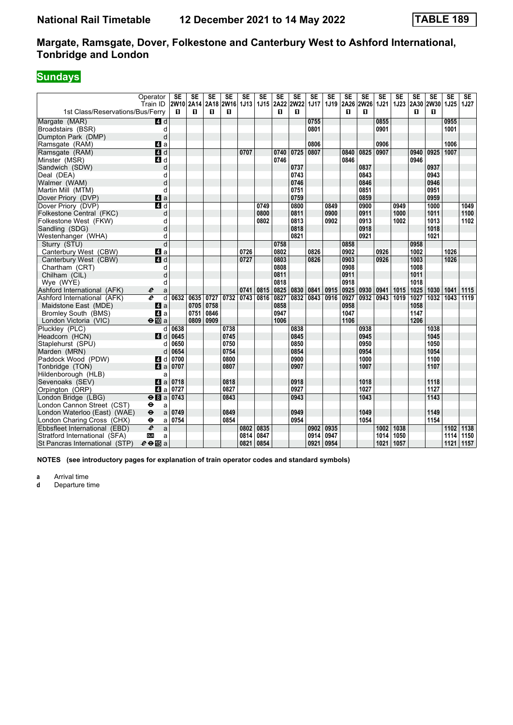# **Sundays**

| 2W10 2A14<br>1J19 2A26 2W26<br><b>1J21</b><br>2A30 2W30<br>1J25<br>Train ID<br>2A18 2W16<br>1J13<br>1J15 2A22<br><b>2W22</b><br>1J17<br>1J23<br><b>1J27</b><br>1st Class/Reservations/Bus/Ferry<br>п<br>п<br>п<br>П.<br>п<br>п<br>п<br>п<br>п<br>п<br>0755<br>0955<br>0855<br>Margate (MAR)<br>4 d<br>0801<br>0901<br>1001<br>Broadstairs (BSR)<br>d<br>d<br>Dumpton Park (DMP)<br>0806<br>0906<br>1006<br>Ramsgate (RAM)<br>ZI a<br>4d<br>0807<br>0825<br>1007<br>Ramsgate (RAM)<br>0707<br>0740<br>0725<br>0840<br>0907<br>0940<br>0925<br>Minster (MSR)<br>4 d<br>0746<br>0846<br>0946 |
|-------------------------------------------------------------------------------------------------------------------------------------------------------------------------------------------------------------------------------------------------------------------------------------------------------------------------------------------------------------------------------------------------------------------------------------------------------------------------------------------------------------------------------------------------------------------------------------------|
|                                                                                                                                                                                                                                                                                                                                                                                                                                                                                                                                                                                           |
|                                                                                                                                                                                                                                                                                                                                                                                                                                                                                                                                                                                           |
|                                                                                                                                                                                                                                                                                                                                                                                                                                                                                                                                                                                           |
|                                                                                                                                                                                                                                                                                                                                                                                                                                                                                                                                                                                           |
|                                                                                                                                                                                                                                                                                                                                                                                                                                                                                                                                                                                           |
|                                                                                                                                                                                                                                                                                                                                                                                                                                                                                                                                                                                           |
|                                                                                                                                                                                                                                                                                                                                                                                                                                                                                                                                                                                           |
|                                                                                                                                                                                                                                                                                                                                                                                                                                                                                                                                                                                           |
| Sandwich (SDW)<br>d<br>0737<br>0837<br>0937                                                                                                                                                                                                                                                                                                                                                                                                                                                                                                                                               |
| 0943<br>0743<br>0843<br>Deal (DEA)<br>d                                                                                                                                                                                                                                                                                                                                                                                                                                                                                                                                                   |
| 0946<br>d<br>0746<br>0846<br>Walmer (WAM)                                                                                                                                                                                                                                                                                                                                                                                                                                                                                                                                                 |
| 0951<br>d<br>0751<br>0851<br>Martin Mill (MTM)                                                                                                                                                                                                                                                                                                                                                                                                                                                                                                                                            |
| $\mathbf{A}$ a<br>0759<br>0959<br>Dover Priory (DVP)<br>0859                                                                                                                                                                                                                                                                                                                                                                                                                                                                                                                              |
| $\overline{a}$ d<br>0800<br>Dover Priory (DVP)<br>0749<br>0849<br>0900<br>0949<br>1000<br>1049                                                                                                                                                                                                                                                                                                                                                                                                                                                                                            |
| 0800<br>0911<br>1000<br>1011<br>1100<br>Folkestone Central (FKC)<br>d<br>0811<br>0900                                                                                                                                                                                                                                                                                                                                                                                                                                                                                                     |
| 0813<br>0913<br>1102<br>Folkestone West (FKW)<br>0802<br>0902<br>1002<br>1013<br>q                                                                                                                                                                                                                                                                                                                                                                                                                                                                                                        |
| d<br>0818<br>0918<br>1018<br>Sandling (SDG)                                                                                                                                                                                                                                                                                                                                                                                                                                                                                                                                               |
| 0821<br>0921<br>1021<br>Westenhanger (WHA)<br>d                                                                                                                                                                                                                                                                                                                                                                                                                                                                                                                                           |
| d<br>Sturry (STU)<br>0758<br>0858<br>0958                                                                                                                                                                                                                                                                                                                                                                                                                                                                                                                                                 |
| 0726<br>0826<br>0902<br>0926<br>ZI a<br>0802<br>1002<br>1026<br>Canterbury West (CBW)                                                                                                                                                                                                                                                                                                                                                                                                                                                                                                     |
| 0803<br>1003<br>1026<br>Canterbury West (CBW)<br>4 d<br>0727<br>0826<br>0903<br>0926                                                                                                                                                                                                                                                                                                                                                                                                                                                                                                      |
| 0808<br>0908<br>Chartham (CRT)<br>1008<br>d                                                                                                                                                                                                                                                                                                                                                                                                                                                                                                                                               |
| 0811<br>0911<br>1011<br>Chilham (CIL)<br>d                                                                                                                                                                                                                                                                                                                                                                                                                                                                                                                                                |
| 0818<br>0918<br>Wye (WYE)<br>1018<br>d                                                                                                                                                                                                                                                                                                                                                                                                                                                                                                                                                    |
| 0741<br>0925<br>0941<br>Ashford International (AFK)<br>0815<br>0825<br>0830<br>0841<br>0915<br>0930<br>1015<br>1025<br>1030<br>1041<br>1115<br>e<br>a                                                                                                                                                                                                                                                                                                                                                                                                                                     |
| e<br>0743<br>0827<br>0832<br>1027<br>1119<br>Ashford International (AFK)<br>d<br>0632<br>0635<br>0727<br>0732<br>0816<br>0843<br>0927<br>0932<br>0943<br>1019<br>1032<br>1043<br>0916                                                                                                                                                                                                                                                                                                                                                                                                     |
| 0705<br>0758<br>0858<br>0958<br>1058<br>Maidstone East (MDE)<br>ZI a                                                                                                                                                                                                                                                                                                                                                                                                                                                                                                                      |
| $\blacksquare$ a<br>0751<br>0846<br>0947<br>1147<br>1047<br>Bromley South (BMS)                                                                                                                                                                                                                                                                                                                                                                                                                                                                                                           |
| $\Theta$ III a<br>0809<br>0909<br>1206<br>London Victoria (VIC)<br>1006<br>1106                                                                                                                                                                                                                                                                                                                                                                                                                                                                                                           |
| 0638<br>0838<br>0938<br>1038<br>Pluckley (PLC)<br>0738<br>d                                                                                                                                                                                                                                                                                                                                                                                                                                                                                                                               |
| 0845<br>0945<br>1045<br>Headcorn (HCN)<br>0645<br>0745<br>ZI d                                                                                                                                                                                                                                                                                                                                                                                                                                                                                                                            |
| 0650<br>0850<br>0950<br>1050<br>Staplehurst (SPU)<br>0750<br>d                                                                                                                                                                                                                                                                                                                                                                                                                                                                                                                            |
| 1054<br>0654<br>0754<br>0854<br>0954<br>Marden (MRN)<br>d                                                                                                                                                                                                                                                                                                                                                                                                                                                                                                                                 |
| Paddock Wood (PDW)<br>0800<br>0900<br>1000<br>1100<br>4 d<br>0700                                                                                                                                                                                                                                                                                                                                                                                                                                                                                                                         |
| Tonbridge (TON)<br>$\blacksquare$ a<br>0707<br>0807<br>0907<br>1007<br>1107                                                                                                                                                                                                                                                                                                                                                                                                                                                                                                               |
| Hildenborough (HLB)<br>a                                                                                                                                                                                                                                                                                                                                                                                                                                                                                                                                                                  |
| Sevenoaks (SEV)<br>4 a<br>0718<br>0918<br>1018<br>1118<br>0818                                                                                                                                                                                                                                                                                                                                                                                                                                                                                                                            |
| ZI a<br>0727<br>0827<br>0927<br>1027<br>1127<br>Orpington (ORP)                                                                                                                                                                                                                                                                                                                                                                                                                                                                                                                           |
| 1143<br>London Bridge (LBG)<br>$\Theta$ $a$<br>0743<br>0843<br>0943<br>1043                                                                                                                                                                                                                                                                                                                                                                                                                                                                                                               |
| London Cannon Street (CST)<br>$\bullet$<br>a                                                                                                                                                                                                                                                                                                                                                                                                                                                                                                                                              |
| 0749<br>0849<br>0949<br>1049<br>1149<br>London Waterloo (East) (WAE)<br>$\ddot{\boldsymbol{\Theta}}$<br>a                                                                                                                                                                                                                                                                                                                                                                                                                                                                                 |
| 0754<br>0854<br>0954<br>1054<br>1154<br>London Charing Cross (CHX)<br>$\bullet$<br>a                                                                                                                                                                                                                                                                                                                                                                                                                                                                                                      |
| $\overline{e}$<br>Ebbsfleet International (EBD)<br>0835<br>0935<br>1038<br>$1102$<br>1138<br>0802<br>0902<br>1002<br>a                                                                                                                                                                                                                                                                                                                                                                                                                                                                    |
| <b>DLR</b><br>0814<br>0847<br>1150<br>Stratford International (SFA)<br>0914<br>0947<br>1014<br>1050<br>1114<br>a                                                                                                                                                                                                                                                                                                                                                                                                                                                                          |
| $e \oplus E$ a<br>0854<br>0921<br>0954<br>1021<br>1057<br>1157<br>St Pancras International (STP)<br>0821<br>1121                                                                                                                                                                                                                                                                                                                                                                                                                                                                          |

**NOTES (see introductory pages for explanation of train operator codes and standard symbols)**

**a** Arrival time<br>**d** Departure ti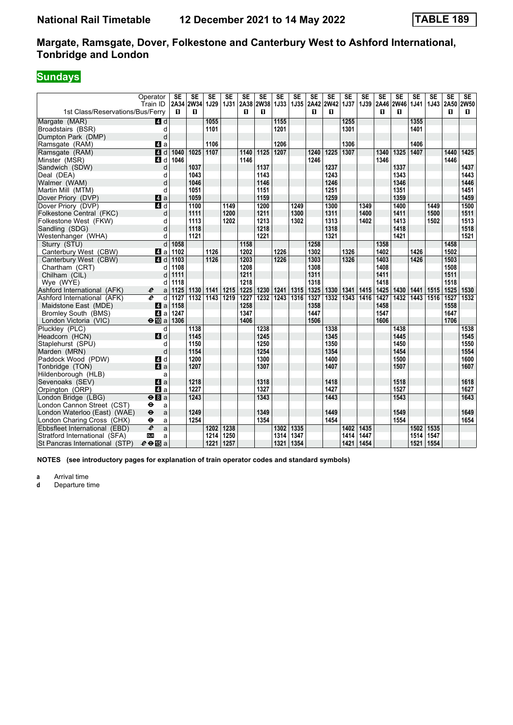# **Sundays**

|                                  | Operator                          | SE   | SE        | <b>SE</b>   | <b>SE</b>   | <b>SE</b> | <b>SE</b>      | <b>SE</b> | <b>SE</b> | <b>SE</b> | <b>SE</b>   | <b>SE</b>   | <b>SE</b> | <b>SE</b> | <b>SE</b>   | <b>SE</b>   | <b>SE</b> | <b>SE</b> | <b>SE</b> |
|----------------------------------|-----------------------------------|------|-----------|-------------|-------------|-----------|----------------|-----------|-----------|-----------|-------------|-------------|-----------|-----------|-------------|-------------|-----------|-----------|-----------|
|                                  | Train ID                          |      | 2A34 2W34 | <b>1J29</b> | <b>1J31</b> |           | 2A38 2W38 1J33 |           |           | 1J35 2A42 | <b>2W42</b> | <b>1J37</b> |           | 1J39 2A46 | <b>2W46</b> | <b>1J41</b> | 1J43      | 2A50 2W50 |           |
| 1st Class/Reservations/Bus/Ferry |                                   | п    | п         |             |             | п         | п              |           |           | п         | п           |             |           | п         | п           |             |           | п         | П.        |
| Margate (MAR)                    | 4d                                |      |           | 1055        |             |           |                | 1155      |           |           |             | 1255        |           |           |             | 1355        |           |           |           |
| Broadstairs (BSR)                | d                                 |      |           | 1101        |             |           |                | 1201      |           |           |             | 1301        |           |           |             | 1401        |           |           |           |
| Dumpton Park (DMP)               | d                                 |      |           |             |             |           |                |           |           |           |             |             |           |           |             |             |           |           |           |
| Ramsgate (RAM)                   | 41 a                              |      |           | 1106        |             |           |                | 1206      |           |           |             | 1306        |           |           |             | 1406        |           |           |           |
| Ramsgate (RAM)                   | 4d                                | 1040 | 1025      | 1107        |             | 1140      | 1125           | 1207      |           | 1240      | 1225        | 1307        |           | 1340      | 1325        | 1407        |           | 1440      | 1425      |
| Minster (MSR)                    | 4 d                               | 1046 |           |             |             | 1146      |                |           |           | 1246      |             |             |           | 1346      |             |             |           | 1446      |           |
| Sandwich (SDW)                   | d                                 |      | 1037      |             |             |           | 1137           |           |           |           | 1237        |             |           |           | 1337        |             |           |           | 1437      |
| Deal (DEA)                       | d                                 |      | 1043      |             |             |           | 1143           |           |           |           | 1243        |             |           |           | 1343        |             |           |           | 1443      |
| Walmer (WAM)                     | d                                 |      | 1046      |             |             |           | 1146           |           |           |           | 1246        |             |           |           | 1346        |             |           |           | 1446      |
| Martin Mill (MTM)                | d                                 |      | 1051      |             |             |           | 1151           |           |           |           | 1251        |             |           |           | 1351        |             |           |           | 1451      |
| Dover Priory (DVP)               | $\mathbf{A}$ a                    |      | 1059      |             |             |           | 1159           |           |           |           | 1259        |             |           |           | 1359        |             |           |           | 1459      |
| Dover Priory (DVP)               | $\overline{a}$ d                  |      | 1100      |             | 1149        |           | 1200           |           | 1249      |           | 1300        |             | 1349      |           | 1400        |             | 1449      |           | 1500      |
| Folkestone Central (FKC)         | d                                 |      | 1111      |             | 1200        |           | 1211           |           | 1300      |           | 1311        |             | 1400      |           | 1411        |             | 1500      |           | 1511      |
| Folkestone West (FKW)            | d                                 |      | 1113      |             | 1202        |           | 1213           |           | 1302      |           | 1313        |             | 1402      |           | 1413        |             | 1502      |           | 1513      |
| Sandling (SDG)                   | d                                 |      | 1118      |             |             |           | 1218           |           |           |           | 1318        |             |           |           | 1418        |             |           |           | 1518      |
| Westenhanger (WHA)               | d                                 |      | 1121      |             |             |           | 1221           |           |           |           | 1321        |             |           |           | 1421        |             |           |           | 1521      |
| Sturry (STU)                     | d                                 | 1058 |           |             |             | 1158      |                |           |           | 1258      |             |             |           | 1358      |             |             |           | 1458      |           |
| Canterbury West (CBW)            | ZI a                              | 1102 |           | 1126        |             | 1202      |                | 1226      |           | 1302      |             | 1326        |           | 1402      |             | 1426        |           | 1502      |           |
| Canterbury West (CBW)            | 4 d                               | 1103 |           | 1126        |             | 1203      |                | 1226      |           | 1303      |             | 1326        |           | 1403      |             | 1426        |           | 1503      |           |
| Chartham (CRT)                   | d                                 | 1108 |           |             |             | 1208      |                |           |           | 1308      |             |             |           | 1408      |             |             |           | 1508      |           |
| Chilham (CIL)                    | d                                 | 1111 |           |             |             | 1211      |                |           |           | 1311      |             |             |           | 1411      |             |             |           | 1511      |           |
| Wye (WYE)                        | C                                 | 1118 |           |             |             | 1218      |                |           |           | 1318      |             |             |           | 1418      |             |             |           | 1518      |           |
| Ashford International (AFK)      | $\boldsymbol{e}$<br>a             | 1125 | 1130      | 1141        | 1215        | 1225      | 1230           | 1241      | 1315      | 1325      | 1330        | 1341        | 1415      | 1425      | 1430        | 1441        | 1515      | 1525      | 1530      |
| Ashford International (AFK)      | $\overline{\boldsymbol{e}}$<br>d  | 1127 | 1132      | 1143        | 1219        | 1227      | 1232           | 1243      | 1316      | 1327      | 1332        | 1343        | 1416      | 1427      | 1432        | 1443        | 1516      | 1527      | 1532      |
| Maidstone East (MDE)             | ZI a                              | 1158 |           |             |             | 1258      |                |           |           | 1358      |             |             |           | 1458      |             |             |           | 1558      |           |
| <b>Bromley South (BMS)</b>       | ZI a                              | 1247 |           |             |             | 1347      |                |           |           | 1447      |             |             |           | 1547      |             |             |           | 1647      |           |
| London Victoria (VIC)            | $\Theta$ III a                    | 1306 |           |             |             | 1406      |                |           |           | 1506      |             |             |           | 1606      |             |             |           | 1706      |           |
| Pluckley (PLC)                   | d                                 |      | 1138      |             |             |           | 1238           |           |           |           | 1338        |             |           |           | 1438        |             |           |           | 1538      |
| Headcorn (HCN)                   | 4 d                               |      | 1145      |             |             |           | 1245           |           |           |           | 1345        |             |           |           | 1445        |             |           |           | 1545      |
| Staplehurst (SPU)                | d                                 |      | 1150      |             |             |           | 1250           |           |           |           | 1350        |             |           |           | 1450        |             |           |           | 1550      |
| Marden (MRN)                     | d                                 |      | 1154      |             |             |           | 1254           |           |           |           | 1354        |             |           |           | 1454        |             |           |           | 1554      |
| Paddock Wood (PDW)               | 4 d                               |      | 1200      |             |             |           | 1300           |           |           |           | 1400        |             |           |           | 1500        |             |           |           | 1600      |
| Tonbridge (TON)                  | a                                 |      | 1207      |             |             |           | 1307           |           |           |           | 1407        |             |           |           | 1507        |             |           |           | 1607      |
| Hildenborough (HLB)              | a                                 |      |           |             |             |           |                |           |           |           |             |             |           |           |             |             |           |           |           |
| Sevenoaks (SEV)                  | 4a                                |      | 1218      |             |             |           | 1318           |           |           |           | 1418        |             |           |           | 1518        |             |           |           | 1618      |
| Orpington (ORP)                  | $\mathbf{a}$                      |      | 1227      |             |             |           | 1327           |           |           |           | 1427        |             |           |           | 1527        |             |           |           | 1627      |
| London Bridge (LBG)              | $eB$ a                            |      | 1243      |             |             |           | 1343           |           |           |           | 1443        |             |           |           | 1543        |             |           |           | 1643      |
| London Cannon Street (CST)       | θ<br>a                            |      |           |             |             |           |                |           |           |           |             |             |           |           |             |             |           |           |           |
| London Waterloo (East) (WAE)     | $\ddot{\boldsymbol{\Theta}}$<br>a |      | 1249      |             |             |           | 1349           |           |           |           | 1449        |             |           |           | 1549        |             |           |           | 1649      |
| London Charing Cross (CHX)       | θ<br>a                            |      | 1254      |             |             |           | 1354           |           |           |           | 1454        |             |           |           | 1554        |             |           |           | 1654      |
| Ebbsfleet International (EBD)    | $\overline{e}$<br>a               |      |           | 1202        | 1238        |           |                | 1302      | 1335      |           |             | 1402        | 1435      |           |             | 1502        | 1535      |           |           |
| Stratford International (SFA)    | <b>DLR</b><br>a                   |      |           | 1214        | 1250        |           |                | 1314      | 1347      |           |             | 1414        | 1447      |           |             | 1514        | 1547      |           |           |
| St Pancras International (STP)   | $e \oplus E$ a                    |      |           | 1221        | 1257        |           |                | 1321      | 1354      |           |             | 1421        | 1454      |           |             | 1521        | 1554      |           |           |

**NOTES (see introductory pages for explanation of train operator codes and standard symbols)**

**a** Arrival time<br>**d** Departure ti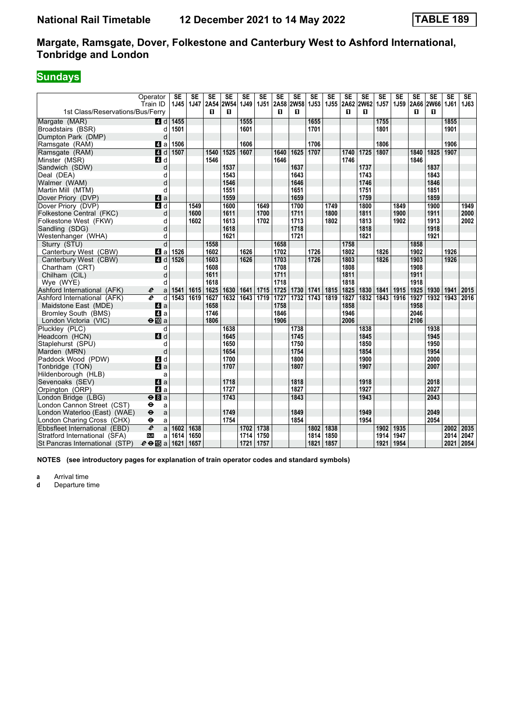# **Sundays**

| 2A58 2W58 1J53<br>2A66 2W66<br>1st Class/Reservations/Bus/Ferry<br>п<br>п<br>п<br>п<br>п<br>п<br>п<br>п<br>1455<br>1555<br>1655<br>1755<br>1855<br>Margate (MAR)<br>$\blacksquare$ d<br>1501<br>1601<br>1701<br>1801<br>1901<br>Broadstairs (BSR)<br>d<br>Dumpton Park (DMP)<br>d<br>1706<br>1506<br>1606<br>1806<br>1906<br>Ramsgate (RAM)<br>ZI a<br>4d<br>1507<br>1525<br>1607<br>$\frac{1625}{ }$<br>1707<br>1725<br>1807<br>1907<br>Ramsgate (RAM)<br>1540<br>1640<br>1740<br>1840<br>1825<br>Minster (MSR)<br>4d<br>1546<br>1746<br>1846<br>1646<br>Sandwich (SDW)<br>d<br>1637<br>1837<br>1537<br>1737<br>1543<br>1643<br>1743<br>1843<br>d<br>1746<br>d<br>1546<br>1646<br>1846<br>1551<br>1651<br>1751<br>1851<br>d<br>1759<br>1859<br>$\mathbf{A}$ a<br>1559<br>1659<br>$\overline{a}$ d<br>1700<br>1900<br>1549<br>1600<br>1649<br>1749<br>1800<br>1849<br>1949<br>1711<br>1900<br>1911<br>1600<br>1611<br>1700<br>1800<br>1811<br>2000<br>d<br>1913<br>2002<br>1602<br>1613<br>1713<br>1813<br>1902<br>d<br>1702<br>1802<br>1618<br>1718<br>1818<br>1918<br>d<br>1721<br>1621<br>1821<br>1921<br>d<br>Sturry (STU)<br>d<br>1558<br>1658<br>1858<br>1758<br>1626<br>1526<br>1602<br>1702<br>1726<br>1802<br>1826<br>1902<br>1926<br>Canterbury West (CBW)<br>41 a<br>1703<br>1526<br>1603<br>1626<br>1726<br>1803<br>1826<br>1903<br>1926<br>Canterbury West (CBW)<br>$\blacksquare$ d<br>1708<br>1808<br>Chartham (CRT)<br>1608<br>1908<br>d<br>1711<br>1911<br>1611<br>1811<br>Chilham (CIL)<br>d<br>Wye (WYE)<br>1618<br>1718<br>1818<br>1918<br>d<br>1625<br>1641<br>1715<br>1725<br>1730<br>1825<br>1830<br>1841<br>1915<br>1925<br>1941<br>2015<br>Ashford International (AFK)<br>1541<br>1615<br>1630<br>1741<br>1815<br>1930<br>e<br>a<br>$\overline{\boldsymbol{e}}$<br>1543<br>1627<br>1632<br>$\overline{1643}$<br>1719<br>1727<br>1732<br>1743<br>1827<br>1832<br>1843<br>1916<br>1927<br>1932<br>1943<br>2016<br>Ashford International (AFK)<br>d<br>1619<br>1819<br>1658<br>1758<br>1858<br>1958<br>Maidstone East (MDE)<br>ZI a |                                                             | Operator<br>Train ID | <b>SE</b><br>1J45 | SE<br>1J47 | <b>SE</b><br>2A54 | <b>SE</b><br><b>2W54</b> | <b>SE</b><br>1J49 | <b>SE</b><br>1J51 | SE   | <b>SE</b> | SE | <b>SE</b><br><b>1J55</b> | SE<br>2A62 | <b>SE</b><br><b>2W62</b> | <b>SE</b><br><b>1J57</b> | <b>SE</b><br>1J59 | <b>SE</b> | <b>SE</b> | <b>SE</b><br>1J61 | <b>SE</b><br>1J63 |
|-----------------------------------------------------------------------------------------------------------------------------------------------------------------------------------------------------------------------------------------------------------------------------------------------------------------------------------------------------------------------------------------------------------------------------------------------------------------------------------------------------------------------------------------------------------------------------------------------------------------------------------------------------------------------------------------------------------------------------------------------------------------------------------------------------------------------------------------------------------------------------------------------------------------------------------------------------------------------------------------------------------------------------------------------------------------------------------------------------------------------------------------------------------------------------------------------------------------------------------------------------------------------------------------------------------------------------------------------------------------------------------------------------------------------------------------------------------------------------------------------------------------------------------------------------------------------------------------------------------------------------------------------------------------------------------------------------------------------------------------------------------------------------------------------------------------------------------------------------------------------------------------------------------------------------------------------------------------------------------------------------------------------------------------------------------|-------------------------------------------------------------|----------------------|-------------------|------------|-------------------|--------------------------|-------------------|-------------------|------|-----------|----|--------------------------|------------|--------------------------|--------------------------|-------------------|-----------|-----------|-------------------|-------------------|
|                                                                                                                                                                                                                                                                                                                                                                                                                                                                                                                                                                                                                                                                                                                                                                                                                                                                                                                                                                                                                                                                                                                                                                                                                                                                                                                                                                                                                                                                                                                                                                                                                                                                                                                                                                                                                                                                                                                                                                                                                                                           |                                                             |                      |                   |            |                   |                          |                   |                   |      |           |    |                          |            |                          |                          |                   |           |           |                   |                   |
|                                                                                                                                                                                                                                                                                                                                                                                                                                                                                                                                                                                                                                                                                                                                                                                                                                                                                                                                                                                                                                                                                                                                                                                                                                                                                                                                                                                                                                                                                                                                                                                                                                                                                                                                                                                                                                                                                                                                                                                                                                                           |                                                             |                      |                   |            |                   |                          |                   |                   |      |           |    |                          |            |                          |                          |                   |           |           |                   |                   |
|                                                                                                                                                                                                                                                                                                                                                                                                                                                                                                                                                                                                                                                                                                                                                                                                                                                                                                                                                                                                                                                                                                                                                                                                                                                                                                                                                                                                                                                                                                                                                                                                                                                                                                                                                                                                                                                                                                                                                                                                                                                           |                                                             |                      |                   |            |                   |                          |                   |                   |      |           |    |                          |            |                          |                          |                   |           |           |                   |                   |
|                                                                                                                                                                                                                                                                                                                                                                                                                                                                                                                                                                                                                                                                                                                                                                                                                                                                                                                                                                                                                                                                                                                                                                                                                                                                                                                                                                                                                                                                                                                                                                                                                                                                                                                                                                                                                                                                                                                                                                                                                                                           |                                                             |                      |                   |            |                   |                          |                   |                   |      |           |    |                          |            |                          |                          |                   |           |           |                   |                   |
|                                                                                                                                                                                                                                                                                                                                                                                                                                                                                                                                                                                                                                                                                                                                                                                                                                                                                                                                                                                                                                                                                                                                                                                                                                                                                                                                                                                                                                                                                                                                                                                                                                                                                                                                                                                                                                                                                                                                                                                                                                                           |                                                             |                      |                   |            |                   |                          |                   |                   |      |           |    |                          |            |                          |                          |                   |           |           |                   |                   |
|                                                                                                                                                                                                                                                                                                                                                                                                                                                                                                                                                                                                                                                                                                                                                                                                                                                                                                                                                                                                                                                                                                                                                                                                                                                                                                                                                                                                                                                                                                                                                                                                                                                                                                                                                                                                                                                                                                                                                                                                                                                           |                                                             |                      |                   |            |                   |                          |                   |                   |      |           |    |                          |            |                          |                          |                   |           |           |                   |                   |
|                                                                                                                                                                                                                                                                                                                                                                                                                                                                                                                                                                                                                                                                                                                                                                                                                                                                                                                                                                                                                                                                                                                                                                                                                                                                                                                                                                                                                                                                                                                                                                                                                                                                                                                                                                                                                                                                                                                                                                                                                                                           |                                                             |                      |                   |            |                   |                          |                   |                   |      |           |    |                          |            |                          |                          |                   |           |           |                   |                   |
|                                                                                                                                                                                                                                                                                                                                                                                                                                                                                                                                                                                                                                                                                                                                                                                                                                                                                                                                                                                                                                                                                                                                                                                                                                                                                                                                                                                                                                                                                                                                                                                                                                                                                                                                                                                                                                                                                                                                                                                                                                                           |                                                             |                      |                   |            |                   |                          |                   |                   |      |           |    |                          |            |                          |                          |                   |           |           |                   |                   |
|                                                                                                                                                                                                                                                                                                                                                                                                                                                                                                                                                                                                                                                                                                                                                                                                                                                                                                                                                                                                                                                                                                                                                                                                                                                                                                                                                                                                                                                                                                                                                                                                                                                                                                                                                                                                                                                                                                                                                                                                                                                           | Deal (DEA)                                                  |                      |                   |            |                   |                          |                   |                   |      |           |    |                          |            |                          |                          |                   |           |           |                   |                   |
|                                                                                                                                                                                                                                                                                                                                                                                                                                                                                                                                                                                                                                                                                                                                                                                                                                                                                                                                                                                                                                                                                                                                                                                                                                                                                                                                                                                                                                                                                                                                                                                                                                                                                                                                                                                                                                                                                                                                                                                                                                                           | Walmer (WAM)                                                |                      |                   |            |                   |                          |                   |                   |      |           |    |                          |            |                          |                          |                   |           |           |                   |                   |
|                                                                                                                                                                                                                                                                                                                                                                                                                                                                                                                                                                                                                                                                                                                                                                                                                                                                                                                                                                                                                                                                                                                                                                                                                                                                                                                                                                                                                                                                                                                                                                                                                                                                                                                                                                                                                                                                                                                                                                                                                                                           | Martin Mill (MTM)                                           |                      |                   |            |                   |                          |                   |                   |      |           |    |                          |            |                          |                          |                   |           |           |                   |                   |
|                                                                                                                                                                                                                                                                                                                                                                                                                                                                                                                                                                                                                                                                                                                                                                                                                                                                                                                                                                                                                                                                                                                                                                                                                                                                                                                                                                                                                                                                                                                                                                                                                                                                                                                                                                                                                                                                                                                                                                                                                                                           | Dover Priory (DVP)                                          |                      |                   |            |                   |                          |                   |                   |      |           |    |                          |            |                          |                          |                   |           |           |                   |                   |
|                                                                                                                                                                                                                                                                                                                                                                                                                                                                                                                                                                                                                                                                                                                                                                                                                                                                                                                                                                                                                                                                                                                                                                                                                                                                                                                                                                                                                                                                                                                                                                                                                                                                                                                                                                                                                                                                                                                                                                                                                                                           | Dover Priory (DVP)                                          |                      |                   |            |                   |                          |                   |                   |      |           |    |                          |            |                          |                          |                   |           |           |                   |                   |
|                                                                                                                                                                                                                                                                                                                                                                                                                                                                                                                                                                                                                                                                                                                                                                                                                                                                                                                                                                                                                                                                                                                                                                                                                                                                                                                                                                                                                                                                                                                                                                                                                                                                                                                                                                                                                                                                                                                                                                                                                                                           | Folkestone Central (FKC)                                    |                      |                   |            |                   |                          |                   |                   |      |           |    |                          |            |                          |                          |                   |           |           |                   |                   |
|                                                                                                                                                                                                                                                                                                                                                                                                                                                                                                                                                                                                                                                                                                                                                                                                                                                                                                                                                                                                                                                                                                                                                                                                                                                                                                                                                                                                                                                                                                                                                                                                                                                                                                                                                                                                                                                                                                                                                                                                                                                           | Folkestone West (FKW)                                       |                      |                   |            |                   |                          |                   |                   |      |           |    |                          |            |                          |                          |                   |           |           |                   |                   |
|                                                                                                                                                                                                                                                                                                                                                                                                                                                                                                                                                                                                                                                                                                                                                                                                                                                                                                                                                                                                                                                                                                                                                                                                                                                                                                                                                                                                                                                                                                                                                                                                                                                                                                                                                                                                                                                                                                                                                                                                                                                           | Sandling (SDG)                                              |                      |                   |            |                   |                          |                   |                   |      |           |    |                          |            |                          |                          |                   |           |           |                   |                   |
|                                                                                                                                                                                                                                                                                                                                                                                                                                                                                                                                                                                                                                                                                                                                                                                                                                                                                                                                                                                                                                                                                                                                                                                                                                                                                                                                                                                                                                                                                                                                                                                                                                                                                                                                                                                                                                                                                                                                                                                                                                                           | Westenhanger (WHA)                                          |                      |                   |            |                   |                          |                   |                   |      |           |    |                          |            |                          |                          |                   |           |           |                   |                   |
|                                                                                                                                                                                                                                                                                                                                                                                                                                                                                                                                                                                                                                                                                                                                                                                                                                                                                                                                                                                                                                                                                                                                                                                                                                                                                                                                                                                                                                                                                                                                                                                                                                                                                                                                                                                                                                                                                                                                                                                                                                                           |                                                             |                      |                   |            |                   |                          |                   |                   |      |           |    |                          |            |                          |                          |                   |           |           |                   |                   |
|                                                                                                                                                                                                                                                                                                                                                                                                                                                                                                                                                                                                                                                                                                                                                                                                                                                                                                                                                                                                                                                                                                                                                                                                                                                                                                                                                                                                                                                                                                                                                                                                                                                                                                                                                                                                                                                                                                                                                                                                                                                           |                                                             |                      |                   |            |                   |                          |                   |                   |      |           |    |                          |            |                          |                          |                   |           |           |                   |                   |
|                                                                                                                                                                                                                                                                                                                                                                                                                                                                                                                                                                                                                                                                                                                                                                                                                                                                                                                                                                                                                                                                                                                                                                                                                                                                                                                                                                                                                                                                                                                                                                                                                                                                                                                                                                                                                                                                                                                                                                                                                                                           |                                                             |                      |                   |            |                   |                          |                   |                   |      |           |    |                          |            |                          |                          |                   |           |           |                   |                   |
|                                                                                                                                                                                                                                                                                                                                                                                                                                                                                                                                                                                                                                                                                                                                                                                                                                                                                                                                                                                                                                                                                                                                                                                                                                                                                                                                                                                                                                                                                                                                                                                                                                                                                                                                                                                                                                                                                                                                                                                                                                                           |                                                             |                      |                   |            |                   |                          |                   |                   |      |           |    |                          |            |                          |                          |                   |           |           |                   |                   |
|                                                                                                                                                                                                                                                                                                                                                                                                                                                                                                                                                                                                                                                                                                                                                                                                                                                                                                                                                                                                                                                                                                                                                                                                                                                                                                                                                                                                                                                                                                                                                                                                                                                                                                                                                                                                                                                                                                                                                                                                                                                           |                                                             |                      |                   |            |                   |                          |                   |                   |      |           |    |                          |            |                          |                          |                   |           |           |                   |                   |
|                                                                                                                                                                                                                                                                                                                                                                                                                                                                                                                                                                                                                                                                                                                                                                                                                                                                                                                                                                                                                                                                                                                                                                                                                                                                                                                                                                                                                                                                                                                                                                                                                                                                                                                                                                                                                                                                                                                                                                                                                                                           |                                                             |                      |                   |            |                   |                          |                   |                   |      |           |    |                          |            |                          |                          |                   |           |           |                   |                   |
|                                                                                                                                                                                                                                                                                                                                                                                                                                                                                                                                                                                                                                                                                                                                                                                                                                                                                                                                                                                                                                                                                                                                                                                                                                                                                                                                                                                                                                                                                                                                                                                                                                                                                                                                                                                                                                                                                                                                                                                                                                                           |                                                             |                      |                   |            |                   |                          |                   |                   |      |           |    |                          |            |                          |                          |                   |           |           |                   |                   |
|                                                                                                                                                                                                                                                                                                                                                                                                                                                                                                                                                                                                                                                                                                                                                                                                                                                                                                                                                                                                                                                                                                                                                                                                                                                                                                                                                                                                                                                                                                                                                                                                                                                                                                                                                                                                                                                                                                                                                                                                                                                           |                                                             |                      |                   |            |                   |                          |                   |                   |      |           |    |                          |            |                          |                          |                   |           |           |                   |                   |
|                                                                                                                                                                                                                                                                                                                                                                                                                                                                                                                                                                                                                                                                                                                                                                                                                                                                                                                                                                                                                                                                                                                                                                                                                                                                                                                                                                                                                                                                                                                                                                                                                                                                                                                                                                                                                                                                                                                                                                                                                                                           |                                                             |                      |                   |            |                   |                          |                   |                   |      |           |    |                          |            |                          |                          |                   |           |           |                   |                   |
|                                                                                                                                                                                                                                                                                                                                                                                                                                                                                                                                                                                                                                                                                                                                                                                                                                                                                                                                                                                                                                                                                                                                                                                                                                                                                                                                                                                                                                                                                                                                                                                                                                                                                                                                                                                                                                                                                                                                                                                                                                                           | <b>Bromley South (BMS)</b>                                  | 4a                   |                   |            | 1746              |                          |                   |                   | 1846 |           |    |                          | 1946       |                          |                          |                   | 2046      |           |                   |                   |
| 1906<br>$\Theta$ III a<br>1806<br>2006<br>2106<br>London Victoria (VIC)                                                                                                                                                                                                                                                                                                                                                                                                                                                                                                                                                                                                                                                                                                                                                                                                                                                                                                                                                                                                                                                                                                                                                                                                                                                                                                                                                                                                                                                                                                                                                                                                                                                                                                                                                                                                                                                                                                                                                                                   |                                                             |                      |                   |            |                   |                          |                   |                   |      |           |    |                          |            |                          |                          |                   |           |           |                   |                   |
| 1638<br>1738<br>1838<br>1938<br>d                                                                                                                                                                                                                                                                                                                                                                                                                                                                                                                                                                                                                                                                                                                                                                                                                                                                                                                                                                                                                                                                                                                                                                                                                                                                                                                                                                                                                                                                                                                                                                                                                                                                                                                                                                                                                                                                                                                                                                                                                         | Pluckley (PLC)                                              |                      |                   |            |                   |                          |                   |                   |      |           |    |                          |            |                          |                          |                   |           |           |                   |                   |
| 4d<br>1645<br>1745<br>1845<br>1945                                                                                                                                                                                                                                                                                                                                                                                                                                                                                                                                                                                                                                                                                                                                                                                                                                                                                                                                                                                                                                                                                                                                                                                                                                                                                                                                                                                                                                                                                                                                                                                                                                                                                                                                                                                                                                                                                                                                                                                                                        | Headcorn (HCN)                                              |                      |                   |            |                   |                          |                   |                   |      |           |    |                          |            |                          |                          |                   |           |           |                   |                   |
| 1650<br>1750<br>1850<br>1950<br>d                                                                                                                                                                                                                                                                                                                                                                                                                                                                                                                                                                                                                                                                                                                                                                                                                                                                                                                                                                                                                                                                                                                                                                                                                                                                                                                                                                                                                                                                                                                                                                                                                                                                                                                                                                                                                                                                                                                                                                                                                         | Staplehurst (SPU)                                           |                      |                   |            |                   |                          |                   |                   |      |           |    |                          |            |                          |                          |                   |           |           |                   |                   |
| 1754<br>1954<br>d<br>1654<br>1854                                                                                                                                                                                                                                                                                                                                                                                                                                                                                                                                                                                                                                                                                                                                                                                                                                                                                                                                                                                                                                                                                                                                                                                                                                                                                                                                                                                                                                                                                                                                                                                                                                                                                                                                                                                                                                                                                                                                                                                                                         | Marden (MRN)                                                |                      |                   |            |                   |                          |                   |                   |      |           |    |                          |            |                          |                          |                   |           |           |                   |                   |
| 2000<br>4 d<br>1700<br>1800<br>1900                                                                                                                                                                                                                                                                                                                                                                                                                                                                                                                                                                                                                                                                                                                                                                                                                                                                                                                                                                                                                                                                                                                                                                                                                                                                                                                                                                                                                                                                                                                                                                                                                                                                                                                                                                                                                                                                                                                                                                                                                       | Paddock Wood (PDW)                                          |                      |                   |            |                   |                          |                   |                   |      |           |    |                          |            |                          |                          |                   |           |           |                   |                   |
| a<br>1807<br>2007<br>1707<br>1907                                                                                                                                                                                                                                                                                                                                                                                                                                                                                                                                                                                                                                                                                                                                                                                                                                                                                                                                                                                                                                                                                                                                                                                                                                                                                                                                                                                                                                                                                                                                                                                                                                                                                                                                                                                                                                                                                                                                                                                                                         | Tonbridge (TON)                                             |                      |                   |            |                   |                          |                   |                   |      |           |    |                          |            |                          |                          |                   |           |           |                   |                   |
| a                                                                                                                                                                                                                                                                                                                                                                                                                                                                                                                                                                                                                                                                                                                                                                                                                                                                                                                                                                                                                                                                                                                                                                                                                                                                                                                                                                                                                                                                                                                                                                                                                                                                                                                                                                                                                                                                                                                                                                                                                                                         | Hildenborough (HLB)                                         |                      |                   |            |                   |                          |                   |                   |      |           |    |                          |            |                          |                          |                   |           |           |                   |                   |
| Z1 a<br>1718<br>1818<br>1918<br>2018<br>1727<br>1827<br>1927<br>2027                                                                                                                                                                                                                                                                                                                                                                                                                                                                                                                                                                                                                                                                                                                                                                                                                                                                                                                                                                                                                                                                                                                                                                                                                                                                                                                                                                                                                                                                                                                                                                                                                                                                                                                                                                                                                                                                                                                                                                                      | Sevenoaks (SEV)                                             |                      |                   |            |                   |                          |                   |                   |      |           |    |                          |            |                          |                          |                   |           |           |                   |                   |
| $\blacksquare$ a                                                                                                                                                                                                                                                                                                                                                                                                                                                                                                                                                                                                                                                                                                                                                                                                                                                                                                                                                                                                                                                                                                                                                                                                                                                                                                                                                                                                                                                                                                                                                                                                                                                                                                                                                                                                                                                                                                                                                                                                                                          | Orpington (ORP)                                             |                      |                   |            |                   |                          |                   |                   |      |           |    |                          |            |                          |                          |                   |           |           |                   |                   |
| 1743<br>1843<br>2043<br>$\Theta$ $\blacksquare$ a<br>1943                                                                                                                                                                                                                                                                                                                                                                                                                                                                                                                                                                                                                                                                                                                                                                                                                                                                                                                                                                                                                                                                                                                                                                                                                                                                                                                                                                                                                                                                                                                                                                                                                                                                                                                                                                                                                                                                                                                                                                                                 | London Bridge (LBG)                                         |                      |                   |            |                   |                          |                   |                   |      |           |    |                          |            |                          |                          |                   |           |           |                   |                   |
| θ<br>a<br>1749<br>1849<br>1949<br>2049<br>$\ddot{\mathbf{e}}$                                                                                                                                                                                                                                                                                                                                                                                                                                                                                                                                                                                                                                                                                                                                                                                                                                                                                                                                                                                                                                                                                                                                                                                                                                                                                                                                                                                                                                                                                                                                                                                                                                                                                                                                                                                                                                                                                                                                                                                             | London Cannon Street (CST)                                  |                      |                   |            |                   |                          |                   |                   |      |           |    |                          |            |                          |                          |                   |           |           |                   |                   |
| London Waterloo (East) (WAE)<br>a<br>1754<br>1854<br>1954<br>2054<br>٠                                                                                                                                                                                                                                                                                                                                                                                                                                                                                                                                                                                                                                                                                                                                                                                                                                                                                                                                                                                                                                                                                                                                                                                                                                                                                                                                                                                                                                                                                                                                                                                                                                                                                                                                                                                                                                                                                                                                                                                    |                                                             |                      |                   |            |                   |                          |                   |                   |      |           |    |                          |            |                          |                          |                   |           |           |                   |                   |
| a<br>$\overline{e}$<br>1738<br>1638<br>1702<br>1802<br>1838<br>1935<br>2002<br>2035<br>1602<br>1902                                                                                                                                                                                                                                                                                                                                                                                                                                                                                                                                                                                                                                                                                                                                                                                                                                                                                                                                                                                                                                                                                                                                                                                                                                                                                                                                                                                                                                                                                                                                                                                                                                                                                                                                                                                                                                                                                                                                                       | London Charing Cross (CHX)<br>Ebbsfleet International (EBD) |                      |                   |            |                   |                          |                   |                   |      |           |    |                          |            |                          |                          |                   |           |           |                   |                   |
| a<br><b>DLR</b><br>1714<br>1750<br>1947<br>2014<br>2047<br>1614<br>1650<br>1814<br>1850<br>1914                                                                                                                                                                                                                                                                                                                                                                                                                                                                                                                                                                                                                                                                                                                                                                                                                                                                                                                                                                                                                                                                                                                                                                                                                                                                                                                                                                                                                                                                                                                                                                                                                                                                                                                                                                                                                                                                                                                                                           | Stratford International (SFA)                               |                      |                   |            |                   |                          |                   |                   |      |           |    |                          |            |                          |                          |                   |           |           |                   |                   |
| a<br>2054<br>$e \oplus \mathbb{E}$ a<br>1621<br>1657<br>1757<br>1821<br>1857<br>1921<br>1954<br>2021<br>1721                                                                                                                                                                                                                                                                                                                                                                                                                                                                                                                                                                                                                                                                                                                                                                                                                                                                                                                                                                                                                                                                                                                                                                                                                                                                                                                                                                                                                                                                                                                                                                                                                                                                                                                                                                                                                                                                                                                                              | St Pancras International (STP)                              |                      |                   |            |                   |                          |                   |                   |      |           |    |                          |            |                          |                          |                   |           |           |                   |                   |

**NOTES (see introductory pages for explanation of train operator codes and standard symbols)**

**a** Arrival time<br>**d** Departure ti